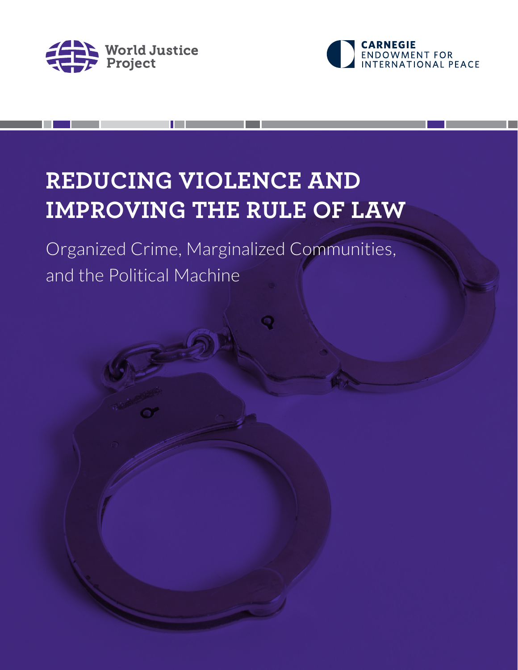



## **REDUCING VIOLENCE AND IMPROVING THE RULE OF LAW**

Organized Crime, Marginalized Communities, and the Political Machine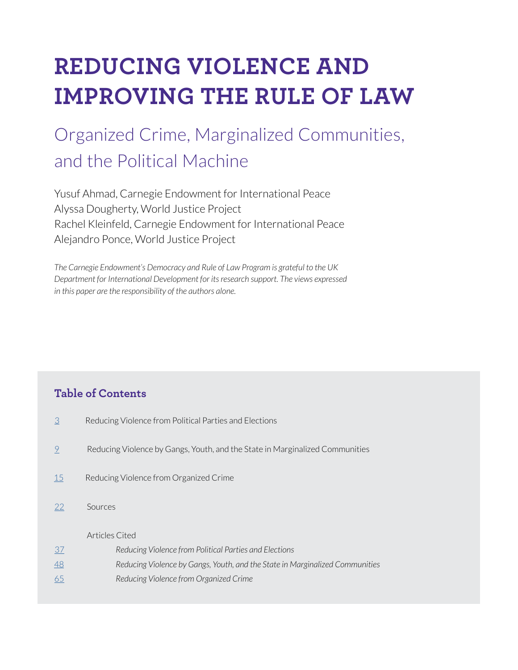# **REDUCING VIOLENCE AND IMPROVING THE RULE OF LAW**

## Organized Crime, Marginalized Communities, and the Political Machine

Yusuf Ahmad, Carnegie Endowment for International Peace Alyssa Dougherty, World Justice Project Rachel Kleinfeld, Carnegie Endowment for International Peace Alejandro Ponce, World Justice Project

*The Carnegie Endowment's Democracy and Rule of Law Program is grateful to the UK Department for International Development for its research support. The views expressed in this paper are the responsibility of the authors alone.*

### **Table of Contents**

- [3](#page-2-0) Reducing Violence from Political Parties and Elections
- [9](#page-8-0) Reducing Violence by Gangs, Youth, and the State in Marginalized Communities
- [15](#page-14-0) Reducing Violence from Organized Crime
- [22](#page-21-0) Sources

#### Articles Cited

[37](#page-36-0) *Reducing Violence from Political Parties and Elections* [48](#page-47-0) *Reducing Violence by Gangs, Youth, and the State in Marginalized Communities* [65](#page-64-0) *Reducing Violence from Organized Crime*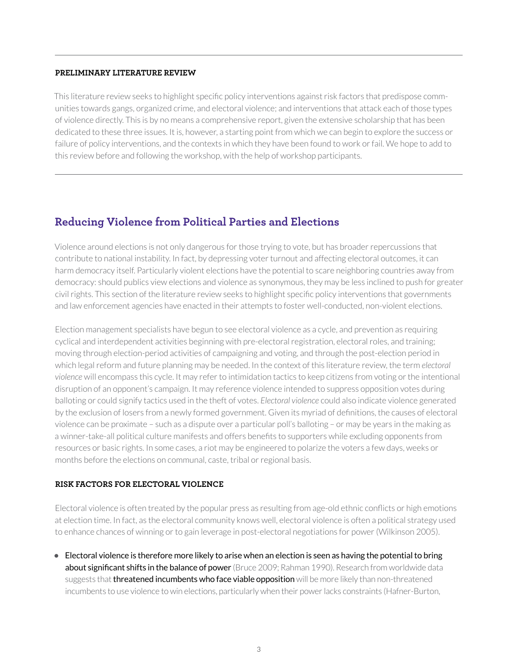#### <span id="page-2-0"></span>**PRELIMINARY LITERATURE REVIEW**

This literature review seeks to highlight specific policy interventions against risk factors that predispose communities towards gangs, organized crime, and electoral violence; and interventions that attack each of those types of violence directly. This is by no means a comprehensive report, given the extensive scholarship that has been dedicated to these three issues. It is, however, a starting point from which we can begin to explore the success or failure of policy interventions, and the contexts in which they have been found to work or fail. We hope to add to this review before and following the workshop, with the help of workshop participants.

### **Reducing Violence from Political Parties and Elections**

Violence around elections is not only dangerous for those trying to vote, but has broader repercussions that contribute to national instability. In fact, by depressing voter turnout and affecting electoral outcomes, it can harm democracy itself. Particularly violent elections have the potential to scare neighboring countries away from democracy: should publics view elections and violence as synonymous, they may be less inclined to push for greater civil rights. This section of the literature review seeks to highlight specific policy interventions that governments and law enforcement agencies have enacted in their attempts to foster well-conducted, non-violent elections.

Election management specialists have begun to see electoral violence as a cycle, and prevention as requiring cyclical and interdependent activities beginning with pre-electoral registration, electoral roles, and training; moving through election-period activities of campaigning and voting, and through the post-election period in which legal reform and future planning may be needed. In the context of this literature review, the term *electoral violence* will encompass this cycle. It may refer to intimidation tactics to keep citizens from voting or the intentional disruption of an opponent's campaign. It may reference violence intended to suppress opposition votes during balloting or could signify tactics used in the theft of votes. *Electoral violence* could also indicate violence generated by the exclusion of losers from a newly formed government. Given its myriad of definitions, the causes of electoral violence can be proximate – such as a dispute over a particular poll's balloting – or may be years in the making as a winner-take-all political culture manifests and offers benefits to supporters while excluding opponents from resources or basic rights. In some cases, a riot may be engineered to polarize the voters a few days, weeks or months before the elections on communal, caste, tribal or regional basis.

#### **RISK FACTORS FOR ELECTORAL VIOLENCE**

Electoral violence is often treated by the popular press as resulting from age-old ethnic conflicts or high emotions at election time. In fact, as the electoral community knows well, electoral violence is often a political strategy used to enhance chances of winning or to gain leverage in post-electoral negotiations for power (Wilkinson 2005).

**•** Electoral violence is therefore more likely to arise when an election is seen as having the potential to bring about significant shifts in the balance of power (Bruce 2009; Rahman 1990). Research from worldwide data suggests that threatened incumbents who face viable opposition will be more likely than non-threatened incumbents to use violence to win elections, particularly when their power lacks constraints (Hafner-Burton,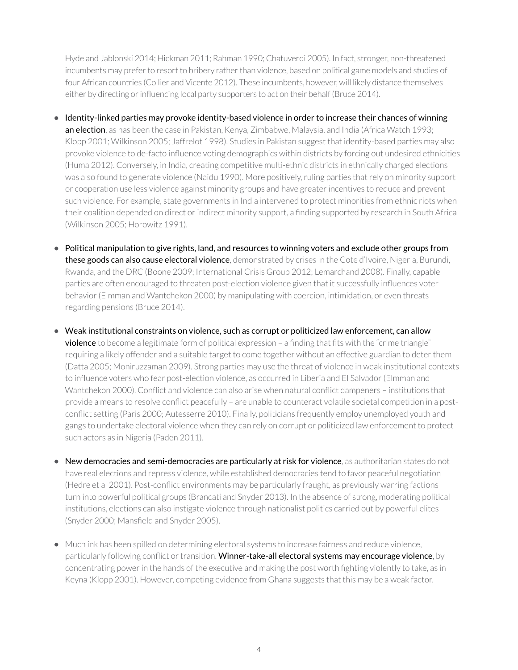Hyde and Jablonski 2014; Hickman 2011; Rahman 1990; Chatuverdi 2005). In fact, stronger, non-threatened incumbents may prefer to resort to bribery rather than violence, based on political game models and studies of four African countries (Collier and Vicente 2012). These incumbents, however, will likely distance themselves either by directing or influencing local party supporters to act on their behalf (Bruce 2014).

- Identity-linked parties may provoke identity-based violence in order to increase their chances of winning an election, as has been the case in Pakistan, Kenya, Zimbabwe, Malaysia, and India (Africa Watch 1993; Klopp 2001; Wilkinson 2005; Jaffrelot 1998). Studies in Pakistan suggest that identity-based parties may also provoke violence to de-facto influence voting demographics within districts by forcing out undesired ethnicities (Huma 2012). Conversely, in India, creating competitive multi-ethnic districts in ethnically charged elections was also found to generate violence (Naidu 1990). More positively, ruling parties that rely on minority support or cooperation use less violence against minority groups and have greater incentives to reduce and prevent such violence. For example, state governments in India intervened to protect minorities from ethnic riots when their coalition depended on direct or indirect minority support, a finding supported by research in South Africa (Wilkinson 2005; Horowitz 1991).
- Political manipulation to give rights, land, and resources to winning voters and exclude other groups from these goods can also cause electoral violence, demonstrated by crises in the Cote d'Ivoire, Nigeria, Burundi, Rwanda, and the DRC (Boone 2009; International Crisis Group 2012; Lemarchand 2008). Finally, capable parties are often encouraged to threaten post-election violence given that it successfully influences voter behavior (Elmman and Wantchekon 2000) by manipulating with coercion, intimidation, or even threats regarding pensions (Bruce 2014).
- Weak institutional constraints on violence, such as corrupt or politicized law enforcement, can allow violence to become a legitimate form of political expression - a finding that fits with the "crime triangle" requiring a likely offender and a suitable target to come together without an effective guardian to deter them (Datta 2005; Moniruzzaman 2009). Strong parties may use the threat of violence in weak institutional contexts to influence voters who fear post-election violence, as occurred in Liberia and El Salvador (Elmman and Wantchekon 2000). Conflict and violence can also arise when natural conflict dampeners – institutions that provide a means to resolve conflict peacefully – are unable to counteract volatile societal competition in a postconflict setting (Paris 2000; Autesserre 2010). Finally, politicians frequently employ unemployed youth and gangs to undertake electoral violence when they can rely on corrupt or politicized law enforcement to protect such actors as in Nigeria (Paden 2011).
- New democracies and semi-democracies are particularly at risk for violence, as authoritarian states do not have real elections and repress violence, while established democracies tend to favor peaceful negotiation (Hedre et al 2001). Post-conflict environments may be particularly fraught, as previously warring factions turn into powerful political groups (Brancati and Snyder 2013). In the absence of strong, moderating political institutions, elections can also instigate violence through nationalist politics carried out by powerful elites (Snyder 2000; Mansfield and Snyder 2005).
- Much ink has been spilled on determining electoral systems to increase fairness and reduce violence, particularly following conflict or transition. Winner-take-all electoral systems may encourage violence, by concentrating power in the hands of the executive and making the post worth fighting violently to take, as in Keyna (Klopp 2001). However, competing evidence from Ghana suggests that this may be a weak factor.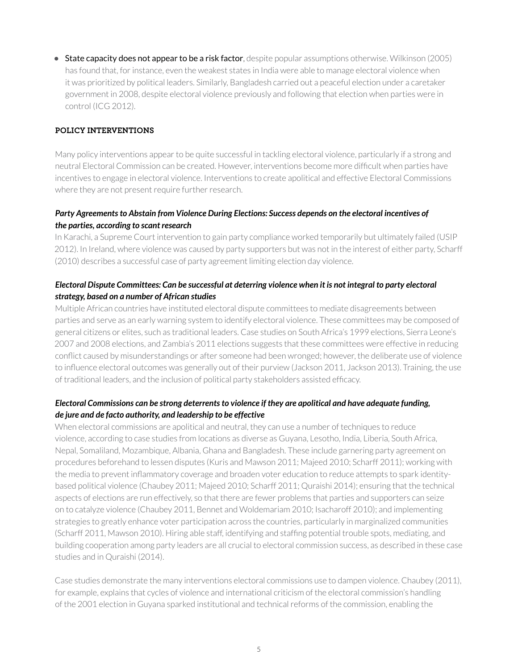• **State capacity does not appear to be a risk factor**, despite popular assumptions otherwise. Wilkinson (2005) has found that, for instance, even the weakest states in India were able to manage electoral violence when it was prioritized by political leaders. Similarly, Bangladesh carried out a peaceful election under a caretaker government in 2008, despite electoral violence previously and following that election when parties were in control (ICG 2012).

#### **POLICY INTERVENTIONS**

Many policy interventions appear to be quite successful in tackling electoral violence, particularly if a strong and neutral Electoral Commission can be created. However, interventions become more difficult when parties have incentives to engage in electoral violence. Interventions to create apolitical and effective Electoral Commissions where they are not present require further research.

#### *Party Agreements to Abstain from Violence During Elections: Success depends on the electoral incentives of the parties, according to scant research*

In Karachi, a Supreme Court intervention to gain party compliance worked temporarily but ultimately failed (USIP 2012). In Ireland, where violence was caused by party supporters but was not in the interest of either party, Scharff (2010) describes a successful case of party agreement limiting election day violence.

#### *Electoral Dispute Committees: Can be successful at deterring violence when it is not integral to party electoral strategy, based on a number of African studies*

Multiple African countries have instituted electoral dispute committees to mediate disagreements between parties and serve as an early warning system to identify electoral violence. These committees may be composed of general citizens or elites, such as traditional leaders. Case studies on South Africa's 1999 elections, Sierra Leone's 2007 and 2008 elections, and Zambia's 2011 elections suggests that these committees were effective in reducing conflict caused by misunderstandings or after someone had been wronged; however, the deliberate use of violence to influence electoral outcomes was generally out of their purview (Jackson 2011, Jackson 2013). Training, the use of traditional leaders, and the inclusion of political party stakeholders assisted efficacy.

#### *Electoral Commissions can be strong deterrents to violence if they are apolitical and have adequate funding, de jure and de facto authority, and leadership to be effective*

When electoral commissions are apolitical and neutral, they can use a number of techniques to reduce violence, according to case studies from locations as diverse as Guyana, Lesotho, India, Liberia, South Africa, Nepal, Somaliland, Mozambique, Albania, Ghana and Bangladesh. These include garnering party agreement on procedures beforehand to lessen disputes (Kuris and Mawson 2011; Majeed 2010; Scharff 2011); working with the media to prevent inflammatory coverage and broaden voter education to reduce attempts to spark identitybased political violence (Chaubey 2011; Majeed 2010; Scharff 2011; Quraishi 2014); ensuring that the technical aspects of elections are run effectively, so that there are fewer problems that parties and supporters can seize on to catalyze violence (Chaubey 2011, Bennet and Woldemariam 2010; Isacharoff 2010); and implementing strategies to greatly enhance voter participation across the countries, particularly in marginalized communities (Scharff 2011, Mawson 2010). Hiring able staff, identifying and staffing potential trouble spots, mediating, and building cooperation among party leaders are all crucial to electoral commission success, as described in these case studies and in Quraishi (2014).

Case studies demonstrate the many interventions electoral commissions use to dampen violence. Chaubey (2011), for example, explains that cycles of violence and international criticism of the electoral commission's handling of the 2001 election in Guyana sparked institutional and technical reforms of the commission, enabling the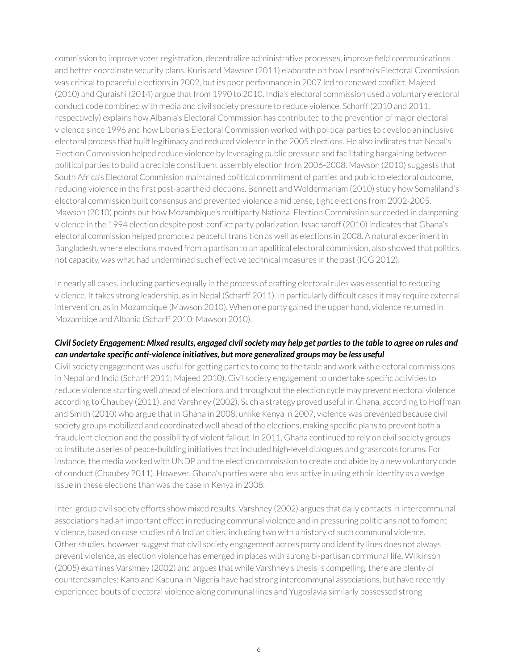commission to improve voter registration, decentralize administrative processes, improve field communications and better coordinate security plans. Kuris and Mawson (2011) elaborate on how Lesotho's Electoral Commission was critical to peaceful elections in 2002, but its poor performance in 2007 led to renewed conflict. Majeed (2010) and Quraishi (2014) argue that from 1990 to 2010, India's electoral commission used a voluntary electoral conduct code combined with media and civil society pressure to reduce violence. Scharff (2010 and 2011, respectively) explains how Albania's Electoral Commission has contributed to the prevention of major electoral violence since 1996 and how Liberia's Electoral Commission worked with political parties to develop an inclusive electoral process that built legitimacy and reduced violence in the 2005 elections. He also indicates that Nepal's Election Commission helped reduce violence by leveraging public pressure and facilitating bargaining between political parties to build a credible constituent assembly election from 2006-2008. Mawson (2010) suggests that South Africa's Electoral Commission maintained political commitment of parties and public to electoral outcome, reducing violence in the first post-apartheid elections. Bennett and Woldermariam (2010) study how Somaliland's electoral commission built consensus and prevented violence amid tense, tight elections from 2002-2005. Mawson (2010) points out how Mozambique's multiparty National Election Commission succeeded in dampening violence in the 1994 election despite post-conflict party polarization. Issacharoff (2010) indicates that Ghana's electoral commission helped promote a peaceful transition as well as elections in 2008. A natural experiment in Bangladesh, where elections moved from a partisan to an apolitical electoral commission, also showed that politics, not capacity, was what had undermined such effective technical measures in the past (ICG 2012).

In nearly all cases, including parties equally in the process of crafting electoral rules was essential to reducing violence. It takes strong leadership, as in Nepal (Scharff 2011). In particularly difficult cases it may require external intervention, as in Mozambique (Mawson 2010). When one party gained the upper hand, violence returned in Mozambiqe and Albania (Scharff 2010; Mawson 2010).

#### *Civil Society Engagement: Mixed results, engaged civil society may help get parties to the table to agree on rules and can undertake specific anti-violence initiatives, but more generalized groups may be less useful*

Civil society engagement was useful for getting parties to come to the table and work with electoral commissions in Nepal and India (Scharff 2011; Majeed 2010). Civil society engagement to undertake specific activities to reduce violence starting well ahead of elections and throughout the election cycle may prevent electoral violence according to Chaubey (2011), and Varshney (2002). Such a strategy proved useful in Ghana, according to Hoffman and Smith (2010) who argue that in Ghana in 2008, unlike Kenya in 2007, violence was prevented because civil society groups mobilized and coordinated well ahead of the elections, making specific plans to prevent both a fraudulent election and the possibility of violent fallout. In 2011, Ghana continued to rely on civil society groups to institute a series of peace-building initiatives that included high-level dialogues and grassroots forums. For instance, the media worked with UNDP and the election commission to create and abide by a new voluntary code of conduct (Chaubey 2011). However, Ghana's parties were also less active in using ethnic identity as a wedge issue in these elections than was the case in Kenya in 2008.

Inter-group civil society efforts show mixed results. Varshney (2002) argues that daily contacts in intercommunal associations had an important effect in reducing communal violence and in pressuring politicians not to foment violence, based on case studies of 6 Indian cities, including two with a history of such communal violence. Other studies, however, suggest that civil society engagement across party and identity lines does not always prevent violence, as election violence has emerged in places with strong bi-partisan communal life. Wilkinson (2005) examines Varshney (2002) and argues that while Varshney's thesis is compelling, there are plenty of counterexamples: Kano and Kaduna in Nigeria have had strong intercommunal associations, but have recently experienced bouts of electoral violence along communal lines and Yugoslavia similarly possessed strong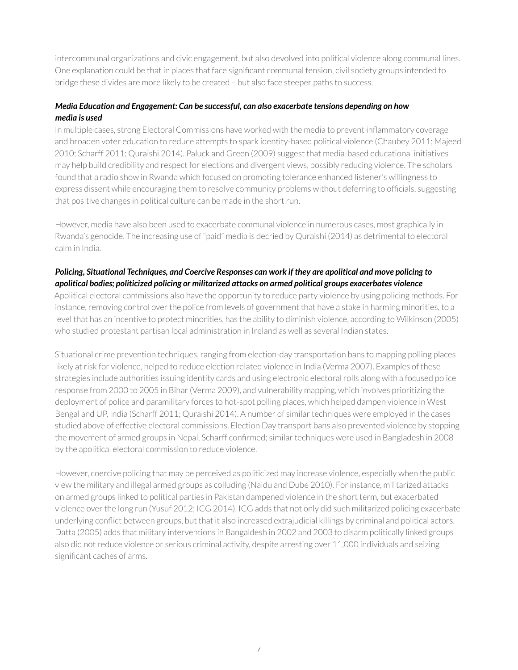intercommunal organizations and civic engagement, but also devolved into political violence along communal lines. One explanation could be that in places that face significant communal tension, civil society groups intended to bridge these divides are more likely to be created – but also face steeper paths to success.

#### *Media Education and Engagement: Can be successful, can also exacerbate tensions depending on how media is used*

In multiple cases, strong Electoral Commissions have worked with the media to prevent inflammatory coverage and broaden voter education to reduce attempts to spark identity-based political violence (Chaubey 2011; Majeed 2010; Scharff 2011; Quraishi 2014). Paluck and Green (2009) suggest that media-based educational initiatives may help build credibility and respect for elections and divergent views, possibly reducing violence. The scholars found that a radio show in Rwanda which focused on promoting tolerance enhanced listener's willingness to express dissent while encouraging them to resolve community problems without deferring to officials, suggesting that positive changes in political culture can be made in the short run.

However, media have also been used to exacerbate communal violence in numerous cases, most graphically in Rwanda's genocide. The increasing use of "paid" media is decried by Quraishi (2014) as detrimental to electoral calm in India.

#### *Policing, Situational Techniques, and Coercive Responses can work if they are apolitical and move policing to apolitical bodies; politicized policing or militarized attacks on armed political groups exacerbates violence*

Apolitical electoral commissions also have the opportunity to reduce party violence by using policing methods. For instance, removing control over the police from levels of government that have a stake in harming minorities, to a level that has an incentive to protect minorities, has the ability to diminish violence, according to Wilkinson (2005) who studied protestant partisan local administration in Ireland as well as several Indian states.

Situational crime prevention techniques, ranging from election-day transportation bans to mapping polling places likely at risk for violence, helped to reduce election related violence in India (Verma 2007). Examples of these strategies include authorities issuing identity cards and using electronic electoral rolls along with a focused police response from 2000 to 2005 in Bihar (Verma 2009), and vulnerability mapping, which involves prioritizing the deployment of police and paramilitary forces to hot-spot polling places, which helped dampen violence in West Bengal and UP, India (Scharff 2011; Quraishi 2014). A number of similar techniques were employed in the cases studied above of effective electoral commissions. Election Day transport bans also prevented violence by stopping the movement of armed groups in Nepal, Scharff confirmed; similar techniques were used in Bangladesh in 2008 by the apolitical electoral commission to reduce violence.

However, coercive policing that may be perceived as politicized may increase violence, especially when the public view the military and illegal armed groups as colluding (Naidu and Dube 2010). For instance, militarized attacks on armed groups linked to political parties in Pakistan dampened violence in the short term, but exacerbated violence over the long run (Yusuf 2012; ICG 2014). ICG adds that not only did such militarized policing exacerbate underlying conflict between groups, but that it also increased extrajudicial killings by criminal and political actors. Datta (2005) adds that military interventions in Bangaldesh in 2002 and 2003 to disarm politically linked groups also did not reduce violence or serious criminal activity, despite arresting over 11,000 individuals and seizing significant caches of arms.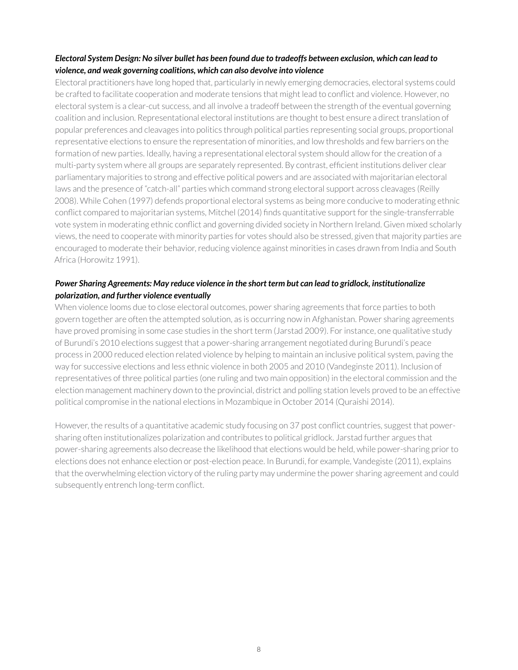#### *Electoral System Design: No silver bullet has been found due to tradeoffs between exclusion, which can lead to violence, and weak governing coalitions, which can also devolve into violence*

Electoral practitioners have long hoped that, particularly in newly emerging democracies, electoral systems could be crafted to facilitate cooperation and moderate tensions that might lead to conflict and violence. However, no electoral system is a clear-cut success, and all involve a tradeoff between the strength of the eventual governing coalition and inclusion. Representational electoral institutions are thought to best ensure a direct translation of popular preferences and cleavages into politics through political parties representing social groups, proportional representative elections to ensure the representation of minorities, and low thresholds and few barriers on the formation of new parties. Ideally, having a representational electoral system should allow for the creation of a multi-party system where all groups are separately represented. By contrast, efficient institutions deliver clear parliamentary majorities to strong and effective political powers and are associated with majoritarian electoral laws and the presence of "catch-all" parties which command strong electoral support across cleavages (Reilly 2008). While Cohen (1997) defends proportional electoral systems as being more conducive to moderating ethnic conflict compared to majoritarian systems, Mitchel (2014) finds quantitative support for the single-transferrable vote system in moderating ethnic conflict and governing divided society in Northern Ireland. Given mixed scholarly views, the need to cooperate with minority parties for votes should also be stressed, given that majority parties are encouraged to moderate their behavior, reducing violence against minorities in cases drawn from India and South Africa (Horowitz 1991).

#### *Power Sharing Agreements: May reduce violence in the short term but can lead to gridlock, institutionalize polarization, and further violence eventually*

When violence looms due to close electoral outcomes, power sharing agreements that force parties to both govern together are often the attempted solution, as is occurring now in Afghanistan. Power sharing agreements have proved promising in some case studies in the short term (Jarstad 2009). For instance, one qualitative study of Burundi's 2010 elections suggest that a power-sharing arrangement negotiated during Burundi's peace process in 2000 reduced election related violence by helping to maintain an inclusive political system, paving the way for successive elections and less ethnic violence in both 2005 and 2010 (Vandeginste 2011). Inclusion of representatives of three political parties (one ruling and two main opposition) in the electoral commission and the election management machinery down to the provincial, district and polling station levels proved to be an effective political compromise in the national elections in Mozambique in October 2014 (Quraishi 2014).

However, the results of a quantitative academic study focusing on 37 post conflict countries, suggest that powersharing often institutionalizes polarization and contributes to political gridlock. Jarstad further argues that power-sharing agreements also decrease the likelihood that elections would be held, while power-sharing prior to elections does not enhance election or post-election peace. In Burundi, for example, Vandegiste (2011), explains that the overwhelming election victory of the ruling party may undermine the power sharing agreement and could subsequently entrench long-term conflict.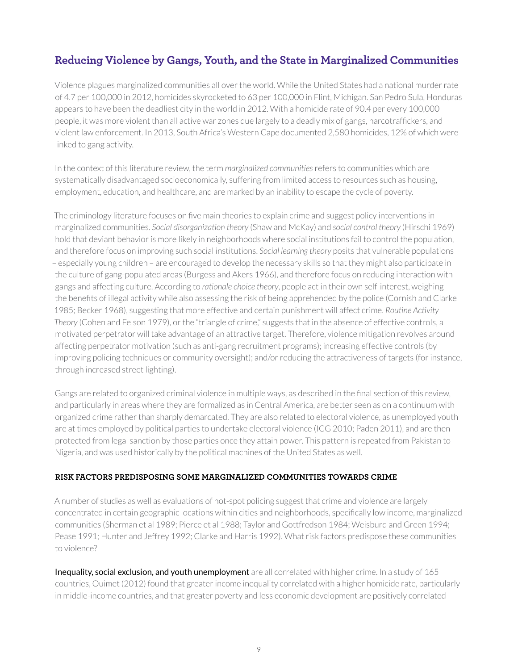## <span id="page-8-0"></span>**Reducing Violence by Gangs, Youth, and the State in Marginalized Communities**

Violence plagues marginalized communities all over the world. While the United States had a national murder rate of 4.7 per 100,000 in 2012, homicides skyrocketed to 63 per 100,000 in Flint, Michigan. San Pedro Sula, Honduras appears to have been the deadliest city in the world in 2012. With a homicide rate of 90.4 per every 100,000 people, it was more violent than all active war zones due largely to a deadly mix of gangs, narcotraffickers, and violent law enforcement. In 2013, South Africa's Western Cape documented 2,580 homicides, 12% of which were linked to gang activity.

In the context of this literature review, the term *marginalized communities* refers to communities which are systematically disadvantaged socioeconomically, suffering from limited access to resources such as housing, employment, education, and healthcare, and are marked by an inability to escape the cycle of poverty.

The criminology literature focuses on five main theories to explain crime and suggest policy interventions in marginalized communities. *Social disorganization theory* (Shaw and McKay) and *social control theory* (Hirschi 1969) hold that deviant behavior is more likely in neighborhoods where social institutions fail to control the population, and therefore focus on improving such social institutions. *Social learning theory* posits that vulnerable populations – especially young children – are encouraged to develop the necessary skills so that they might also participate in the culture of gang-populated areas (Burgess and Akers 1966), and therefore focus on reducing interaction with gangs and affecting culture. According to *rationale choice theory*, people act in their own self-interest, weighing the benefits of illegal activity while also assessing the risk of being apprehended by the police (Cornish and Clarke 1985; Becker 1968), suggesting that more effective and certain punishment will affect crime. *Routine Activity Theory* (Cohen and Felson 1979), or the "triangle of crime," suggests that in the absence of effective controls, a motivated perpetrator will take advantage of an attractive target. Therefore, violence mitigation revolves around affecting perpetrator motivation (such as anti-gang recruitment programs); increasing effective controls (by improving policing techniques or community oversight); and/or reducing the attractiveness of targets (for instance, through increased street lighting).

Gangs are related to organized criminal violence in multiple ways, as described in the final section of this review, and particularly in areas where they are formalized as in Central America, are better seen as on a continuum with organized crime rather than sharply demarcated. They are also related to electoral violence, as unemployed youth are at times employed by political parties to undertake electoral violence (ICG 2010; Paden 2011), and are then protected from legal sanction by those parties once they attain power. This pattern is repeated from Pakistan to Nigeria, and was used historically by the political machines of the United States as well.

#### **RISK FACTORS PREDISPOSING SOME MARGINALIZED COMMUNITIES TOWARDS CRIME**

A number of studies as well as evaluations of hot-spot policing suggest that crime and violence are largely concentrated in certain geographic locations within cities and neighborhoods, specifically low income, marginalized communities (Sherman et al 1989; Pierce et al 1988; Taylor and Gottfredson 1984; Weisburd and Green 1994; Pease 1991; Hunter and Jeffrey 1992; Clarke and Harris 1992). What risk factors predispose these communities to violence?

Inequality, social exclusion, and youth unemployment are all correlated with higher crime. In a study of 165 countries, Ouimet (2012) found that greater income inequality correlated with a higher homicide rate, particularly in middle-income countries, and that greater poverty and less economic development are positively correlated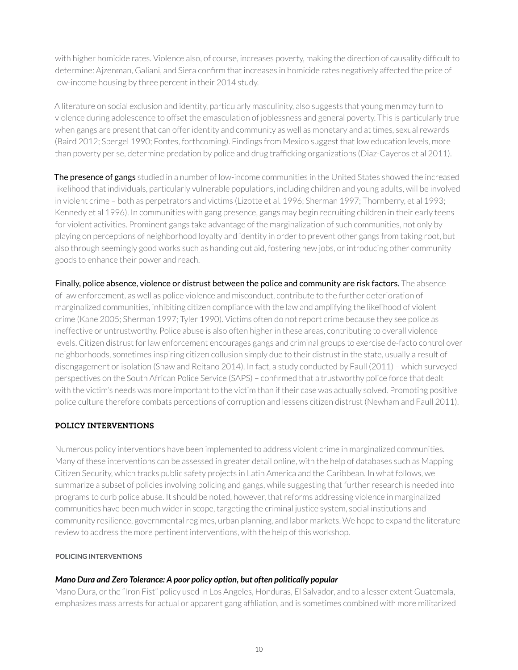with higher homicide rates. Violence also, of course, increases poverty, making the direction of causality difficult to determine: Ajzenman, Galiani, and Siera confirm that increases in homicide rates negatively affected the price of low-income housing by three percent in their 2014 study.

A literature on social exclusion and identity, particularly masculinity, also suggests that young men may turn to violence during adolescence to offset the emasculation of joblessness and general poverty. This is particularly true when gangs are present that can offer identity and community as well as monetary and at times, sexual rewards (Baird 2012; Spergel 1990; Fontes, forthcoming). Findings from Mexico suggest that low education levels, more than poverty per se, determine predation by police and drug trafficking organizations (Diaz-Cayeros et al 2011).

The presence of gangs studied in a number of low-income communities in the United States showed the increased likelihood that individuals, particularly vulnerable populations, including children and young adults, will be involved in violent crime – both as perpetrators and victims (Lizotte et al. 1996; Sherman 1997; Thornberry, et al 1993; Kennedy et al 1996). In communities with gang presence, gangs may begin recruiting children in their early teens for violent activities. Prominent gangs take advantage of the marginalization of such communities, not only by playing on perceptions of neighborhood loyalty and identity in order to prevent other gangs from taking root, but also through seemingly good works such as handing out aid, fostering new jobs, or introducing other community goods to enhance their power and reach.

Finally, police absence, violence or distrust between the police and community are risk factors. The absence of law enforcement, as well as police violence and misconduct, contribute to the further deterioration of marginalized communities, inhibiting citizen compliance with the law and amplifying the likelihood of violent crime (Kane 2005; Sherman 1997; Tyler 1990). Victims often do not report crime because they see police as ineffective or untrustworthy. Police abuse is also often higher in these areas, contributing to overall violence levels. Citizen distrust for law enforcement encourages gangs and criminal groups to exercise de-facto control over neighborhoods, sometimes inspiring citizen collusion simply due to their distrust in the state, usually a result of disengagement or isolation (Shaw and Reitano 2014). In fact, a study conducted by Faull (2011) – which surveyed perspectives on the South African Police Service (SAPS) – confirmed that a trustworthy police force that dealt with the victim's needs was more important to the victim than if their case was actually solved. Promoting positive police culture therefore combats perceptions of corruption and lessens citizen distrust (Newham and Faull 2011).

#### **POLICY INTERVENTIONS**

Numerous policy interventions have been implemented to address violent crime in marginalized communities. Many of these interventions can be assessed in greater detail online, with the help of databases such as Mapping Citizen Security, which tracks public safety projects in Latin America and the Caribbean. In what follows, we summarize a subset of policies involving policing and gangs, while suggesting that further research is needed into programs to curb police abuse. It should be noted, however, that reforms addressing violence in marginalized communities have been much wider in scope, targeting the criminal justice system, social institutions and community resilience, governmental regimes, urban planning, and labor markets. We hope to expand the literature review to address the more pertinent interventions, with the help of this workshop.

#### **POLICING INTERVENTIONS**

#### *Mano Dura and Zero Tolerance: A poor policy option, but often politically popular*

Mano Dura, or the "Iron Fist" policy used in Los Angeles, Honduras, El Salvador, and to a lesser extent Guatemala, emphasizes mass arrests for actual or apparent gang affiliation, and is sometimes combined with more militarized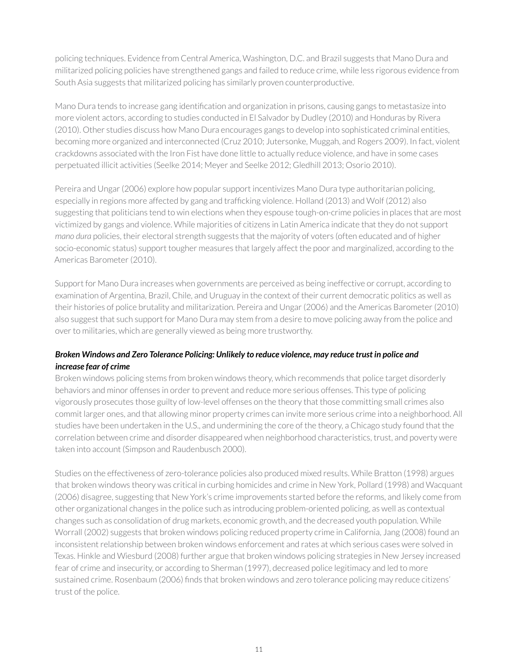policing techniques. Evidence from Central America, Washington, D.C. and Brazil suggests that Mano Dura and militarized policing policies have strengthened gangs and failed to reduce crime, while less rigorous evidence from South Asia suggests that militarized policing has similarly proven counterproductive.

Mano Dura tends to increase gang identification and organization in prisons, causing gangs to metastasize into more violent actors, according to studies conducted in El Salvador by Dudley (2010) and Honduras by Rivera (2010). Other studies discuss how Mano Dura encourages gangs to develop into sophisticated criminal entities, becoming more organized and interconnected (Cruz 2010; Jutersonke, Muggah, and Rogers 2009). In fact, violent crackdowns associated with the Iron Fist have done little to actually reduce violence, and have in some cases perpetuated illicit activities (Seelke 2014; Meyer and Seelke 2012; Gledhill 2013; Osorio 2010).

Pereira and Ungar (2006) explore how popular support incentivizes Mano Dura type authoritarian policing, especially in regions more affected by gang and trafficking violence. Holland (2013) and Wolf (2012) also suggesting that politicians tend to win elections when they espouse tough-on-crime policies in places that are most victimized by gangs and violence. While majorities of citizens in Latin America indicate that they do not support *mano dura* policies, their electoral strength suggests that the majority of voters (often educated and of higher socio-economic status) support tougher measures that largely affect the poor and marginalized, according to the Americas Barometer (2010).

Support for Mano Dura increases when governments are perceived as being ineffective or corrupt, according to examination of Argentina, Brazil, Chile, and Uruguay in the context of their current democratic politics as well as their histories of police brutality and militarization. Pereira and Ungar (2006) and the Americas Barometer (2010) also suggest that such support for Mano Dura may stem from a desire to move policing away from the police and over to militaries, which are generally viewed as being more trustworthy.

#### *Broken Windows and Zero Tolerance Policing: Unlikely to reduce violence, may reduce trust in police and increase fear of crime*

Broken windows policing stems from broken windows theory, which recommends that police target disorderly behaviors and minor offenses in order to prevent and reduce more serious offenses. This type of policing vigorously prosecutes those guilty of low-level offenses on the theory that those committing small crimes also commit larger ones, and that allowing minor property crimes can invite more serious crime into a neighborhood. All studies have been undertaken in the U.S., and undermining the core of the theory, a Chicago study found that the correlation between crime and disorder disappeared when neighborhood characteristics, trust, and poverty were taken into account (Simpson and Raudenbusch 2000).

Studies on the effectiveness of zero-tolerance policies also produced mixed results. While Bratton (1998) argues that broken windows theory was critical in curbing homicides and crime in New York, Pollard (1998) and Wacquant (2006) disagree, suggesting that New York's crime improvements started before the reforms, and likely come from other organizational changes in the police such as introducing problem-oriented policing, as well as contextual changes such as consolidation of drug markets, economic growth, and the decreased youth population. While Worrall (2002) suggests that broken windows policing reduced property crime in California, Jang (2008) found an inconsistent relationship between broken windows enforcement and rates at which serious cases were solved in Texas. Hinkle and Wiesburd (2008) further argue that broken windows policing strategies in New Jersey increased fear of crime and insecurity, or according to Sherman (1997), decreased police legitimacy and led to more sustained crime. Rosenbaum (2006) finds that broken windows and zero tolerance policing may reduce citizens' trust of the police.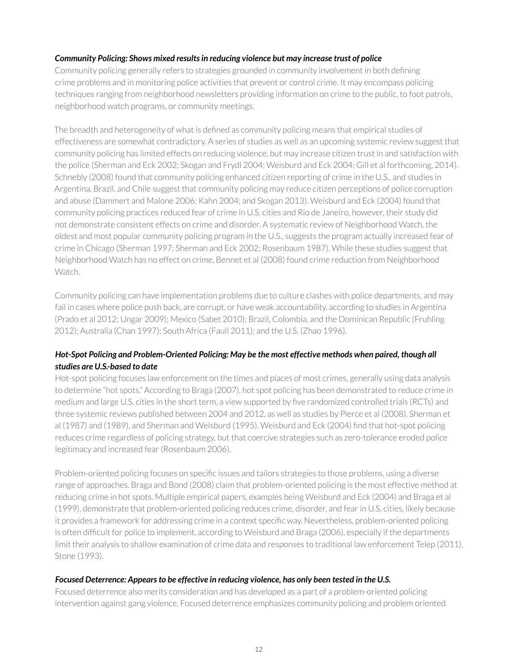#### *Community Policing: Shows mixed results in reducing violence but may increase trust of police*

Community policing generally refers to strategies grounded in community involvement in both defining crime problems and in monitoring police activities that prevent or control crime. It may encompass policing techniques ranging from neighborhood newsletters providing information on crime to the public, to foot patrols, neighborhood watch programs, or community meetings.

The breadth and heterogeneity of what is defined as community policing means that empirical studies of effectiveness are somewhat contradictory. A series of studies as well as an upcoming systemic review suggest that community policing has limited effects on reducing violence, but may increase citizen trust in and satisfaction with the police (Sherman and Eck 2002; Skogan and Frydl 2004; Weisburd and Eck 2004; Gill et al forthcoming, 2014). Schnebly (2008) found that community policing enhanced citizen reporting of crime in the U.S., and studies in Argentina, Brazil, and Chile suggest that community policing may reduce citizen perceptions of police corruption and abuse (Dammert and Malone 2006; Kahn 2004; and Skogan 2013). Weisburd and Eck (2004) found that community policing practices reduced fear of crime in U.S. cities and Rio de Janeiro, however, their study did not demonstrate consistent effects on crime and disorder. A systematic review of Neighborhood Watch, the oldest and most popular community policing program in the U.S., suggests the program actually increased fear of crime in Chicago (Sherman 1997; Sherman and Eck 2002; Rosenbaum 1987). While these studies suggest that Neighborhood Watch has no effect on crime, Bennet et al (2008) found crime reduction from Neighborhood Watch.

Community policing can have implementation problems due to culture clashes with police departments, and may fail in cases where police push back, are corrupt, or have weak accountability, according to studies in Argentina (Prado et al 2012; Ungar 2009); Mexico (Sabet 2010); Brazil, Colombia, and the Dominican Republic (Fruhling 2012); Australia (Chan 1997); South Africa (Faull 2011); and the U.S. (Zhao 1996).

#### *Hot-Spot Policing and Problem-Oriented Policing: May be the most effective methods when paired, though all studies are U.S.-based to date*

Hot-spot policing focuses law enforcement on the times and places of most crimes, generally using data analysis to determine "hot spots." According to Braga (2007), hot spot policing has been demonstrated to reduce crime in medium and large U.S. cities in the short term, a view supported by five randomized controlled trials (RCTs) and three systemic reviews published between 2004 and 2012, as well as studies by Pierce et al (2008), Sherman et al (1987) and (1989), and Sherman and Weisburd (1995). Weisburd and Eck (2004) find that hot-spot policing reduces crime regardless of policing strategy, but that coercive strategies such as zero-tolerance eroded police legitimacy and increased fear (Rosenbaum 2006).

Problem-oriented policing focuses on specific issues and tailors strategies to those problems, using a diverse range of approaches. Braga and Bond (2008) claim that problem-oriented policing is the most effective method at reducing crime in hot spots. Multiple empirical papers, examples being Weisburd and Eck (2004) and Braga et al (1999), demonstrate that problem-oriented policing reduces crime, disorder, and fear in U.S. cities, likely because it provides a framework for addressing crime in a context specific way. Nevertheless, problem-oriented policing is often difficult for police to implement, according to Weisburd and Braga (2006), especially if the departments limit their analysis to shallow examination of crime data and responses to traditional law enforcement Telep (2011), Stone (1993).

#### *Focused Deterrence: Appears to be effective in reducing violence, has only been tested in the U.S.*

Focused deterrence also merits consideration and has developed as a part of a problem-oriented policing intervention against gang violence. Focused deterrence emphasizes community policing and problem oriented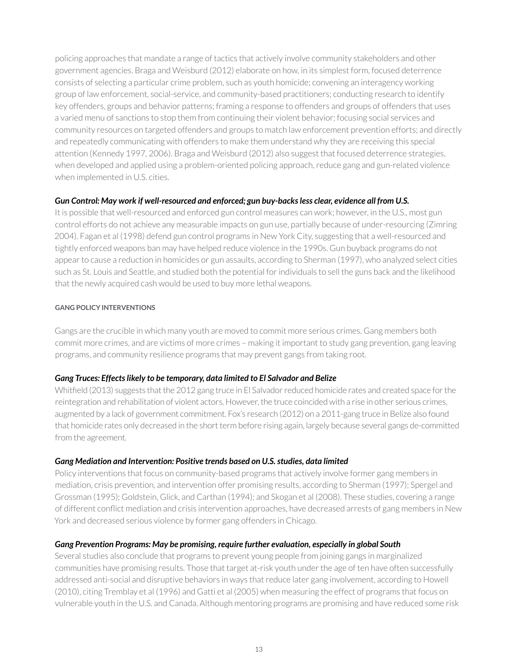policing approaches that mandate a range of tactics that actively involve community stakeholders and other government agencies. Braga and Weisburd (2012) elaborate on how, in its simplest form, focused deterrence consists of selecting a particular crime problem, such as youth homicide; convening an interagency working group of law enforcement, social-service, and community-based practitioners; conducting research to identify key offenders, groups and behavior patterns; framing a response to offenders and groups of offenders that uses a varied menu of sanctions to stop them from continuing their violent behavior; focusing social services and community resources on targeted offenders and groups to match law enforcement prevention efforts; and directly and repeatedly communicating with offenders to make them understand why they are receiving this special attention (Kennedy 1997, 2006). Braga and Weisburd (2012) also suggest that focused deterrence strategies, when developed and applied using a problem-oriented policing approach, reduce gang and gun-related violence when implemented in U.S. cities.

#### *Gun Control: May work if well-resourced and enforced; gun buy-backs less clear, evidence all from U.S.*

It is possible that well-resourced and enforced gun control measures can work; however, in the U.S., most gun control efforts do not achieve any measurable impacts on gun use, partially because of under-resourcing (Zimring 2004). Fagan et al (1998) defend gun control programs in New York City, suggesting that a well-resourced and tightly enforced weapons ban may have helped reduce violence in the 1990s. Gun buyback programs do not appear to cause a reduction in homicides or gun assaults, according to Sherman (1997), who analyzed select cities such as St. Louis and Seattle, and studied both the potential for individuals to sell the guns back and the likelihood that the newly acquired cash would be used to buy more lethal weapons.

#### **GANG POLICY INTERVENTIONS**

Gangs are the crucible in which many youth are moved to commit more serious crimes. Gang members both commit more crimes, and are victims of more crimes – making it important to study gang prevention, gang leaving programs, and community resilience programs that may prevent gangs from taking root.

#### *Gang Truces: Effects likely to be temporary, data limited to El Salvador and Belize*

Whitfield (2013) suggests that the 2012 gang truce in El Salvador reduced homicide rates and created space for the reintegration and rehabilitation of violent actors. However, the truce coincided with a rise in other serious crimes, augmented by a lack of government commitment. Fox's research (2012) on a 2011-gang truce in Belize also found that homicide rates only decreased in the short term before rising again, largely because several gangs de-committed from the agreement.

#### *Gang Mediation and Intervention: Positive trends based on U.S. studies, data limited*

Policy interventions that focus on community-based programs that actively involve former gang members in mediation, crisis prevention, and intervention offer promising results, according to Sherman (1997); Spergel and Grossman (1995); Goldstein, Glick, and Carthan (1994); and Skogan et al (2008). These studies, covering a range of different conflict mediation and crisis intervention approaches, have decreased arrests of gang members in New York and decreased serious violence by former gang offenders in Chicago.

#### *Gang Prevention Programs: May be promising, require further evaluation, especially in global South*

Several studies also conclude that programs to prevent young people from joining gangs in marginalized communities have promising results. Those that target at-risk youth under the age of ten have often successfully addressed anti-social and disruptive behaviors in ways that reduce later gang involvement, according to Howell (2010), citing Tremblay et al (1996) and Gatti et al (2005) when measuring the effect of programs that focus on vulnerable youth in the U.S. and Canada. Although mentoring programs are promising and have reduced some risk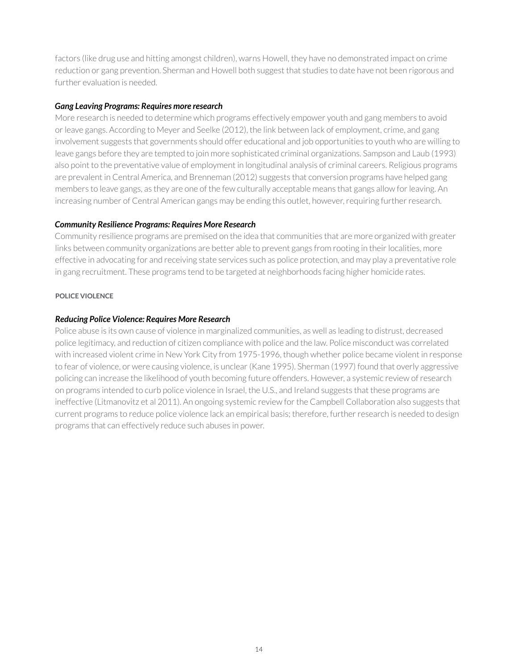factors (like drug use and hitting amongst children), warns Howell, they have no demonstrated impact on crime reduction or gang prevention. Sherman and Howell both suggest that studies to date have not been rigorous and further evaluation is needed.

#### *Gang Leaving Programs: Requires more research*

More research is needed to determine which programs effectively empower youth and gang members to avoid or leave gangs. According to Meyer and Seelke (2012), the link between lack of employment, crime, and gang involvement suggests that governments should offer educational and job opportunities to youth who are willing to leave gangs before they are tempted to join more sophisticated criminal organizations. Sampson and Laub (1993) also point to the preventative value of employment in longitudinal analysis of criminal careers. Religious programs are prevalent in Central America, and Brenneman (2012) suggests that conversion programs have helped gang members to leave gangs, as they are one of the few culturally acceptable means that gangs allow for leaving. An increasing number of Central American gangs may be ending this outlet, however, requiring further research.

#### *Community Resilience Programs: Requires More Research*

Community resilience programs are premised on the idea that communities that are more organized with greater links between community organizations are better able to prevent gangs from rooting in their localities, more effective in advocating for and receiving state services such as police protection, and may play a preventative role in gang recruitment. These programs tend to be targeted at neighborhoods facing higher homicide rates.

#### **POLICE VIOLENCE**

#### *Reducing Police Violence: Requires More Research*

Police abuse is its own cause of violence in marginalized communities, as well as leading to distrust, decreased police legitimacy, and reduction of citizen compliance with police and the law. Police misconduct was correlated with increased violent crime in New York City from 1975-1996, though whether police became violent in response to fear of violence, or were causing violence, is unclear (Kane 1995). Sherman (1997) found that overly aggressive policing can increase the likelihood of youth becoming future offenders. However, a systemic review of research on programs intended to curb police violence in Israel, the U.S., and Ireland suggests that these programs are ineffective (Litmanovitz et al 2011). An ongoing systemic review for the Campbell Collaboration also suggests that current programs to reduce police violence lack an empirical basis; therefore, further research is needed to design programs that can effectively reduce such abuses in power.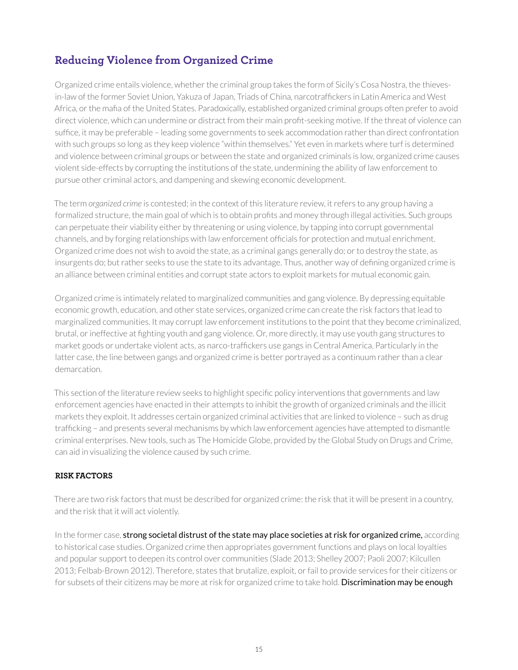## <span id="page-14-0"></span>**Reducing Violence from Organized Crime**

Organized crime entails violence, whether the criminal group takes the form of Sicily's Cosa Nostra, the thievesin-law of the former Soviet Union, Yakuza of Japan, Triads of China, narcotraffickers in Latin America and West Africa, or the mafia of the United States. Paradoxically, established organized criminal groups often prefer to avoid direct violence, which can undermine or distract from their main profit-seeking motive. If the threat of violence can suffice, it may be preferable – leading some governments to seek accommodation rather than direct confrontation with such groups so long as they keep violence "within themselves." Yet even in markets where turf is determined and violence between criminal groups or between the state and organized criminals is low, organized crime causes violent side-effects by corrupting the institutions of the state, undermining the ability of law enforcement to pursue other criminal actors, and dampening and skewing economic development.

The term *organized crime* is contested; in the context of this literature review, it refers to any group having a formalized structure, the main goal of which is to obtain profits and money through illegal activities. Such groups can perpetuate their viability either by threatening or using violence, by tapping into corrupt governmental channels, and by forging relationships with law enforcement officials for protection and mutual enrichment. Organized crime does not wish to avoid the state, as a criminal gangs generally do; or to destroy the state, as insurgents do; but rather seeks to use the state to its advantage. Thus, another way of defining organized crime is an alliance between criminal entities and corrupt state actors to exploit markets for mutual economic gain.

Organized crime is intimately related to marginalized communities and gang violence. By depressing equitable economic growth, education, and other state services, organized crime can create the risk factors that lead to marginalized communities. It may corrupt law enforcement institutions to the point that they become criminalized, brutal, or ineffective at fighting youth and gang violence. Or, more directly, it may use youth gang structures to market goods or undertake violent acts, as narco-traffickers use gangs in Central America. Particularly in the latter case, the line between gangs and organized crime is better portrayed as a continuum rather than a clear demarcation.

This section of the literature review seeks to highlight specific policy interventions that governments and law enforcement agencies have enacted in their attempts to inhibit the growth of organized criminals and the illicit markets they exploit. It addresses certain organized criminal activities that are linked to violence – such as drug trafficking – and presents several mechanisms by which law enforcement agencies have attempted to dismantle criminal enterprises. New tools, such as The Homicide Globe, provided by the Global Study on Drugs and Crime, can aid in visualizing the violence caused by such crime.

#### **RISK FACTORS**

There are two risk factors that must be described for organized crime: the risk that it will be present in a country, and the risk that it will act violently.

In the former case, strong societal distrust of the state may place societies at risk for organized crime, according to historical case studies. Organized crime then appropriates government functions and plays on local loyalties and popular support to deepen its control over communities (Slade 2013; Shelley 2007; Paoli 2007; Kilcullen 2013; Felbab-Brown 2012). Therefore, states that brutalize, exploit, or fail to provide services for their citizens or for subsets of their citizens may be more at risk for organized crime to take hold. Discrimination may be enough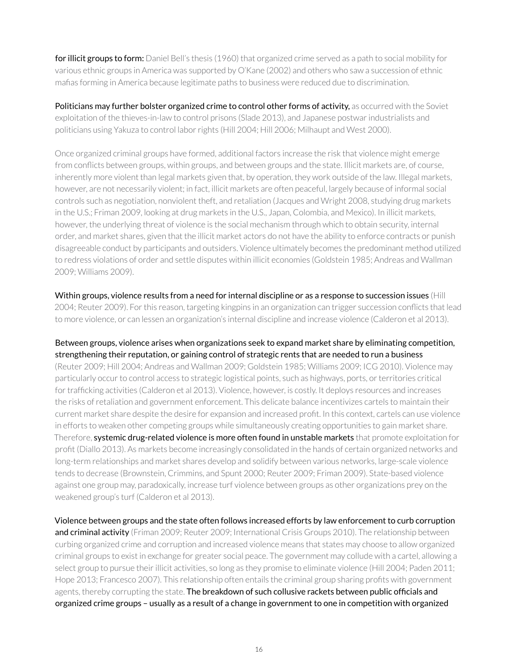for illicit groups to form: Daniel Bell's thesis (1960) that organized crime served as a path to social mobility for various ethnic groups in America was supported by O'Kane (2002) and others who saw a succession of ethnic mafias forming in America because legitimate paths to business were reduced due to discrimination.

Politicians may further bolster organized crime to control other forms of activity, as occurred with the Soviet exploitation of the thieves-in-law to control prisons (Slade 2013), and Japanese postwar industrialists and politicians using Yakuza to control labor rights (Hill 2004; Hill 2006; Milhaupt and West 2000).

Once organized criminal groups have formed, additional factors increase the risk that violence might emerge from conflicts between groups, within groups, and between groups and the state. Illicit markets are, of course, inherently more violent than legal markets given that, by operation, they work outside of the law. Illegal markets, however, are not necessarily violent; in fact, illicit markets are often peaceful, largely because of informal social controls such as negotiation, nonviolent theft, and retaliation (Jacques and Wright 2008, studying drug markets in the U.S.; Friman 2009, looking at drug markets in the U.S., Japan, Colombia, and Mexico). In illicit markets, however, the underlying threat of violence is the social mechanism through which to obtain security, internal order, and market shares, given that the illicit market actors do not have the ability to enforce contracts or punish disagreeable conduct by participants and outsiders. Violence ultimately becomes the predominant method utilized to redress violations of order and settle disputes within illicit economies (Goldstein 1985; Andreas and Wallman 2009; Williams 2009).

Within groups, violence results from a need for internal discipline or as a response to succession issues (Hill 2004; Reuter 2009). For this reason, targeting kingpins in an organization can trigger succession conflicts that lead to more violence, or can lessen an organization's internal discipline and increase violence (Calderon et al 2013).

Between groups, violence arises when organizations seek to expand market share by eliminating competition, strengthening their reputation, or gaining control of strategic rents that are needed to run a business (Reuter 2009; Hill 2004; Andreas and Wallman 2009; Goldstein 1985; Williams 2009; ICG 2010). Violence may particularly occur to control access to strategic logistical points, such as highways, ports, or territories critical for trafficking activities (Calderon et al 2013). Violence, however, is costly. It deploys resources and increases the risks of retaliation and government enforcement. This delicate balance incentivizes cartels to maintain their current market share despite the desire for expansion and increased profit. In this context, cartels can use violence in efforts to weaken other competing groups while simultaneously creating opportunities to gain market share. Therefore, systemic drug-related violence is more often found in unstable markets that promote exploitation for profit (Diallo 2013). As markets become increasingly consolidated in the hands of certain organized networks and long-term relationships and market shares develop and solidify between various networks, large-scale violence tends to decrease (Brownstein, Crimmins, and Spunt 2000; Reuter 2009; Friman 2009). State-based violence against one group may, paradoxically, increase turf violence between groups as other organizations prey on the weakened group's turf (Calderon et al 2013).

Violence between groups and the state often follows increased efforts by law enforcement to curb corruption and criminal activity (Friman 2009; Reuter 2009; International Crisis Groups 2010). The relationship between curbing organized crime and corruption and increased violence means that states may choose to allow organized criminal groups to exist in exchange for greater social peace. The government may collude with a cartel, allowing a select group to pursue their illicit activities, so long as they promise to eliminate violence (Hill 2004; Paden 2011; Hope 2013; Francesco 2007). This relationship often entails the criminal group sharing profits with government agents, thereby corrupting the state. The breakdown of such collusive rackets between public officials and organized crime groups – usually as a result of a change in government to one in competition with organized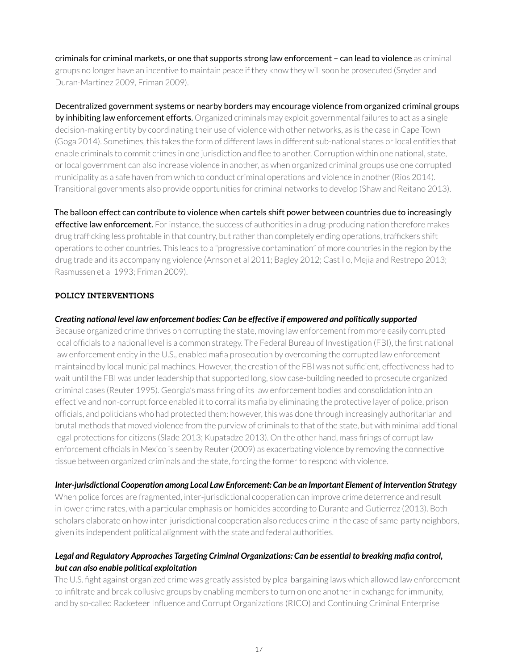criminals for criminal markets, or one that supports strong law enforcement – can lead to violence as criminal groups no longer have an incentive to maintain peace if they know they will soon be prosecuted (Snyder and Duran-Martinez 2009, Friman 2009).

Decentralized government systems or nearby borders may encourage violence from organized criminal groups by inhibiting law enforcement efforts. Organized criminals may exploit governmental failures to act as a single decision-making entity by coordinating their use of violence with other networks, as is the case in Cape Town (Goga 2014). Sometimes, this takes the form of different laws in different sub-national states or local entities that enable criminals to commit crimes in one jurisdiction and flee to another. Corruption within one national, state, or local government can also increase violence in another, as when organized criminal groups use one corrupted municipality as a safe haven from which to conduct criminal operations and violence in another (Rios 2014). Transitional governments also provide opportunities for criminal networks to develop (Shaw and Reitano 2013).

The balloon effect can contribute to violence when cartels shift power between countries due to increasingly effective law enforcement. For instance, the success of authorities in a drug-producing nation therefore makes drug trafficking less profitable in that country, but rather than completely ending operations, traffickers shift operations to other countries. This leads to a "progressive contamination" of more countries in the region by the drug trade and its accompanying violence (Arnson et al 2011; Bagley 2012; Castillo, Mejia and Restrepo 2013; Rasmussen et al 1993; Friman 2009).

#### **POLICY INTERVENTIONS**

#### *Creating national level law enforcement bodies: Can be effective if empowered and politically supported*

Because organized crime thrives on corrupting the state, moving law enforcement from more easily corrupted local officials to a national level is a common strategy. The Federal Bureau of Investigation (FBI), the first national law enforcement entity in the U.S., enabled mafia prosecution by overcoming the corrupted law enforcement maintained by local municipal machines. However, the creation of the FBI was not sufficient, effectiveness had to wait until the FBI was under leadership that supported long, slow case-building needed to prosecute organized criminal cases (Reuter 1995). Georgia's mass firing of its law enforcement bodies and consolidation into an effective and non-corrupt force enabled it to corral its mafia by eliminating the protective layer of police, prison officials, and politicians who had protected them: however, this was done through increasingly authoritarian and brutal methods that moved violence from the purview of criminals to that of the state, but with minimal additional legal protections for citizens (Slade 2013; Kupatadze 2013). On the other hand, mass firings of corrupt law enforcement officials in Mexico is seen by Reuter (2009) as exacerbating violence by removing the connective tissue between organized criminals and the state, forcing the former to respond with violence.

#### *Inter-jurisdictional Cooperation among Local Law Enforcement: Can be an Important Element of Intervention Strategy*

When police forces are fragmented, inter-jurisdictional cooperation can improve crime deterrence and result in lower crime rates, with a particular emphasis on homicides according to Durante and Gutierrez (2013). Both scholars elaborate on how inter-jurisdictional cooperation also reduces crime in the case of same-party neighbors, given its independent political alignment with the state and federal authorities.

#### *Legal and Regulatory Approaches Targeting Criminal Organizations: Can be essential to breaking mafia control, but can also enable political exploitation*

The U.S. fight against organized crime was greatly assisted by plea-bargaining laws which allowed law enforcement to infiltrate and break collusive groups by enabling members to turn on one another in exchange for immunity, and by so-called Racketeer Influence and Corrupt Organizations (RICO) and Continuing Criminal Enterprise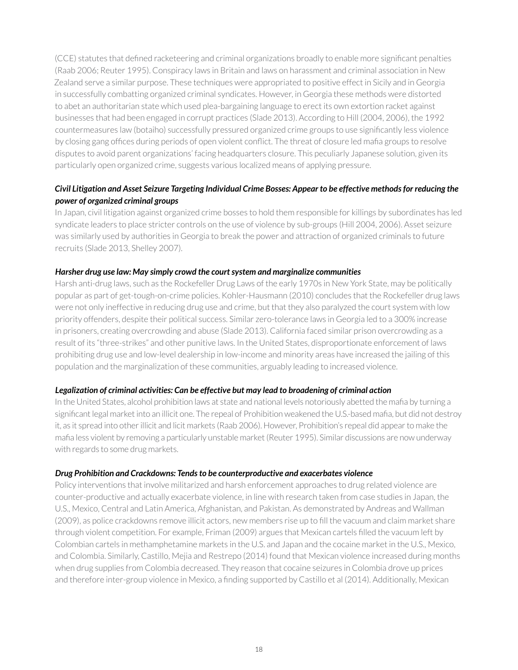(CCE) statutes that defined racketeering and criminal organizations broadly to enable more significant penalties (Raab 2006; Reuter 1995). Conspiracy laws in Britain and laws on harassment and criminal association in New Zealand serve a similar purpose. These techniques were appropriated to positive effect in Sicily and in Georgia in successfully combatting organized criminal syndicates. However, in Georgia these methods were distorted to abet an authoritarian state which used plea-bargaining language to erect its own extortion racket against businesses that had been engaged in corrupt practices (Slade 2013). According to Hill (2004, 2006), the 1992 countermeasures law (botaiho) successfully pressured organized crime groups to use significantly less violence by closing gang offices during periods of open violent conflict. The threat of closure led mafia groups to resolve disputes to avoid parent organizations' facing headquarters closure. This peculiarly Japanese solution, given its particularly open organized crime, suggests various localized means of applying pressure.

#### *Civil Litigation and Asset Seizure Targeting Individual Crime Bosses: Appear to be effective methods for reducing the power of organized criminal groups*

In Japan, civil litigation against organized crime bosses to hold them responsible for killings by subordinates has led syndicate leaders to place stricter controls on the use of violence by sub-groups (Hill 2004, 2006). Asset seizure was similarly used by authorities in Georgia to break the power and attraction of organized criminals to future recruits (Slade 2013, Shelley 2007).

#### *Harsher drug use law: May simply crowd the court system and marginalize communities*

Harsh anti-drug laws, such as the Rockefeller Drug Laws of the early 1970s in New York State, may be politically popular as part of get-tough-on-crime policies. Kohler-Hausmann (2010) concludes that the Rockefeller drug laws were not only ineffective in reducing drug use and crime, but that they also paralyzed the court system with low priority offenders, despite their political success. Similar zero-tolerance laws in Georgia led to a 300% increase in prisoners, creating overcrowding and abuse (Slade 2013). California faced similar prison overcrowding as a result of its "three-strikes" and other punitive laws. In the United States, disproportionate enforcement of laws prohibiting drug use and low-level dealership in low-income and minority areas have increased the jailing of this population and the marginalization of these communities, arguably leading to increased violence.

#### *Legalization of criminal activities: Can be effective but may lead to broadening of criminal action*

In the United States, alcohol prohibition laws at state and national levels notoriously abetted the mafia by turning a significant legal market into an illicit one. The repeal of Prohibition weakened the U.S.-based mafia, but did not destroy it, as it spread into other illicit and licit markets (Raab 2006). However, Prohibition's repeal did appear to make the mafia less violent by removing a particularly unstable market (Reuter 1995). Similar discussions are now underway with regards to some drug markets.

#### *Drug Prohibition and Crackdowns: Tends to be counterproductive and exacerbates violence*

Policy interventions that involve militarized and harsh enforcement approaches to drug related violence are counter-productive and actually exacerbate violence, in line with research taken from case studies in Japan, the U.S., Mexico, Central and Latin America, Afghanistan, and Pakistan. As demonstrated by Andreas and Wallman (2009), as police crackdowns remove illicit actors, new members rise up to fill the vacuum and claim market share through violent competition. For example, Friman (2009) argues that Mexican cartels filled the vacuum left by Colombian cartels in methamphetamine markets in the U.S. and Japan and the cocaine market in the U.S., Mexico, and Colombia. Similarly, Castillo, Mejia and Restrepo (2014) found that Mexican violence increased during months when drug supplies from Colombia decreased. They reason that cocaine seizures in Colombia drove up prices and therefore inter-group violence in Mexico, a finding supported by Castillo et al (2014). Additionally, Mexican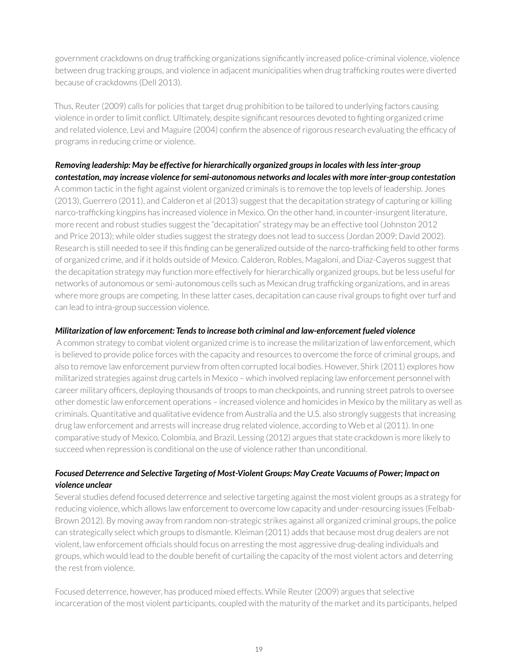government crackdowns on drug trafficking organizations significantly increased police-criminal violence, violence between drug tracking groups, and violence in adjacent municipalities when drug trafficking routes were diverted because of crackdowns (Dell 2013).

Thus, Reuter (2009) calls for policies that target drug prohibition to be tailored to underlying factors causing violence in order to limit conflict. Ultimately, despite significant resources devoted to fighting organized crime and related violence, Levi and Maguire (2004) confirm the absence of rigorous research evaluating the efficacy of programs in reducing crime or violence.

#### *Removing leadership: May be effective for hierarchically organized groups in locales with less inter-group contestation, may increase violence for semi-autonomous networks and locales with more inter-group contestation*

A common tactic in the fight against violent organized criminals is to remove the top levels of leadership. Jones (2013), Guerrero (2011), and Calderon et al (2013) suggest that the decapitation strategy of capturing or killing narco-trafficking kingpins has increased violence in Mexico. On the other hand, in counter-insurgent literature, more recent and robust studies suggest the "decapitation" strategy may be an effective tool (Johnston 2012 and Price 2013); while older studies suggest the strategy does not lead to success (Jordan 2009; David 2002). Research is still needed to see if this finding can be generalized outside of the narco-trafficking field to other forms of organized crime, and if it holds outside of Mexico. Calderon, Robles, Magaloni, and Diaz-Cayeros suggest that the decapitation strategy may function more effectively for hierarchically organized groups, but be less useful for networks of autonomous or semi-autonomous cells such as Mexican drug trafficking organizations, and in areas where more groups are competing. In these latter cases, decapitation can cause rival groups to fight over turf and can lead to intra-group succession violence.

#### *Militarization of law enforcement: Tends to increase both criminal and law-enforcement fueled violence*

 A common strategy to combat violent organized crime is to increase the militarization of law enforcement, which is believed to provide police forces with the capacity and resources to overcome the force of criminal groups, and also to remove law enforcement purview from often corrupted local bodies. However, Shirk (2011) explores how militarized strategies against drug cartels in Mexico – which involved replacing law enforcement personnel with career military officers, deploying thousands of troops to man checkpoints, and running street patrols to oversee other domestic law enforcement operations – increased violence and homicides in Mexico by the military as well as criminals. Quantitative and qualitative evidence from Australia and the U.S. also strongly suggests that increasing drug law enforcement and arrests will increase drug related violence, according to Web et al (2011). In one comparative study of Mexico, Colombia, and Brazil, Lessing (2012) argues that state crackdown is more likely to succeed when repression is conditional on the use of violence rather than unconditional.

#### *Focused Deterrence and Selective Targeting of Most-Violent Groups: May Create Vacuums of Power; Impact on violence unclear*

Several studies defend focused deterrence and selective targeting against the most violent groups as a strategy for reducing violence, which allows law enforcement to overcome low capacity and under-resourcing issues (Felbab-Brown 2012). By moving away from random non-strategic strikes against all organized criminal groups, the police can strategically select which groups to dismantle. Kleiman (2011) adds that because most drug dealers are not violent, law enforcement officials should focus on arresting the most aggressive drug-dealing individuals and groups, which would lead to the double benefit of curtailing the capacity of the most violent actors and deterring the rest from violence.

Focused deterrence, however, has produced mixed effects. While Reuter (2009) argues that selective incarceration of the most violent participants, coupled with the maturity of the market and its participants, helped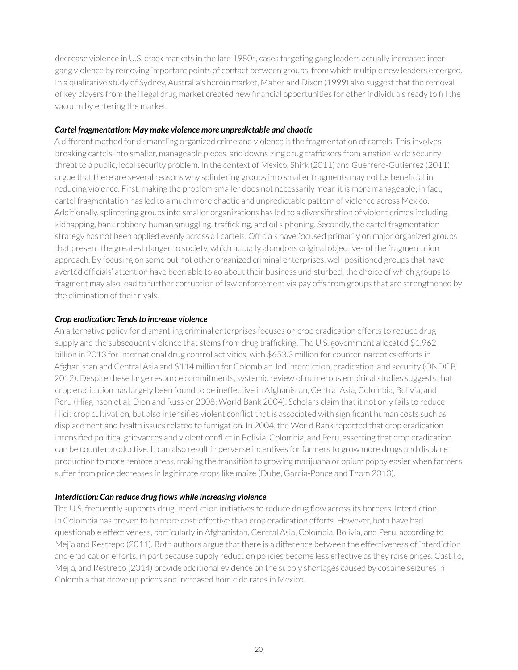decrease violence in U.S. crack markets in the late 1980s, cases targeting gang leaders actually increased intergang violence by removing important points of contact between groups, from which multiple new leaders emerged. In a qualitative study of Sydney, Australia's heroin market, Maher and Dixon (1999) also suggest that the removal of key players from the illegal drug market created new financial opportunities for other individuals ready to fill the vacuum by entering the market.

#### *Cartel fragmentation: May make violence more unpredictable and chaotic*

A different method for dismantling organized crime and violence is the fragmentation of cartels. This involves breaking cartels into smaller, manageable pieces, and downsizing drug traffickers from a nation-wide security threat to a public, local security problem. In the context of Mexico, Shirk (2011) and Guerrero-Gutierrez (2011) argue that there are several reasons why splintering groups into smaller fragments may not be beneficial in reducing violence. First, making the problem smaller does not necessarily mean it is more manageable; in fact, cartel fragmentation has led to a much more chaotic and unpredictable pattern of violence across Mexico. Additionally, splintering groups into smaller organizations has led to a diversification of violent crimes including kidnapping, bank robbery, human smuggling, trafficking, and oil siphoning. Secondly, the cartel fragmentation strategy has not been applied evenly across all cartels. Officials have focused primarily on major organized groups that present the greatest danger to society, which actually abandons original objectives of the fragmentation approach. By focusing on some but not other organized criminal enterprises, well-positioned groups that have averted officials' attention have been able to go about their business undisturbed; the choice of which groups to fragment may also lead to further corruption of law enforcement via pay offs from groups that are strengthened by the elimination of their rivals.

#### *Crop eradication: Tends to increase violence*

An alternative policy for dismantling criminal enterprises focuses on crop eradication efforts to reduce drug supply and the subsequent violence that stems from drug trafficking. The U.S. government allocated \$1.962 billion in 2013 for international drug control activities, with \$653.3 million for counter-narcotics efforts in Afghanistan and Central Asia and \$114 million for Colombian-led interdiction, eradication, and security (ONDCP, 2012). Despite these large resource commitments, systemic review of numerous empirical studies suggests that crop eradication has largely been found to be ineffective in Afghanistan, Central Asia, Colombia, Bolivia, and Peru (Higginson et al; Dion and Russler 2008; World Bank 2004). Scholars claim that it not only fails to reduce illicit crop cultivation, but also intensifies violent conflict that is associated with significant human costs such as displacement and health issues related to fumigation. In 2004, the World Bank reported that crop eradication intensified political grievances and violent conflict in Bolivia, Colombia, and Peru, asserting that crop eradication can be counterproductive. It can also result in perverse incentives for farmers to grow more drugs and displace production to more remote areas, making the transition to growing marijuana or opium poppy easier when farmers suffer from price decreases in legitimate crops like maize (Dube, Garcia-Ponce and Thom 2013).

#### *Interdiction: Can reduce drug flows while increasing violence*

The U.S. frequently supports drug interdiction initiatives to reduce drug flow across its borders. Interdiction in Colombia has proven to be more cost-effective than crop eradication efforts. However, both have had questionable effectiveness, particularly in Afghanistan, Central Asia, Colombia, Bolivia, and Peru, according to Mejia and Restrepo (2011). Both authors argue that there is a difference between the effectiveness of interdiction and eradication efforts, in part because supply reduction policies become less effective as they raise prices. Castillo, Mejia, and Restrepo (2014) provide additional evidence on the supply shortages caused by cocaine seizures in Colombia that drove up prices and increased homicide rates in Mexico.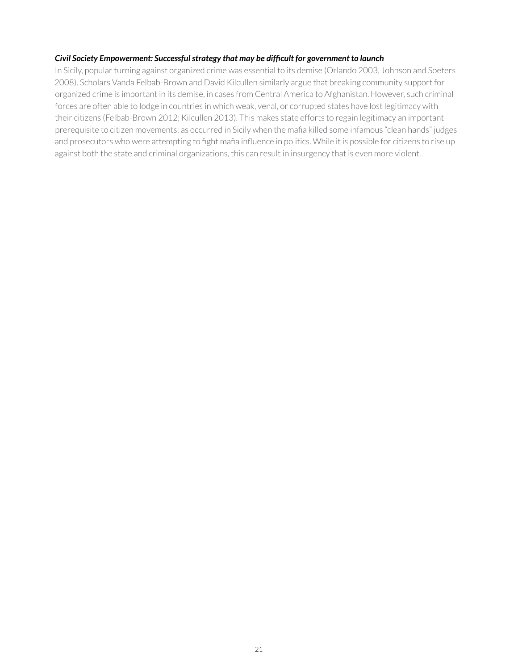#### *Civil Society Empowerment: Successful strategy that may be difficult for government to launch*

In Sicily, popular turning against organized crime was essential to its demise (Orlando 2003, Johnson and Soeters 2008). Scholars Vanda Felbab-Brown and David Kilcullen similarly argue that breaking community support for organized crime is important in its demise, in cases from Central America to Afghanistan. However, such criminal forces are often able to lodge in countries in which weak, venal, or corrupted states have lost legitimacy with their citizens (Felbab-Brown 2012; Kilcullen 2013). This makes state efforts to regain legitimacy an important prerequisite to citizen movements: as occurred in Sicily when the mafia killed some infamous "clean hands" judges and prosecutors who were attempting to fight mafia influence in politics. While it is possible for citizens to rise up against both the state and criminal organizations, this can result in insurgency that is even more violent.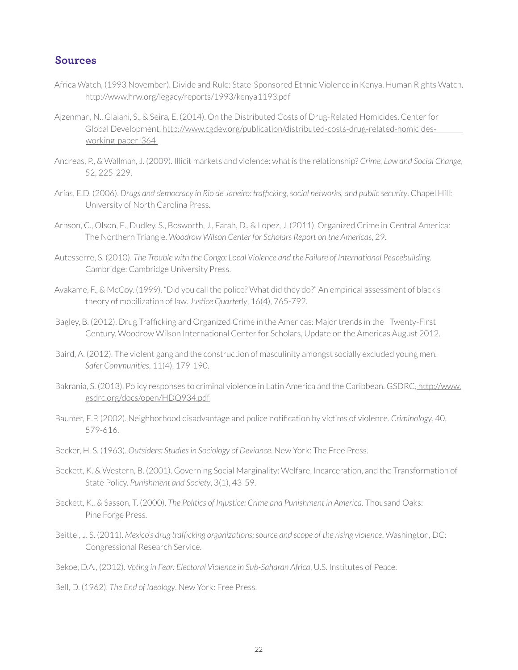#### <span id="page-21-0"></span>**Sources**

- Africa Watch, (1993 November). Divide and Rule: State-Sponsored Ethnic Violence in Kenya. Human Rights Watch. http://www.hrw.org/legacy/reports/1993/kenya1193.pdf
- Ajzenman, N., Glaiani, S., & Seira, E. (2014). On the Distributed Costs of Drug-Related Homicides. Center for Global Development, [http://www.cgdev.org/publication/distributed-costs-drug-related-homicides](http://www.cgdev.org/publication/distributed-costs-drug-related-homicides-working-paper-364 )[working-paper-364](http://www.cgdev.org/publication/distributed-costs-drug-related-homicides-working-paper-364 )
- Andreas, P., & Wallman, J. (2009). Illicit markets and violence: what is the relationship? *Crime, Law and Social Change*, 52, 225-229.
- Arias, E.D. (2006). *Drugs and democracy in Rio de Janeiro: trafficking, social networks, and public security*. Chapel Hill: University of North Carolina Press.
- Arnson, C., Olson, E., Dudley, S., Bosworth, J., Farah, D., & Lopez, J. (2011). Organized Crime in Central America: The Northern Triangle. *Woodrow Wilson Center for Scholars Report on the Americas*, 29.
- Autesserre, S. (2010). *The Trouble with the Congo: Local Violence and the Failure of International Peacebuilding*. Cambridge: Cambridge University Press.
- Avakame, F., & McCoy. (1999). "Did you call the police? What did they do?" An empirical assessment of black's theory of mobilization of law. *Justice Quarterly*, 16(4), 765-792.
- Bagley, B. (2012). Drug Trafficking and Organized Crime in the Americas: Major trends in the Twenty-First Century. Woodrow Wilson International Center for Scholars, Update on the Americas August 2012.
- Baird, A. (2012). The violent gang and the construction of masculinity amongst socially excluded young men. *Safer Communities*, 11(4), 179-190.
- Bakrania, S. (2013). Policy responses to criminal violence in Latin America and the Caribbean. GSDRC, [http://www.]( http://www.gsdrc.org/docs/open/HDQ934.pdf ) [gsdrc.org/docs/open/HDQ934.pdf]( http://www.gsdrc.org/docs/open/HDQ934.pdf )
- Baumer, E.P. (2002). Neighborhood disadvantage and police notification by victims of violence. *Criminology*, 40, 579-616.
- Becker, H. S. (1963). *Outsiders: Studies in Sociology of Deviance*. New York: The Free Press.
- Beckett, K. & Western, B. (2001). Governing Social Marginality: Welfare, Incarceration, and the Transformation of State Policy. *Punishment and Society*, 3(1), 43-59.
- Beckett, K., & Sasson, T. (2000). *The Politics of Injustice: Crime and Punishment in America*. Thousand Oaks: Pine Forge Press.
- Beittel, J. S. (2011). *Mexico's drug trafficking organizations: source and scope of the rising violence*. Washington, DC: Congressional Research Service.
- Bekoe, D.A., (2012). *Voting in Fear: Electoral Violence in Sub-Saharan Africa*, U.S. Institutes of Peace.
- Bell, D. (1962). *The End of Ideology*. New York: Free Press.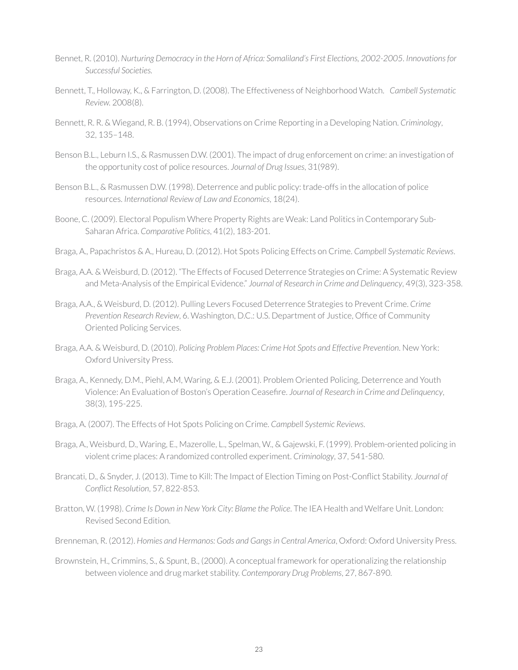- Bennet, R. (2010). *Nurturing Democracy in the Horn of Africa: Somaliland's First Elections, 2002-2005*. *Innovations for Successful Societies.*
- Bennett, T., Holloway, K., & Farrington, D. (2008). The Effectiveness of Neighborhood Watch. *Cambell Systematic Review.* 2008(8).
- Bennett, R. R. & Wiegand, R. B. (1994), Observations on Crime Reporting in a Developing Nation. *Criminology*, 32, 135–148.
- Benson B.L., Leburn I.S., & Rasmussen D.W. (2001). The impact of drug enforcement on crime: an investigation of the opportunity cost of police resources. *Journal of Drug Issues*, 31(989).
- Benson B.L., & Rasmussen D.W. (1998). Deterrence and public policy: trade-offs in the allocation of police resources. *International Review of Law and Economics*, 18(24).
- Boone, C. (2009). Electoral Populism Where Property Rights are Weak: Land Politics in Contemporary Sub-Saharan Africa. *Comparative Politics*, 41(2), 183-201.
- Braga, A., Papachristos & A., Hureau, D. (2012). Hot Spots Policing Effects on Crime. *Campbell Systematic Reviews*.
- Braga, A.A. & Weisburd, D. (2012). "The Effects of Focused Deterrence Strategies on Crime: A Systematic Review and Meta-Analysis of the Empirical Evidence." *Journal of Research in Crime and Delinquency*, 49(3), 323-358.
- Braga, A.A., & Weisburd, D. (2012). Pulling Levers Focused Deterrence Strategies to Prevent Crime. *Crime Prevention Research Review*, 6. Washington, D.C.: U.S. Department of Justice, Office of Community Oriented Policing Services.
- Braga, A.A. & Weisburd, D. (2010). *Policing Problem Places: Crime Hot Spots and Effective Prevention*. New York: Oxford University Press.
- Braga, A., Kennedy, D.M., Piehl, A.M, Waring, & E.J. (2001). Problem Oriented Policing, Deterrence and Youth Violence: An Evaluation of Boston's Operation Ceasefire. *Journal of Research in Crime and Delinquency*, 38(3), 195-225.
- Braga, A. (2007). The Effects of Hot Spots Policing on Crime. *Campbell Systemic Reviews*.
- Braga, A., Weisburd, D., Waring, E., Mazerolle, L., Spelman, W., & Gajewski, F. (1999). Problem-oriented policing in violent crime places: A randomized controlled experiment. *Criminology*, 37, 541-580.
- Brancati, D., & Snyder, J. (2013). Time to Kill: The Impact of Election Timing on Post-Conflict Stability. *Journal of Conflict Resolution*, 57, 822-853.
- Bratton, W. (1998). *Crime Is Down in New York City: Blame the Police*. The IEA Health and Welfare Unit. London: Revised Second Edition.
- Brenneman, R. (2012). *Homies and Hermanos: Gods and Gangs in Central America*, Oxford: Oxford University Press.
- Brownstein, H., Crimmins, S., & Spunt, B., (2000). A conceptual framework for operationalizing the relationship between violence and drug market stability. *Contemporary Drug Problems*, 27, 867-890.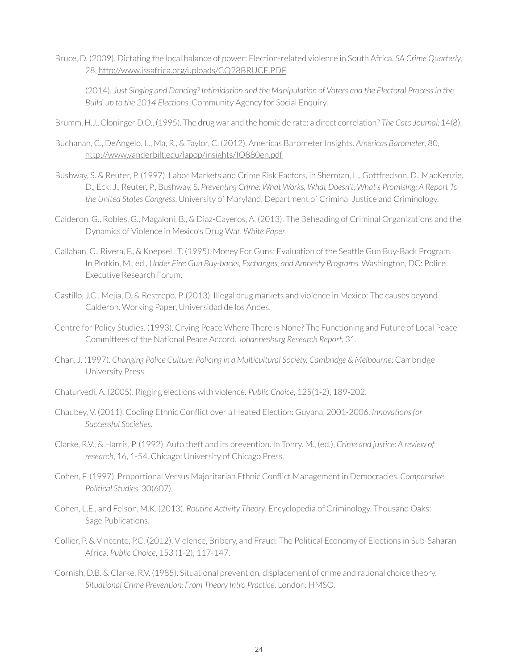Bruce, D. (2009). Dictating the local balance of power: Election-related violence in South Africa. *SA Crime Quarterly*, 28, <http://www.issafrica.org/uploads/CQ28BRUCE.PDF>

(2014). *Just Singing and Dancing? Intimidation and the Manipulation of Voters and the Electoral Process in the Build-up to the 2014 Elections*. Community Agency for Social Enquiry.

- Brumm, H.J., Cloninger D.O., (1995). The drug war and the homicide rate: a direct correlation? *The Cato Journal*, 14(8).
- Buchanan, C., DeAngelo, L., Ma, R., & Taylor, C. (2012). Americas Barometer Insights. *Americas Barometer*, 80, <http://www.vanderbilt.edu/lapop/insights/IO880en.pdf>
- Bushway, S. & Reuter, P. (1997). Labor Markets and Crime Risk Factors, in Sherman, L., Gottfredson, D., MacKenzie, D., Eck, J., Reuter, P., Bushway, S. *Preventing Crime: What Works, What Doesn't, What's Promising: A Report To the United States Congress*. University of Maryland, Department of Criminal Justice and Criminology.
- Calderon, G., Robles, G., Magaloni, B., & Diaz-Cayeros, A. (2013). The Beheading of Criminal Organizations and the Dynamics of Violence in Mexico's Drug War. *White Paper*.
- Callahan, C., Rivera, F., & Koepsell, T. (1995). Money For Guns: Evaluation of the Seattle Gun Buy-Back Program. In Plotkin, M., ed., *Under Fire: Gun Buy-backs, Exchanges, and Amnesty Programs*. Washington, DC: Police Executive Research Forum.
- Castillo, J.C., Mejia, D. & Restrepo, P. (2013). Illegal drug markets and violence in Mexico: The causes beyond Calderon. Working Paper, Universidad de los Andes.
- Centre for Policy Studies. (1993). Crying Peace Where There is None? The Functioning and Future of Local Peace Committees of the National Peace Accord. *Johannesburg Research Report*, 31.
- Chan, J. (1997). *Changing Police Culture: Policing in a Multicultural Society. Cambridge & Melbourne*: Cambridge University Press.
- Chaturvedi, A. (2005). Rigging elections with violence. *Public Choice*, 125(1-2), 189-202.
- Chaubey, V. (2011). Cooling Ethnic Conflict over a Heated Election: Guyana, 2001-2006. *Innovations for Successful Societies*.
- Clarke, R.V., & Harris, P. (1992). Auto theft and its prevention. In Tonry. M., (ed.), *Crime and justice: A review of research*, 16, 1-54. Chicago: University of Chicago Press.
- Cohen, F. (1997). Proportional Versus Majoritarian Ethnic Conflict Management in Democracies. *Comparative Political Studies*, 30(607).
- Cohen, L.E., and Felson, M.K. (2013). *Routine Activity Theory*. Encyclopedia of Criminology. Thousand Oaks: Sage Publications.
- Collier, P. & Vincente, P.C. (2012). Violence, Bribery, and Fraud: The Political Economy of Elections in Sub-Saharan Africa. *Public Choice*, 153 (1-2), 117-147.
- Cornish, D.B. & Clarke, R.V. (1985). Situational prevention, displacement of crime and rational choice theory. *Situational Crime Prevention: From Theory Intro Practice*. London: HMSO.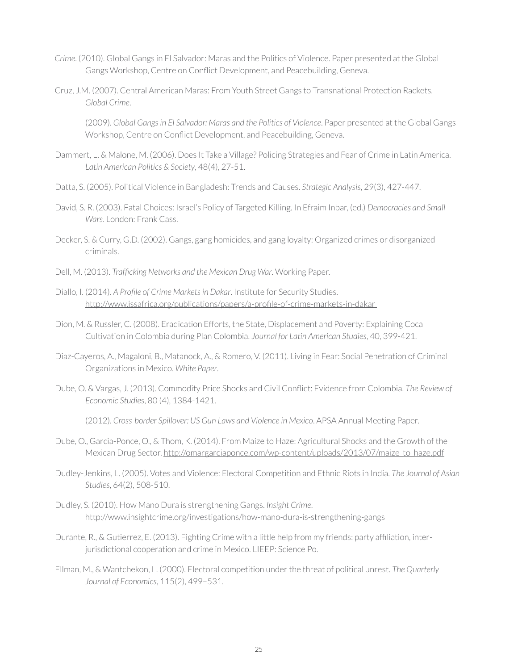- *Crime*. (2010). Global Gangs in El Salvador: Maras and the Politics of Violence. Paper presented at the Global Gangs Workshop, Centre on Conflict Development, and Peacebuilding, Geneva.
- Cruz, J.M. (2007). Central American Maras: From Youth Street Gangs to Transnational Protection Rackets. *Global Crime*.

(2009). *Global Gangs in El Salvador: Maras and the Politics of Violence*. Paper presented at the Global Gangs Workshop, Centre on Conflict Development, and Peacebuilding, Geneva.

- Dammert, L. & Malone, M. (2006). Does It Take a Village? Policing Strategies and Fear of Crime in Latin America. *Latin American Politics & Society*, 48(4), 27-51.
- Datta, S. (2005). Political Violence in Bangladesh: Trends and Causes. *Strategic Analysis*, 29(3), 427-447.
- David, S. R. (2003). Fatal Choices: Israel's Policy of Targeted Killing. In Efraim Inbar, (ed.) *Democracies and Small Wars*. London: Frank Cass.
- Decker, S. & Curry, G.D. (2002). Gangs, gang homicides, and gang loyalty: Organized crimes or disorganized criminals.
- Dell, M. (2013). *Trafficking Networks and the Mexican Drug War*. Working Paper.
- Diallo, I. (2014). *A Profile of Crime Markets in Dakar*. Institute for Security Studies. [http://www.issafrica.org/publications/papers/a-profile-of-crime-markets-in-dakar](http://www.issafrica.org/publications/papers/a-profile-of-crime-markets-in-dakar )
- Dion, M. & Russler, C. (2008). Eradication Efforts, the State, Displacement and Poverty: Explaining Coca Cultivation in Colombia during Plan Colombia. *Journal for Latin American Studies*, 40, 399-421.
- Diaz-Cayeros, A., Magaloni, B., Matanock, A., & Romero, V. (2011). Living in Fear: Social Penetration of Criminal Organizations in Mexico. *White Paper*.
- Dube, O. & Vargas, J. (2013). Commodity Price Shocks and Civil Conflict: Evidence from Colombia. *The Review of Economic Studies*, 80 (4), 1384-1421.

(2012). *Cross-border Spillover: US Gun Laws and Violence in Mexico*. APSA Annual Meeting Paper.

- Dube, O., Garcia-Ponce, O., & Thom, K. (2014). From Maize to Haze: Agricultural Shocks and the Growth of the Mexican Drug Sector. [http://omargarciaponce.com/wp-content/uploads/2013/07/maize\\_to\\_haze.pdf](http://omargarciaponce.com/wp-content/uploads/2013/07/maize_to_haze.pdf)
- Dudley-Jenkins, L. (2005). Votes and Violence: Electoral Competition and Ethnic Riots in India. *The Journal of Asian Studies*, 64(2), 508-510.
- Dudley, S. (2010). How Mano Dura is strengthening Gangs. *Insight Crime*. <http://www.insightcrime.org/investigations/how-mano-dura-is-strengthening-gangs>
- Durante, R., & Gutierrez, E. (2013). Fighting Crime with a little help from my friends: party affiliation, interjurisdictional cooperation and crime in Mexico. LIEEP: Science Po.
- Ellman, M., & Wantchekon, L. (2000). Electoral competition under the threat of political unrest. *The Quarterly Journal of Economics*, 115(2), 499–531.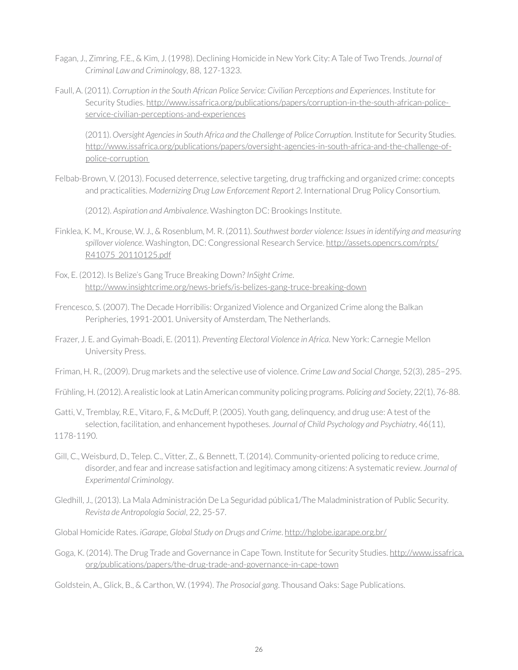- Fagan, J., Zimring, F.E., & Kim, J. (1998). Declining Homicide in New York City: A Tale of Two Trends. *Journal of Criminal Law and Criminology*, 88, 127-1323.
- Faull, A. (2011). *Corruption in the South African Police Service: Civilian Perceptions and Experiences*. Institute for Security Studies. [http://www.issafrica.org/publications/papers/corruption-in-the-south-african-police](http://www.issafrica.org/publications/papers/corruption-in-the-south-african-police-service-civilian-perceptions-and-experiences)[service-civilian-perceptions-and-experiences](http://www.issafrica.org/publications/papers/corruption-in-the-south-african-police-service-civilian-perceptions-and-experiences)

(2011). *Oversight Agencies in South Africa and the Challenge of Police Corruption*. Institute for Security Studies. [http://www.issafrica.org/publications/papers/oversight-agencies-in-south-africa-and-the-challenge-of](http://www.issafrica.org/publications/papers/oversight-agencies-in-south-africa-and-the-challenge-of-police-corruption )[police-corruption](http://www.issafrica.org/publications/papers/oversight-agencies-in-south-africa-and-the-challenge-of-police-corruption ) 

Felbab-Brown, V. (2013). Focused deterrence, selective targeting, drug trafficking and organized crime: concepts and practicalities. *Modernizing Drug Law Enforcement Report 2*. International Drug Policy Consortium.

(2012). *Aspiration and Ambivalence*. Washington DC: Brookings Institute.

- Finklea, K. M., Krouse, W. J., & Rosenblum, M. R. (2011). *Southwest border violence: Issues in identifying and measuring spillover violence*. Washington, DC: Congressional Research Service. [http://assets.opencrs.com/rpts/](http://assets.opencrs.com/rpts/R41075_20110125.pdf) [R41075\\_20110125.pdf](http://assets.opencrs.com/rpts/R41075_20110125.pdf)
- Fox, E. (2012). Is Belize's Gang Truce Breaking Down? *InSight Crime*. <http://www.insightcrime.org/news-briefs/is-belizes-gang-truce-breaking-down>
- Frencesco, S. (2007). The Decade Horribilis: Organized Violence and Organized Crime along the Balkan Peripheries, 1991-2001. University of Amsterdam, The Netherlands.
- Frazer, J. E. and Gyimah-Boadi, E. (2011). *Preventing Electoral Violence in Africa*. New York: Carnegie Mellon University Press.
- Friman, H. R., (2009). Drug markets and the selective use of violence. *Crime Law and Social Change*, 52(3), 285–295.

Frühling, H. (2012). A realistic look at Latin American community policing programs. *Policing and Society*, 22(1), 76-88.

- Gatti, V., Tremblay, R.E., Vitaro, F., & McDuff, P. (2005). Youth gang, delinquency, and drug use: A test of the selection, facilitation, and enhancement hypotheses. *Journal of Child Psychology and Psychiatry*, 46(11), 1178-1190.
- Gill, C., Weisburd, D., Telep. C., Vitter, Z., & Bennett, T. (2014). Community-oriented policing to reduce crime, disorder, and fear and increase satisfaction and legitimacy among citizens: A systematic review. *Journal of Experimental Criminology*.
- Gledhill, J., (2013). La Mala Administración De La Seguridad pública1/The Maladministration of Public Security. *Revista de Antropologia Social*, 22, 25-57.

Global Homicide Rates. *iGarape, Global Study on Drugs and Crime*. <http://hglobe.igarape.org.br/>

Goga, K. (2014). The Drug Trade and Governance in Cape Town. Institute for Security Studies. [http://www.issafrica.](http://www.issafrica.org/publications/papers/the-drug-trade-and-governance-in-cape-town) [org/publications/papers/the-drug-trade-and-governance-in-cape-town](http://www.issafrica.org/publications/papers/the-drug-trade-and-governance-in-cape-town)

Goldstein, A., Glick, B., & Carthon, W. (1994). *The Prosocial gang*. Thousand Oaks: Sage Publications.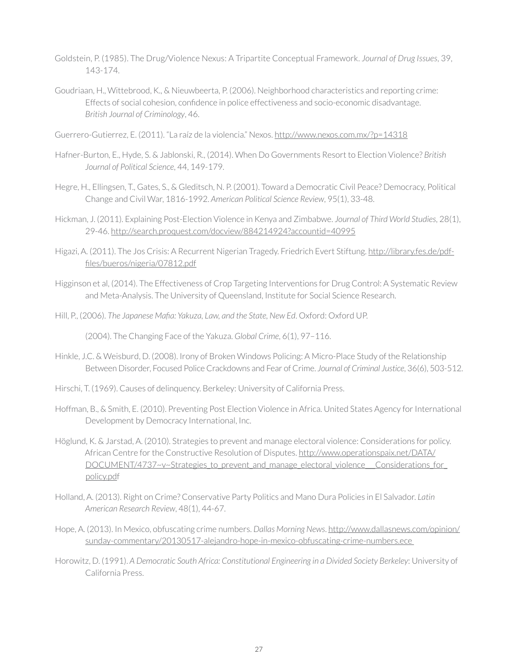- Goldstein, P. (1985). The Drug/Violence Nexus: A Tripartite Conceptual Framework. *Journal of Drug Issues*, 39, 143-174.
- Goudriaan, H., Wittebrood, K., & Nieuwbeerta, P. (2006). Neighborhood characteristics and reporting crime: Effects of social cohesion, confidence in police effectiveness and socio-economic disadvantage. *British Journal of Criminology*, 46.
- Guerrero-Gutierrez, E. (2011). "La raíz de la violencia." Nexos. <http://www.nexos.com.mx/?p=14318>
- Hafner-Burton, E., Hyde, S. & Jablonski, R., (2014). When Do Governments Resort to Election Violence? *British Journal of Political Science*, 44, 149-179.
- Hegre, H., Ellingsen, T., Gates, S., & Gleditsch, N. P. (2001). Toward a Democratic Civil Peace? Democracy, Political Change and Civil War, 1816-1992. *American Political Science Review*, 95(1), 33-48.
- Hickman, J. (2011). Explaining Post-Election Violence in Kenya and Zimbabwe. *Journal of Third World Studies*, 28(1), 29-46.<http://search.proquest.com/docview/884214924?accountid=40995>
- Higazi, A. (2011). The Jos Crisis: A Recurrent Nigerian Tragedy. Friedrich Evert Stiftung. [http://library.fes.de/pdf](http://library.fes.de/pdf-files/bueros/nigeria/07812.pdf)[files/bueros/nigeria/07812.pdf](http://library.fes.de/pdf-files/bueros/nigeria/07812.pdf)
- Higginson et al, (2014). The Effectiveness of Crop Targeting Interventions for Drug Control: A Systematic Review and Meta-Analysis. The University of Queensland, Institute for Social Science Research.
- Hill, P., (2006). *The Japanese Mafia: Yakuza, Law, and the State, New Ed*. Oxford: Oxford UP.

(2004). The Changing Face of the Yakuza. *Global Crime*, 6(1), 97–116.

- Hinkle, J.C. & Weisburd, D. (2008). Irony of Broken Windows Policing: A Micro-Place Study of the Relationship Between Disorder, Focused Police Crackdowns and Fear of Crime. *Journal of Criminal Justice*, 36(6), 503-512.
- Hirschi, T. (1969). Causes of delinquency. Berkeley: University of California Press.
- Hoffman, B., & Smith, E. (2010). Preventing Post Election Violence in Africa. United States Agency for International Development by Democracy International, Inc.
- Höglund, K. & Jarstad, A. (2010). Strategies to prevent and manage electoral violence: Considerations for policy. African Centre for the Constructive Resolution of Disputes. [http://www.operationspaix.net/DATA/](http://www.operationspaix.net/DATA/DOCUMENT/4737~v~Strategies_to_prevent_and_manage_electoral_violence___Considerations_for_policy.pdf) DOCUMENT/4737~v~Strategies to prevent and manage electoral violence Considerations for [policy.pd](http://www.operationspaix.net/DATA/DOCUMENT/4737~v~Strategies_to_prevent_and_manage_electoral_violence___Considerations_for_policy.pdf)f
- Holland, A. (2013). Right on Crime? Conservative Party Politics and Mano Dura Policies in El Salvador. *Latin American Research Review*, 48(1), 44-67.
- Hope, A. (2013). In Mexico, obfuscating crime numbers. *Dallas Morning News*. [http://www.dallasnews.com/opinion/](http://www.dallasnews.com/opinion/sunday-commentary/20130517-alejandro-hope-in-mexico-obfuscating-crime-numbers.ece ) [sunday-commentary/20130517-alejandro-hope-in-mexico-obfuscating-crime-numbers.ece](http://www.dallasnews.com/opinion/sunday-commentary/20130517-alejandro-hope-in-mexico-obfuscating-crime-numbers.ece )
- Horowitz, D. (1991). *A Democratic South Africa: Constitutional Engineering in a Divided Society Berkeley*: University of California Press.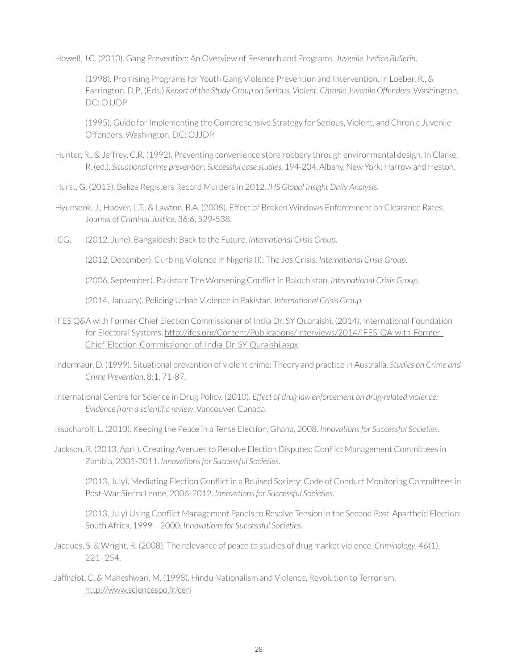Howell, J.C. (2010). Gang Prevention: An Overview of Research and Programs. *Juvenile Justice Bulletin*.

(1998). Promising Programs for Youth Gang Violence Prevention and Intervention. In Loeber, R., & Farrington, D.P., (Eds.) *Report of the Study Group on Serious, Violent, Chronic Juvenile Offenders*. Washington, DC: OJJDP

(1995). Guide for Implementing the Comprehensive Strategy for Serious, Violent, and Chronic Juvenile Offenders. Washington, DC: OJJDP.

- Hunter, R., & Jeffrey, C.R. (1992). Preventing convenience store robbery through environmental design. In Clarke, R. (ed.), *Situational crime prevention: Successful case studies*, 194-204. Albany, New York: Harrow and Heston.
- Hurst, G. (2013). Belize Registers Record Murders in 2012. *IHS Global Insight Daily Analysis*.
- Hyunseok, J., Hoover, L.T., & Lawton, B.A. (2008). Effect of Broken Windows Enforcement on Clearance Rates. J*ournal of Criminal Justice*, 36:6, 529-538.
- ICG. (2012, June). Bangaldesh: Back to the Future. *International Crisis Group*.

(2012, December). Curbing Violence in Nigeria (I): The Jos Crisis. *International Crisis Group*.

(2006, September). Pakistan: The Worsening Conflict in Balochistan. *International Crisis Group*.

(2014, January). Policing Urban Violence in Pakistan. *International Crisis Group*.

- IFES Q&A with Former Chief Election Commissioner of India Dr. SY Quaraishi. (2014). International Foundation for Electoral Systems. [http://ifes.org/Content/Publications/Interviews/2014/IFES-QA-with-Former-](http://ifes.org/Content/Publications/Interviews/2014/IFES-QA-with-Former-Chief-	Election-Commissioner-of-India-Dr-SY-Quraishi.aspx)[Chief-Election-Commissioner-of-India-Dr-SY-Quraishi.aspx](http://ifes.org/Content/Publications/Interviews/2014/IFES-QA-with-Former-Chief-	Election-Commissioner-of-India-Dr-SY-Quraishi.aspx)
- Indermaur, D. (1999). Situational prevention of violent crime: Theory and practice in Australia. *Studies on Crime and Crime Prevention*, 8:1, 71-87.
- International Centre for Science in Drug Policy. (2010). *Effect of drug law enforcement on drug-related violence: Evidence from a scientific review*. Vancouver, Canada.

Issacharoff, L. (2010). Keeping the Peace in a Tense Election, Ghana, 2008. *Innovations for Successful Societies*.

Jackson, R. (2013, April). Creating Avenues to Resolve Election Disputes: Conflict Management Committees in Zambia, 2001-2011. *Innovations for Successful Societies*.

(2013, July). Mediating Election Conflict in a Bruised Society: Code of Conduct Monitoring Committees in Post-War Sierra Leone, 2006-2012. *Innovations for Successful Societies*.

(2013, July) Using Conflict Management Panels to Resolve Tension in the Second Post-Apartheid Election: South Africa, 1999 – 2000. *Innovations for Successful Societies*.

Jacques, S. & Wright, R. (2008). The relevance of peace to studies of drug market violence. *Criminology*, 46(1), 221–254.

Jaffrelot, C. & Maheshwari, M. (1998). Hindu Nationalism and Violence, Revolution to Terrorism. <http://www.sciencespo.fr/ceri>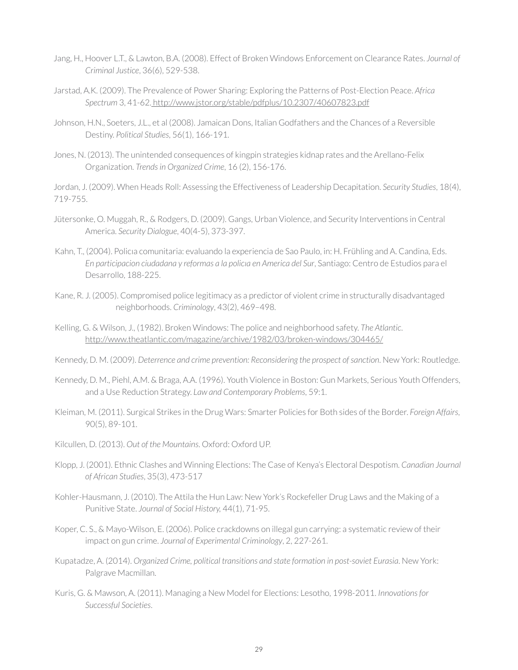- Jang, H., Hoover L.T., & Lawton, B.A. (2008). Effect of Broken Windows Enforcement on Clearance Rates. *Journal of Criminal Justice*, 36(6), 529-538.
- Jarstad, A.K. (2009). The Prevalence of Power Sharing: Exploring the Patterns of Post-Election Peace. *Africa Spectrum* 3, 41-62[. http://www.jstor.org/stable/pdfplus/10.2307/40607823.pdf]( http://www.jstor.org/stable/pdfplus/10.2307/40607823.pdf)
- Johnson, H.N., Soeters, J.L., et al (2008). Jamaican Dons, Italian Godfathers and the Chances of a Reversible Destiny. *Political Studies*, 56(1), 166-191.
- Jones, N. (2013). The unintended consequences of kingpin strategies kidnap rates and the Arellano-Felix Organization. *Trends in Organized Crime*, 16 (2), 156-176.

Jordan, J. (2009). When Heads Roll: Assessing the Effectiveness of Leadership Decapitation. *Security Studies*, 18(4), 719-755.

- Jütersonke, O. Muggah, R., & Rodgers, D. (2009). Gangs, Urban Violence, and Security Interventions in Central America. *Security Dialogue*, 40(4-5), 373-397.
- Kahn, T., (2004). Policıa comunitaria: evaluando la experiencia de Sao Paulo, in: H. Frühling and A. Candina, Eds. *En participacion ciudadana y reformas a la policıa en America del Sur*, Santiago: Centro de Estudios para el Desarrollo, 188-225.
- Kane, R. J. (2005). Compromised police legitimacy as a predictor of violent crime in structurally disadvantaged neighborhoods. *Criminology*, 43(2), 469–498.
- Kelling, G. & Wilson, J., (1982). Broken Windows: The police and neighborhood safety. *The Atlantic*. <http://www.theatlantic.com/magazine/archive/1982/03/broken-windows/304465/>

Kennedy, D. M. (2009). *Deterrence and crime prevention: Reconsidering the prospect of sanction*. New York: Routledge.

- Kennedy, D. M., Piehl, A.M. & Braga, A.A. (1996). Youth Violence in Boston: Gun Markets, Serious Youth Offenders, and a Use Reduction Strategy. *Law and Contemporary Problems*, 59:1.
- Kleiman, M. (2011). Surgical Strikes in the Drug Wars: Smarter Policies for Both sides of the Border. *Foreign Affairs*, 90(5), 89-101.
- Kilcullen, D. (2013). *Out of the Mountains*. Oxford: Oxford UP.
- Klopp, J. (2001). Ethnic Clashes and Winning Elections: The Case of Kenya's Electoral Despotism. *Canadian Journal of African Studies*, 35(3), 473-517
- Kohler-Hausmann, J. (2010). The Attila the Hun Law: New York's Rockefeller Drug Laws and the Making of a Punitive State. *Journal of Social History,* 44(1), 71-95.
- Koper, C. S., & Mayo-Wilson, E. (2006). Police crackdowns on illegal gun carrying: a systematic review of their impact on gun crime. *Journal of Experimental Criminology*, 2, 227-261.
- Kupatadze, A. (2014). *Organized Crime, political transitions and state formation in post-soviet Eurasia*. New York: Palgrave Macmillan.
- Kuris, G. & Mawson, A. (2011). Managing a New Model for Elections: Lesotho, 1998-2011. *Innovations for Successful Societies*.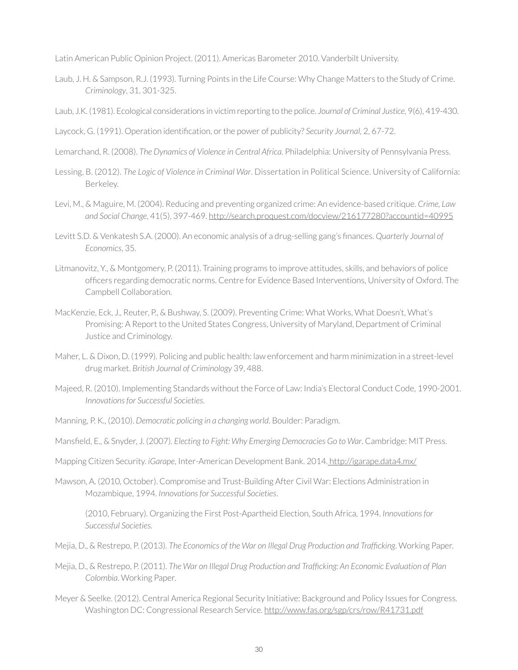Latin American Public Opinion Project. (2011). Americas Barometer 2010. Vanderbilt University.

- Laub, J. H. & Sampson, R.J. (1993). Turning Points in the Life Course: Why Change Matters to the Study of Crime. *Criminology*, 31, 301-325.
- Laub, J.K. (1981). Ecological considerations in victim reporting to the police. *Journal of Criminal Justice*, 9(6), 419-430.
- Laycock, G. (1991). Operation identification, or the power of publicity? *Security Journal,* 2, 67-72.
- Lemarchand, R. (2008). *The Dynamics of Violence in Central Africa*. Philadelphia: University of Pennsylvania Press.
- Lessing, B. (2012). *The Logic of Violence in Criminal War*. Dissertation in Political Science. University of California: Berkeley.
- Levi, M., & Maguire, M. (2004). Reducing and preventing organized crime: An evidence-based critique. *Crime, Law and Social Change*, 41(5), 397-469. <http://search.proquest.com/docview/216177280?accountid=40995>
- Levitt S.D. & Venkatesh S.A. (2000). An economic analysis of a drug-selling gang's finances. *Quarterly Journal of Economics*, 35.
- Litmanovitz, Y., & Montgomery, P. (2011). Training programs to improve attitudes, skills, and behaviors of police officers regarding democratic norms. Centre for Evidence Based Interventions, University of Oxford. The Campbell Collaboration.
- MacKenzie, Eck, J., Reuter, P., & Bushway, S. (2009). Preventing Crime: What Works, What Doesn't, What's Promising: A Report to the United States Congress, University of Maryland, Department of Criminal Justice and Criminology.
- Maher, L. & Dixon, D. (1999). Policing and public health: law enforcement and harm minimization in a street-level drug market. *British Journal of Criminology* 39, 488.
- Majeed, R. (2010). Implementing Standards without the Force of Law: India's Electoral Conduct Code, 1990-2001. *Innovations for Successful Societies*.
- Manning, P. K., (2010). *Democratic policing in a changing world*. Boulder: Paradigm.
- Mansfield, E., & Snyder, J. (2007). *Electing to Fight: Why Emerging Democracies Go to War*. Cambridge: MIT Press.
- Mapping Citizen Security. *iGarape*, Inter-American Development Bank. 2014. [http://igarape.data4.mx/]( http://igarape.data4.mx/)
- Mawson, A. (2010, October). Compromise and Trust-Building After Civil War: Elections Administration in Mozambique, 1994. *Innovations for Successful Societies*.

(2010, February). Organizing the First Post-Apartheid Election, South Africa, 1994. *Innovations for Successful Societies.*

- Mejia, D., & Restrepo, P. (2013). *The Economics of the War on Illegal Drug Production and Trafficking*. Working Paper.
- Mejia, D., & Restrepo, P. (2011). *The War on Illegal Drug Production and Trafficking: An Economic Evaluation of Plan Colombia*. Working Paper.
- Meyer & Seelke. (2012). Central America Regional Security Initiative: Background and Policy Issues for Congress. Washington DC: Congressional Research Service. <http://www.fas.org/sgp/crs/row/R41731.pdf>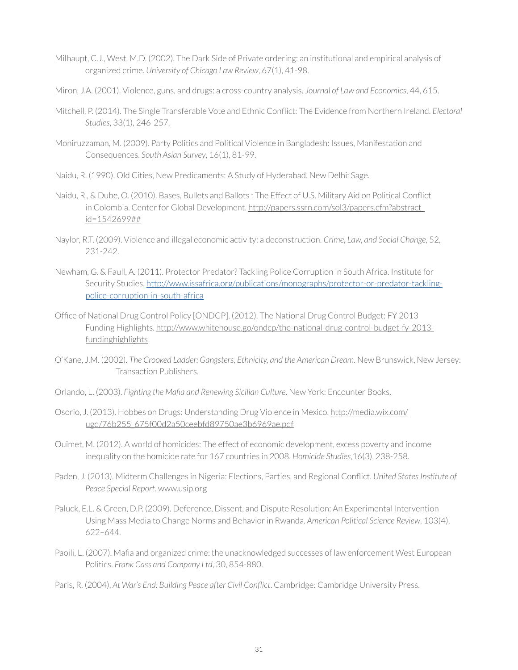- Milhaupt, C.J., West, M.D. (2002). The Dark Side of Private ordering: an institutional and empirical analysis of organized crime. *University of Chicago Law Review*, 67(1), 41-98.
- Miron, J.A. (2001). Violence, guns, and drugs: a cross-country analysis. *Journal of Law and Economics*, 44, 615.
- Mitchell, P. (2014). The Single Transferable Vote and Ethnic Conflict: The Evidence from Northern Ireland. *Electoral Studies*, 33(1), 246-257.
- Moniruzzaman, M. (2009). Party Politics and Political Violence in Bangladesh: Issues, Manifestation and Consequences. *South Asian Survey*, 16(1), 81-99.
- Naidu, R. (1990). Old Cities, New Predicaments: A Study of Hyderabad. New Delhi: Sage.
- Naidu, R., & Dube, O. (2010). Bases, Bullets and Ballots : The Effect of U.S. Military Aid on Political Conflict in Colombia. Center for Global Development. [http://papers.ssrn.com/sol3/papers.cfm?abstract\\_](http://papers.ssrn.com/sol3/papers.cfm?abstract_id=1542699##) [id=1542699##](http://papers.ssrn.com/sol3/papers.cfm?abstract_id=1542699##)
- Naylor, R.T. (2009). Violence and illegal economic activity: a deconstruction. *Crime, Law, and Social Change*, 52, 231-242.
- Newham, G. & Faull, A. (2011). Protector Predator? Tackling Police Corruption in South Africa. Institute for Security Studies. [http://www.issafrica.org/publications/monographs/protector-or-predator-tackling](http://www.issafrica.org/publications/monographs/protector-or-predator-tackling-police-corruption-in)[police-corruption-in-south-africa](http://www.issafrica.org/publications/monographs/protector-or-predator-tackling-police-corruption-in)
- Office of National Drug Control Policy [ONDCP]. (2012). The National Drug Control Budget: FY 2013 Funding Highlights. [http://www.whitehouse.go/ondcp/the-national-drug-control-budget-fy-2013](http://www.whitehouse.go/ondcp/the-national-drug-control-budget-fy-2013-fundinghighlights ) [fundinghighlights](http://www.whitehouse.go/ondcp/the-national-drug-control-budget-fy-2013-fundinghighlights )
- O'Kane, J.M. (2002). *The Crooked Ladder: Gangsters, Ethnicity, and the American Dream*. New Brunswick, New Jersey: Transaction Publishers.
- Orlando, L. (2003). *Fighting the Mafia and Renewing Sicilian Culture*. New York: Encounter Books.
- Osorio, J. (2013). Hobbes on Drugs: Understanding Drug Violence in Mexico. [http://media.wix.com/](http://media.wix.com/ugd/76b255_675f00d2a50ceebfd89750ae3b6969ae.pdf) [ugd/76b255\\_675f00d2a50ceebfd89750ae3b6969ae.pdf](http://media.wix.com/ugd/76b255_675f00d2a50ceebfd89750ae3b6969ae.pdf)
- Ouimet, M. (2012). A world of homicides: The effect of economic development, excess poverty and income inequality on the homicide rate for 167 countries in 2008. *Homicide Studies*,16(3), 238-258.
- Paden, J. (2013). Midterm Challenges in Nigeria: Elections, Parties, and Regional Conflict. *United States Institute of Peace Special Report*. [www.usip.org](http://www.usip.org)
- Paluck, E.L. & Green, D.P. (2009). Deference, Dissent, and Dispute Resolution: An Experimental Intervention Using Mass Media to Change Norms and Behavior in Rwanda. *American Political Science Review*. 103(4), 622–644.
- Paoili, L. (2007). Mafia and organized crime: the unacknowledged successes of law enforcement West European Politics. *Frank Cass and Company Ltd*, 30, 854-880.
- Paris, R. (2004). *At War's End: Building Peace after Civil Conflict*. Cambridge: Cambridge University Press.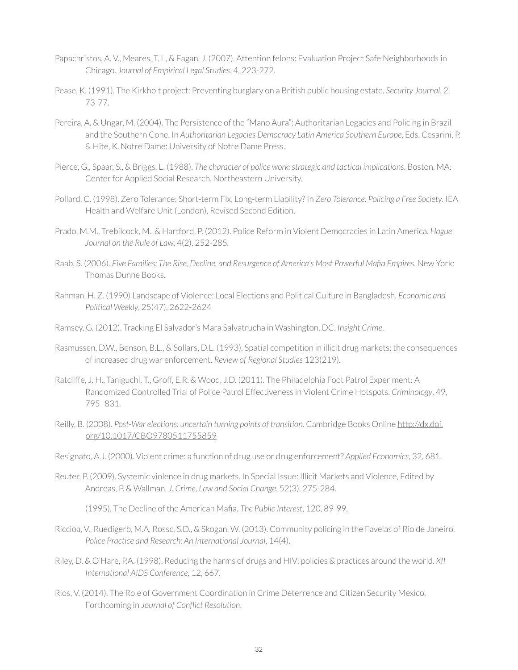- Papachristos, A. V., Meares, T. L, & Fagan, J. (2007). Attention felons: Evaluation Project Safe Neighborhoods in Chicago. *Journal of Empirical Legal Studies*, 4, 223-272.
- Pease, K. (1991). The Kirkholt project: Preventing burglary on a British public housing estate. *Security Journal*, 2, 73-77.
- Pereira, A. & Ungar, M. (2004). The Persistence of the "Mano Aura": Authoritarian Legacies and Policing in Brazil and the Southern Cone. In *Authoritarian Legacies Democracy Latin America Southern Europe*, Eds. Cesarini, P. & Hite, K. Notre Dame: University of Notre Dame Press.
- Pierce, G., Spaar, S., & Briggs, L. (1988). *The character of police work: strategic and tactical implications*. Boston, MA: Center for Applied Social Research, Northeastern University.
- Pollard, C. (1998). Zero Tolerance: Short-term Fix, Long-term Liability? In *Zero Tolerance: Policing a Free Society*. IEA Health and Welfare Unit (London), Revised Second Edition.
- Prado, M.M., Trebilcock, M., & Hartford, P. (2012). Police Reform in Violent Democracies in Latin America. *Hague Journal on the Rule of Law*, 4(2), 252-285.
- Raab, S. (2006). *Five Families: The Rise, Decline, and Resurgence of America's Most Powerful Mafia Empires*. New York: Thomas Dunne Books.
- Rahman, H. Z. (1990) Landscape of Violence: Local Elections and Political Culture in Bangladesh. *Economic and Political Weekly*, 25(47), 2622-2624
- Ramsey, G. (2012). Tracking El Salvador's Mara Salvatrucha in Washington, DC. *Insight Crime*.
- Rasmussen, D.W., Benson, B.L., & Sollars, D.L. (1993). Spatial competition in illicit drug markets: the consequences of increased drug war enforcement. *Review of Regional Studies* 123(219).
- Ratcliffe, J. H., Taniguchi, T., Groff, E.R. & Wood, J.D. (2011). The Philadelphia Foot Patrol Experiment: A Randomized Controlled Trial of Police Patrol Effectiveness in Violent Crime Hotspots. *Criminology*, 49, 795–831.
- Reilly, B. (2008). *Post-War elections: uncertain turning points of transition*. Cambridge Books Online [http://dx.doi.](http://dx.doi.org/10.1017/CBO9780511755859) [org/10.1017/CBO9780511755859](http://dx.doi.org/10.1017/CBO9780511755859)
- Resignato, A.J. (2000). Violent crime: a function of drug use or drug enforcement? *Applied Economics*, 32, 681.
- Reuter, P. (2009). Systemic violence in drug markets. In Special Issue: Illicit Markets and Violence, Edited by Andreas, P. & Wallman, *J. Crime, Law and Social Change*, 52(3), 275-284.

(1995). The Decline of the American Mafia. *The Public Interest*, 120, 89-99.

- Riccioa, V., Ruedigerb, M.A, Rossc, S.D., & Skogan, W. (2013). Community policing in the Favelas of Rio de Janeiro. *Police Practice and Research: An International Journal*, 14(4).
- Riley, D. & O'Hare, P.A. (1998). Reducing the harms of drugs and HIV: policies & practices around the world. *XII International AIDS Conference*, 12, 667.
- Rios, V. (2014). The Role of Government Coordination in Crime Deterrence and Citizen Security Mexico. Forthcoming in *Journal of Conflict Resolution*.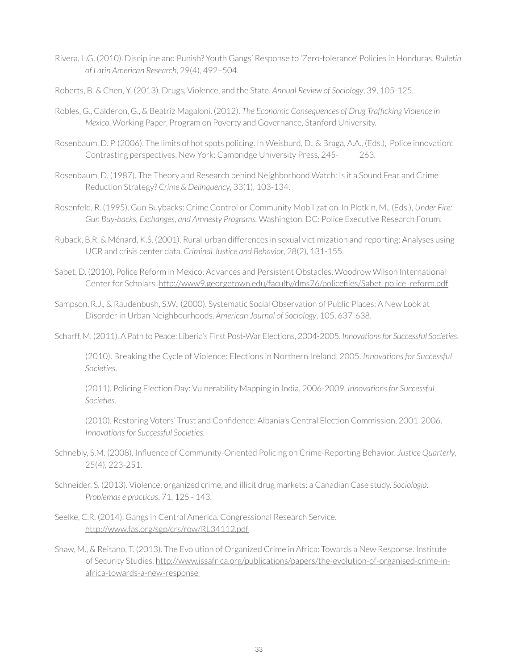- Rivera, L.G. (2010). Discipline and Punish? Youth Gangs' Response to 'Zero-tolerance' Policies in Honduras. *Bulletin of Latin American Research*, 29(4), 492–504.
- Roberts, B. & Chen, Y. (2013). Drugs, Violence, and the State. *Annual Review of Sociology*, 39, 105-125.
- Robles, G., Calderon, G., & Beatriz Magaloni. (2012). *The Economic Consequences of Drug Trafficking Violence in Mexico*. Working Paper, Program on Poverty and Governance, Stanford University.
- Rosenbaum, D. P. (2006). The limits of hot spots policing. In Weisburd, D., & Braga, A.A., (Eds.), Police innovation: Contrasting perspectives. New York: Cambridge University Press, 245- 263.
- Rosenbaum, D. (1987). The Theory and Research behind Neighborhood Watch: Is it a Sound Fear and Crime Reduction Strategy? *Crime & Delinquency*, 33(1), 103-134.
- Rosenfeld, R. (1995). Gun Buybacks: Crime Control or Community Mobilization. In Plotkin, M., (Eds.), *Under Fire: Gun Buy-backs, Exchanges, and Amnesty Programs.* Washington, DC: Police Executive Research Forum.
- Ruback, B.R. & Ménard, K.S. (2001). Rural-urban differences in sexual victimization and reporting: Analyses using UCR and crisis center data. *Criminal Justice and Behavior*, 28(2), 131-155.
- Sabet, D. (2010). Police Reform in Mexico: Advances and Persistent Obstacles. Woodrow Wilson International Center for Scholars. [http://www9.georgetown.edu/faculty/dms76/policefiles/Sabet\\_police\\_reform.pdf](http://www9.georgetown.edu/faculty/dms76/policefiles/Sabet_police_reform.pdf)
- Sampson, R.J., & Raudenbush, S.W., (2000). Systematic Social Observation of Public Places: A New Look at Disorder in Urban Neighbourhoods. *American Journal of Sociology*, 105, 637-638.
- Scharff, M. (2011). A Path to Peace: Liberia's First Post-War Elections, 2004-2005. *Innovations for Successful Societies*.

(2010). Breaking the Cycle of Violence: Elections in Northern Ireland, 2005. *Innovations for Successful Societies*.

(2011). Policing Election Day: Vulnerability Mapping in India, 2006-2009. *Innovations for Successful Societies*.

(2010). Restoring Voters' Trust and Confidence: Albania's Central Election Commission, 2001-2006. *Innovations for Successful Societies*.

- Schnebly, S.M. (2008). Influence of Community-Oriented Policing on Crime-Reporting Behavior. *Justice Quarterly*, 25(4), 223-251.
- Schneider, S. (2013). Violence, organized crime, and illicit drug markets: a Canadian Case study. *Sociologia: Problemas e practicas*, 71, 125 - 143.
- Seelke, C.R. (2014). Gangs in Central America. Congressional Research Service. <http://www.fas.org/sgp/crs/row/RL34112.pdf>
- Shaw, M., & Reitano, T. (2013). The Evolution of Organized Crime in Africa: Towards a New Response. Institute of Security Studies. [http://www.issafrica.org/publications/papers/the-evolution-of-organised-crime-in](http://www.issafrica.org/publications/papers/the-evolution-of-organised-crime-in-africa-towards-a-new-response )[africa-towards-a-new-response](http://www.issafrica.org/publications/papers/the-evolution-of-organised-crime-in-africa-towards-a-new-response )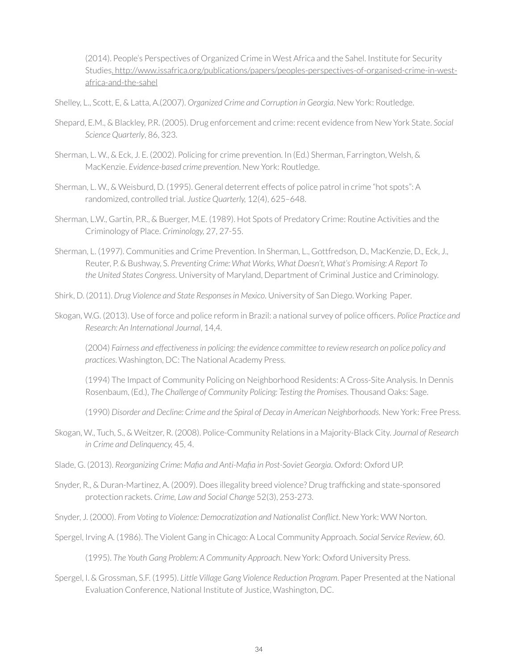(2014). People's Perspectives of Organized Crime in West Africa and the Sahel. Institute for Security Studies[. http://www.issafrica.org/publications/papers/peoples-perspectives-of-organised-crime-in-west](. http://www.issafrica.org/publications/papers/peoples-perspectives-of-organised-crime-in-west-africa-and-the-sahel)[africa-and-the-sahel](. http://www.issafrica.org/publications/papers/peoples-perspectives-of-organised-crime-in-west-africa-and-the-sahel)

Shelley, L., Scott, E, & Latta, A.(2007). *Organized Crime and Corruption in Georgia*. New York: Routledge.

- Shepard, E.M., & Blackley, P.R. (2005). Drug enforcement and crime: recent evidence from New York State. *Social Science Quarterly*, 86, 323.
- Sherman, L. W., & Eck, J. E. (2002). Policing for crime prevention. In (Ed.) Sherman, Farrington, Welsh, & MacKenzie. *Evidence-based crime prevention*. New York: Routledge.
- Sherman, L. W., & Weisburd, D. (1995). General deterrent effects of police patrol in crime "hot spots": A randomized, controlled trial. *Justice Quarterly,* 12(4), 625–648.
- Sherman, L.W., Gartin, P.R., & Buerger, M.E. (1989). Hot Spots of Predatory Crime: Routine Activities and the Criminology of Place. *Criminology,* 27, 27-55.
- Sherman, L. (1997). Communities and Crime Prevention. In Sherman, L., Gottfredson, D., MacKenzie, D., Eck, J., Reuter, P. & Bushway, S. *Preventing Crime: What Works, What Doesn't, What's Promising: A Report To the United States Congress*. University of Maryland, Department of Criminal Justice and Criminology.
- Shirk, D. (2011). *Drug Violence and State Responses in Mexico*. University of San Diego. Working Paper.
- Skogan, W.G. (2013). Use of force and police reform in Brazil: a national survey of police officers. *Police Practice and Research: An International Journal*, 14,4.

(2004) *Fairness and effectiveness in policing: the evidence committee to review research on police policy and practices*. Washington, DC: The National Academy Press.

(1994) The Impact of Community Policing on Neighborhood Residents: A Cross-Site Analysis. In Dennis Rosenbaum, (Ed.), *The Challenge of Community Policing: Testing the Promises*. Thousand Oaks: Sage.

(1990) *Disorder and Decline: Crime and the Spiral of Decay in American Neighborhoods.* New York: Free Press.

- Skogan, W., Tuch, S., & Weitzer, R. (2008). Police-Community Relations in a Majority-Black City. *Journal of Research in Crime and Delinquency,* 45, 4.
- Slade, G. (2013). *Reorganizing Crime: Mafia and Anti-Mafia in Post-Soviet Georgia*. Oxford: Oxford UP.
- Snyder, R., & Duran-Martinez, A. (2009). Does illegality breed violence? Drug trafficking and state-sponsored protection rackets. *Crime, Law and Social Change* 52(3), 253-273.

Snyder, J. (2000). *From Voting to Violence: Democratization and Nationalist Conflict*. New York: WW Norton.

Spergel, Irving A. (1986). The Violent Gang in Chicago: A Local Community Approach. *Social Service Review*, 60.

(1995). *The Youth Gang Problem: A Community Approach*. New York: Oxford University Press.

Spergel, I. & Grossman, S.F. (1995). *Little Village Gang Violence Reduction Program*. Paper Presented at the National Evaluation Conference, National Institute of Justice, Washington, DC.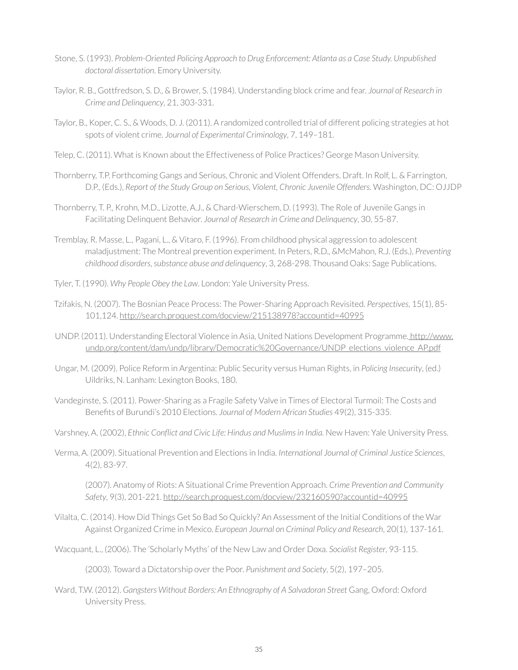- Stone, S. (1993). *Problem-Oriented Policing Approach to Drug Enforcement: Atlanta as a Case Study. Unpublished doctoral dissertation*. Emory University.
- Taylor, R. B., Gottfredson, S. D., & Brower, S. (1984). Understanding block crime and fear. *Journal of Research in Crime and Delinquency*, 21, 303-331.
- Taylor, B., Koper, C. S., & Woods, D. J. (2011). A randomized controlled trial of different policing strategies at hot spots of violent crime. *Journal of Experimental Criminology*, 7, 149–181.
- Telep, C. (2011). What is Known about the Effectiveness of Police Practices? George Mason University.
- Thornberry, T.P. Forthcoming Gangs and Serious, Chronic and Violent Offenders. Draft. In Rolf, L. & Farrington, D.P., (Eds.), *Report of the Study Group on Serious, Violent, Chronic Juvenile Offenders*. Washington, DC: OJJDP
- Thornberry, T. P., Krohn, M.D., Lizotte, A.J., & Chard-Wierschem, D. (1993). The Role of Juvenile Gangs in Facilitating Delinquent Behavior. *Journal of Research in Crime and Delinquency*, 30, 55-87.
- Tremblay, R. Masse, L., Pagani, L., & Vitaro, F. (1996). From childhood physical aggression to adolescent maladjustment: The Montreal prevention experiment. In Peters, R.D., &McMahon, R.J. (Eds.)*, Preventing childhood disorders, substance abuse and delinquency*, 3, 268-298. Thousand Oaks: Sage Publications.
- Tyler, T. (1990). *Why People Obey the Law*. London: Yale University Press.
- Tzifakis, N. (2007). The Bosnian Peace Process: The Power-Sharing Approach Revisited. *Perspectives*, 15(1), 85- 101,124.<http://search.proquest.com/docview/215138978?accountid=40995>
- UNDP. (2011). Understanding Electoral Violence in Asia, United Nations Development Programme[. http://www.]( http://www.undp.org/content/dam/undp/library/Democratic%20Governance/UNDP_elections_violence_AP.pdf) [undp.org/content/dam/undp/library/Democratic%20Governance/UNDP\\_elections\\_violence\\_AP.pdf]( http://www.undp.org/content/dam/undp/library/Democratic%20Governance/UNDP_elections_violence_AP.pdf)
- Ungar, M. (2009). Police Reform in Argentina: Public Security versus Human Rights, in *Policing Insecurity*, (ed.) Uildriks, N. Lanham: Lexington Books, 180.
- Vandeginste, S. (2011). Power-Sharing as a Fragile Safety Valve in Times of Electoral Turmoil: The Costs and Benefits of Burundi's 2010 Elections. *Journal of Modern African Studies* 49(2), 315-335.
- Varshney, A. (2002), *Ethnic Conflict and Civic Life: Hindus and Muslims in India.* New Haven: Yale University Press.
- Verma, A. (2009). Situational Prevention and Elections in India. *International Journal of Criminal Justice Sciences*, 4(2), 83-97.

(2007). Anatomy of Riots: A Situational Crime Prevention Approach. *Crime Prevention and Community Safety*, 9(3), 201-221.<http://search.proquest.com/docview/232160590?accountid=40995>

- Vilalta, C. (2014). How Did Things Get So Bad So Quickly? An Assessment of the Initial Conditions of the War Against Organized Crime in Mexico. *European Journal on Criminal Policy and Research*, 20(1), 137-161.
- Wacquant, L., (2006). The 'Scholarly Myths' of the New Law and Order Doxa. *Socialist Register*, 93-115.

(2003). Toward a Dictatorship over the Poor. *Punishment and Society*, 5(2), 197–205.

Ward, T.W. (2012). *Gangsters Without Borders: An Ethnography of A Salvadoran Street* Gang, Oxford: Oxford University Press.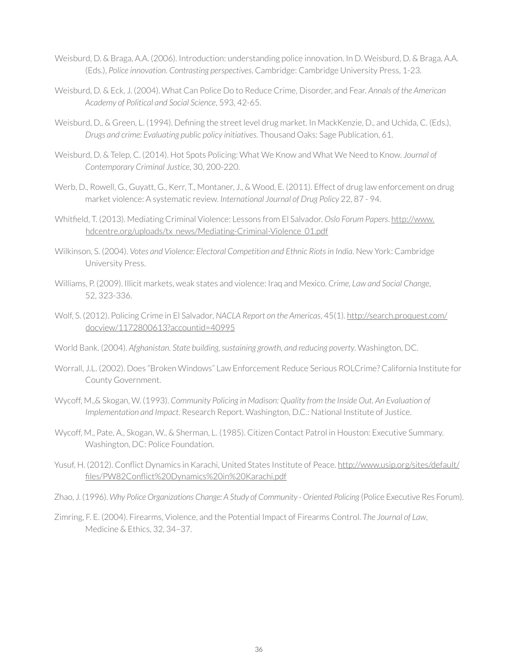- Weisburd, D. & Braga, A.A. (2006). Introduction: understanding police innovation. In D. Weisburd, D. & Braga, A.A. (Eds.), *Police innovation. Contrasting perspectives*. Cambridge: Cambridge University Press, 1-23.
- Weisburd, D. & Eck, J. (2004). What Can Police Do to Reduce Crime, Disorder, and Fear. *Annals of the American Academy of Political and Social Science*, 593, 42-65.
- Weisburd, D., & Green, L. (1994). Defining the street level drug market. In MackKenzie, D., and Uchida, C. (Eds.), *Drugs and crime: Evaluating public policy initiatives*. Thousand Oaks: Sage Publication, 61.
- Weisburd, D. & Telep, C. (2014). Hot Spots Policing: What We Know and What We Need to Know. *Journal of Contemporary Criminal Justice*, 30, 200-220.
- Werb, D., Rowell, G., Guyatt, G., Kerr, T., Montaner, J., & Wood, E. (2011). Effect of drug law enforcement on drug market violence: A systematic review. *International Journal of Drug Policy* 22, 87 - 94.
- Whitfield, T. (2013). Mediating Criminal Violence: Lessons from El Salvador. *Oslo Forum Papers*. [http://www.](http://www.hdcentre.org/uploads/tx_news/Mediating-Criminal-Violence_01.pdf) [hdcentre.org/uploads/tx\\_news/Mediating-Criminal-Violence\\_01.pdf](http://www.hdcentre.org/uploads/tx_news/Mediating-Criminal-Violence_01.pdf)
- Wilkinson, S. (2004). *Votes and Violence: Electoral Competition and Ethnic Riots in India*. New York: Cambridge University Press.
- Williams, P. (2009). Illicit markets, weak states and violence: Iraq and Mexico. *Crime, Law and Social Change*, 52, 323-336.
- Wolf, S. (2012). Policing Crime in El Salvador, *NACLA Report on the Americas*, 45(1). [http://search.proquest.com/](http://search.proquest.com/docview/1172800613?accountid=40995) [docview/1172800613?accountid=40995](http://search.proquest.com/docview/1172800613?accountid=40995)
- World Bank. (2004). *Afghanistan. State building, sustaining growth, and reducing poverty*. Washington, DC.
- Worrall, J.L. (2002). Does "Broken Windows" Law Enforcement Reduce Serious ROLCrime? California Institute for County Government.
- Wycoff, M.,& Skogan, W. (1993). *Community Policing in Madison: Quality from the Inside Out. An Evaluation of Implementation and Impact*. Research Report. Washington, D.C.: National Institute of Justice.
- Wycoff, M., Pate, A., Skogan, W., & Sherman, L. (1985). Citizen Contact Patrol in Houston: Executive Summary. Washington, DC: Police Foundation.
- Yusuf, H. (2012). Conflict Dynamics in Karachi, United States Institute of Peace. [http://www.usip.org/sites/default/](http://www.usip.org/sites/default/files/PW82Conflict%20Dynamics%20in%20Karachi.pdf
) [files/PW82Conflict%20Dynamics%20in%20Karachi.pdf](http://www.usip.org/sites/default/files/PW82Conflict%20Dynamics%20in%20Karachi.pdf
)
- Zhao, J. (1996). Why Police Organizations Change: A Study of Community Oriented Policing (Police Executive Res Forum).
- Zimring, F. E. (2004). Firearms, Violence, and the Potential Impact of Firearms Control. *The Journal of Law*, Medicine & Ethics, 32, 34–37.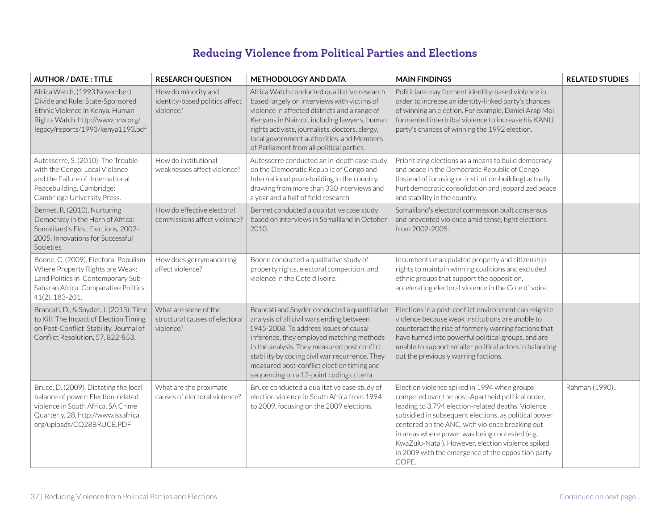## **Reducing Violence from Political Parties and Elections**

| <b>AUTHOR / DATE: TITLE</b>                                                                                                                                                            | <b>RESEARCH QUESTION</b>                                            | <b>METHODOLOGY AND DATA</b>                                                                                                                                                                                                                                                                                                                                                   | <b>MAIN FINDINGS</b>                                                                                                                                                                                                                                                                                                                                                                                                                      | <b>RELATED STUDIES</b> |
|----------------------------------------------------------------------------------------------------------------------------------------------------------------------------------------|---------------------------------------------------------------------|-------------------------------------------------------------------------------------------------------------------------------------------------------------------------------------------------------------------------------------------------------------------------------------------------------------------------------------------------------------------------------|-------------------------------------------------------------------------------------------------------------------------------------------------------------------------------------------------------------------------------------------------------------------------------------------------------------------------------------------------------------------------------------------------------------------------------------------|------------------------|
| Africa Watch, (1993 November).<br>Divide and Rule: State-Sponsored<br>Ethnic Violence in Kenya. Human<br>Rights Watch. http://www.hrw.org/<br>legacy/reports/1993/kenya1193.pdf        | How do minority and<br>identity-based politics affect<br>violence?  | Africa Watch conducted qualitative research<br>based largely on interviews with victims of<br>violence in affected districts and a range of<br>Kenyans in Nairobi, including lawyers, human<br>rights activists, journalists, doctors, clergy,<br>local government authorities, and Members<br>of Parliament from all political parties.                                      | Politicians may forment identity-based violence in<br>order to increase an identity-linked party's chances<br>of winning an election. For example, Daniel Arap Moi<br>formented intertribal violence to increase his KANU<br>party's chances of winning the 1992 election.                                                                                                                                                                |                        |
| Autesserre, S. (2010). The Trouble<br>with the Congo: Local Violence<br>and the Failure of International<br>Peacebuilding. Cambridge:<br>Cambridge University Press.                   | How do institutional<br>weaknesses affect violence?                 | Autesserre conducted an in-depth case study<br>on the Democratic Republic of Congo and<br>International peacebuilding in the country,<br>drawing from more than 330 interviews and<br>a year and a half of field research.                                                                                                                                                    | Prioritizing elections as a means to build democracy<br>and peace in the Democratic Republic of Congo<br>(instead of focusing on institution-building) actually<br>hurt democratic consolidation and jeopardized peace<br>and stability in the country.                                                                                                                                                                                   |                        |
| Bennet, R. (2010). Nurturing<br>Democracy in the Horn of Africa:<br>Somaliland's First Elections, 2002-<br>2005. Innovations for Successful<br>Societies.                              | How do effective electoral<br>commissions affect violence?          | Bennet conducted a qualitative case study<br>based on interviews in Somaliland in October<br>2010.                                                                                                                                                                                                                                                                            | Somaliland's electoral commission built consensus<br>and prevented violence amid tense, tight elections<br>from 2002-2005.                                                                                                                                                                                                                                                                                                                |                        |
| Boone, C. (2009). Electoral Populism<br>Where Property Rights are Weak:<br>Land Politics in Contemporary Sub-<br>Saharan Africa. Comparative Politics,<br>41(2), 183-201.              | How does gerrymandering<br>affect violence?                         | Boone conducted a qualitative study of<br>property rights, electoral competition, and<br>violence in the Cote d'Ivoire.                                                                                                                                                                                                                                                       | Incumbents manipulated property and citizenship<br>rights to maintain winning coalitions and excluded<br>ethnic groups that support the opposition,<br>accelerating electoral violence in the Cote d'Ivoire.                                                                                                                                                                                                                              |                        |
| Brancati, D., & Snyder, J. (2013). Time<br>to Kill: The Impact of Election Timing<br>on Post-Conflict Stability. Journal of<br>Conflict Resolution, 57, 822-853.                       | What are some of the<br>structural causes of electoral<br>violence? | Brancati and Snyder conducted a quantitative<br>analysis of all civil wars ending between<br>1945-2008. To address issues of causal<br>inference, they employed matching methods<br>in the analysis. They measured post conflict<br>stability by coding civil war recurrence. They<br>measured post-conflict election timing and<br>sequencing on a 12-point coding criteria. | Elections in a post-conflict environment can reignite<br>violence because weak institutions are unable to<br>counteract the rise of formerly warring factions that<br>have turned into powerful political groups, and are<br>unable to support smaller political actors in balancing<br>out the previously warring factions.                                                                                                              |                        |
| Bruce, D. (2009). Dictating the local<br>balance of power: Election-related<br>violence in South Africa. SA Crime<br>Quarterly, 28, http://www.issafrica.<br>org/uploads/CQ28BRUCE.PDF | What are the proximate<br>causes of electoral violence?             | Bruce conducted a qualitative case study of<br>election violence in South Africa from 1994<br>to 2009, focusing on the 2009 elections.                                                                                                                                                                                                                                        | Election violence spiked in 1994 when groups<br>competed over the post-Apartheid political order,<br>leading to 3,794 election-related deaths. Violence<br>subsidied in subsequent elections, as political power<br>centered on the ANC, with violence breaking out<br>in areas where power was being contested (e.g.<br>KwaZulu-Natal). However, election violence spiked<br>in 2009 with the emergence of the opposition party<br>COPE. | Rahman (1990).         |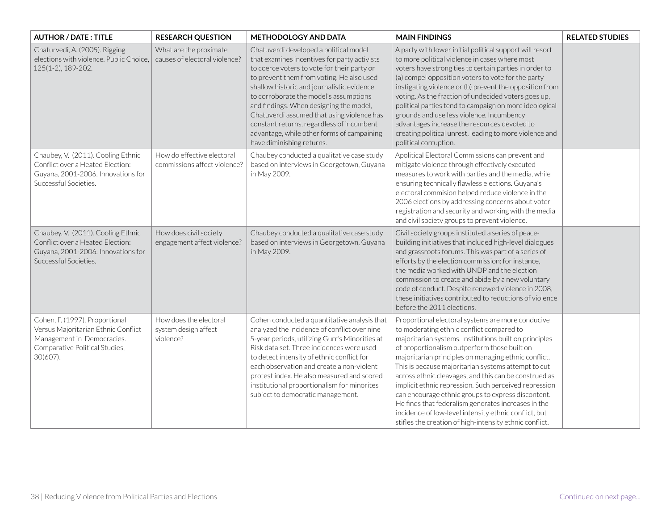| <b>AUTHOR / DATE: TITLE</b>                                                                                                                       | <b>RESEARCH QUESTION</b>                                    | <b>METHODOLOGY AND DATA</b>                                                                                                                                                                                                                                                                                                                                                                                                                                                                 | <b>MAIN FINDINGS</b>                                                                                                                                                                                                                                                                                                                                                                                                                                                                                                                                                                                                                                                       | <b>RELATED STUDIES</b> |
|---------------------------------------------------------------------------------------------------------------------------------------------------|-------------------------------------------------------------|---------------------------------------------------------------------------------------------------------------------------------------------------------------------------------------------------------------------------------------------------------------------------------------------------------------------------------------------------------------------------------------------------------------------------------------------------------------------------------------------|----------------------------------------------------------------------------------------------------------------------------------------------------------------------------------------------------------------------------------------------------------------------------------------------------------------------------------------------------------------------------------------------------------------------------------------------------------------------------------------------------------------------------------------------------------------------------------------------------------------------------------------------------------------------------|------------------------|
| Chaturvedi, A. (2005). Rigging<br>elections with violence. Public Choice,<br>125(1-2), 189-202.                                                   | What are the proximate<br>causes of electoral violence?     | Chatuverdi developed a political model<br>that examines incentives for party activists<br>to coerce voters to vote for their party or<br>to prevent them from voting. He also used<br>shallow historic and journalistic evidence<br>to corroborate the model's assumptions<br>and findings. When designing the model,<br>Chatuverdi assumed that using violence has<br>constant returns, regardless of incumbent<br>advantage, while other forms of campaining<br>have diminishing returns. | A party with lower initial political support will resort<br>to more political violence in cases where most<br>voters have strong ties to certain parties in order to<br>(a) compel opposition voters to vote for the party<br>instigating violence or (b) prevent the opposition from<br>voting. As the fraction of undecided voters goes up,<br>political parties tend to campaign on more ideological<br>grounds and use less violence. Incumbency<br>advantages increase the resources devoted to<br>creating political unrest, leading to more violence and<br>political corruption.                                                                                   |                        |
| Chaubey, V. (2011). Cooling Ethnic<br>Conflict over a Heated Election:<br>Guyana, 2001-2006. Innovations for<br>Successful Societies.             | How do effective electoral<br>commissions affect violence?  | Chaubey conducted a qualitative case study<br>based on interviews in Georgetown, Guyana<br>in May 2009.                                                                                                                                                                                                                                                                                                                                                                                     | Apolitical Electoral Commissions can prevent and<br>mitigate violence through effectively executed<br>measures to work with parties and the media, while<br>ensuring technically flawless elections. Guyana's<br>electoral commision helped reduce violence in the<br>2006 elections by addressing concerns about voter<br>registration and security and working with the media<br>and civil society groups to prevent violence.                                                                                                                                                                                                                                           |                        |
| Chaubey, V. (2011). Cooling Ethnic<br>Conflict over a Heated Election:<br>Guyana, 2001-2006. Innovations for<br>Successful Societies.             | How does civil society<br>engagement affect violence?       | Chaubey conducted a qualitative case study<br>based on interviews in Georgetown, Guyana<br>in May 2009.                                                                                                                                                                                                                                                                                                                                                                                     | Civil society groups instituted a series of peace-<br>building initiatives that included high-level dialogues<br>and grassroots forums. This was part of a series of<br>efforts by the election commission: for instance,<br>the media worked with UNDP and the election<br>commission to create and abide by a new voluntary<br>code of conduct. Despite renewed violence in 2008,<br>these initiatives contributed to reductions of violence<br>before the 2011 elections.                                                                                                                                                                                               |                        |
| Cohen, F. (1997). Proportional<br>Versus Majoritarian Ethnic Conflict<br>Management in Democracies.<br>Comparative Political Studies,<br>30(607). | How does the electoral<br>system design affect<br>violence? | Cohen conducted a quantitative analysis that<br>analyzed the incidence of conflict over nine<br>5-year periods, utilizing Gurr's Minorities at<br>Risk data set. Three incidences were used<br>to detect intensity of ethnic conflict for<br>each observation and create a non-violent<br>protest index. He also measured and scored<br>institutional proportionalism for minorites<br>subject to democratic management.                                                                    | Proportional electoral systems are more conducive<br>to moderating ethnic conflict compared to<br>majoritarian systems. Institutions built on principles<br>of proportionalism outperform those built on<br>majoritarian principles on managing ethnic conflict.<br>This is because majoritarian systems attempt to cut<br>across ethnic cleavages, and this can be construed as<br>implicit ethnic repression. Such perceived repression<br>can encourage ethnic groups to express discontent.<br>He finds that federalism generates increases in the<br>incidence of low-level intensity ethnic conflict, but<br>stifles the creation of high-intensity ethnic conflict. |                        |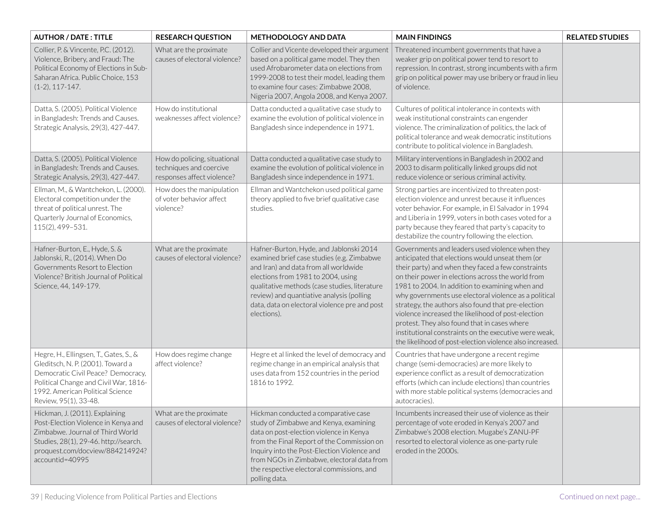| <b>AUTHOR / DATE: TITLE</b>                                                                                                                                                                                             | <b>RESEARCH QUESTION</b>                                                              | <b>METHODOLOGY AND DATA</b>                                                                                                                                                                                                                                                                                                        | <b>MAIN FINDINGS</b>                                                                                                                                                                                                                                                                                                                                                                                                                                                                                                                                                                                        | <b>RELATED STUDIES</b> |
|-------------------------------------------------------------------------------------------------------------------------------------------------------------------------------------------------------------------------|---------------------------------------------------------------------------------------|------------------------------------------------------------------------------------------------------------------------------------------------------------------------------------------------------------------------------------------------------------------------------------------------------------------------------------|-------------------------------------------------------------------------------------------------------------------------------------------------------------------------------------------------------------------------------------------------------------------------------------------------------------------------------------------------------------------------------------------------------------------------------------------------------------------------------------------------------------------------------------------------------------------------------------------------------------|------------------------|
| Collier, P. & Vincente, P.C. (2012).<br>Violence, Bribery, and Fraud: The<br>Political Economy of Elections in Sub-<br>Saharan Africa. Public Choice, 153<br>$(1-2), 117-147.$                                          | What are the proximate<br>causes of electoral violence?                               | Collier and Vicente developed their argument<br>based on a political game model. They then<br>used Afrobarometer data on elections from<br>1999-2008 to test their model, leading them<br>to examine four cases: Zimbabwe 2008,<br>Nigeria 2007, Angola 2008, and Kenya 2007.                                                      | Threatened incumbent governments that have a<br>weaker grip on political power tend to resort to<br>repression. In contrast, strong incumbents with a firm<br>grip on political power may use bribery or fraud in lieu<br>of violence.                                                                                                                                                                                                                                                                                                                                                                      |                        |
| Datta, S. (2005). Political Violence<br>in Bangladesh: Trends and Causes.<br>Strategic Analysis, 29(3), 427-447.                                                                                                        | How do institutional<br>weaknesses affect violence?                                   | Datta conducted a qualitative case study to<br>examine the evolution of political violence in<br>Bangladesh since independence in 1971.                                                                                                                                                                                            | Cultures of political intolerance in contexts with<br>weak institutional constraints can engender<br>violence. The criminalization of politics, the lack of<br>political tolerance and weak democratic institutions<br>contribute to political violence in Bangladesh.                                                                                                                                                                                                                                                                                                                                      |                        |
| Datta, S. (2005). Political Violence<br>in Bangladesh: Trends and Causes.<br>Strategic Analysis, 29(3), 427-447.                                                                                                        | How do policing, situational<br>techniques and coercive<br>responses affect violence? | Datta conducted a qualitative case study to<br>examine the evolution of political violence in<br>Bangladesh since independence in 1971.                                                                                                                                                                                            | Military interventions in Bangladesh in 2002 and<br>2003 to disarm politically linked groups did not<br>reduce violence or serious criminal activity.                                                                                                                                                                                                                                                                                                                                                                                                                                                       |                        |
| Ellman, M., & Wantchekon, L. (2000).<br>Electoral competition under the<br>threat of political unrest. The<br>Quarterly Journal of Economics,<br>115(2), 499-531.                                                       | How does the manipulation<br>of voter behavior affect<br>violence?                    | Ellman and Wantchekon used political game<br>theory applied to five brief qualitative case<br>studies.                                                                                                                                                                                                                             | Strong parties are incentivized to threaten post-<br>election violence and unrest because it influences<br>voter behavior. For example, in El Salvador in 1994<br>and Liberia in 1999, voters in both cases voted for a<br>party because they feared that party's capacity to<br>destabilize the country following the election.                                                                                                                                                                                                                                                                            |                        |
| Hafner-Burton, E., Hyde, S. &<br>Jablonski, R., (2014). When Do<br>Governments Resort to Election<br>Violence? British Journal of Political<br>Science, 44, 149-179.                                                    | What are the proximate<br>causes of electoral violence?                               | Hafner-Burton, Hyde, and Jablonski 2014<br>examined brief case studies (e.g. Zimbabwe<br>and Iran) and data from all worldwide<br>elections from 1981 to 2004, using<br>qualitative methods (case studies, literature<br>review) and quantiative analysis (polling<br>data, data on electoral violence pre and post<br>elections). | Governments and leaders used violence when they<br>anticipated that elections would unseat them (or<br>their party) and when they faced a few constraints<br>on their power in elections across the world from<br>1981 to 2004. In addition to examining when and<br>why governments use electoral violence as a political<br>strategy, the authors also found that pre-election<br>violence increased the likelihood of post-election<br>protest. They also found that in cases where<br>institutional constraints on the executive were weak,<br>the likelihood of post-election violence also increased. |                        |
| Hegre, H., Ellingsen, T., Gates, S., &<br>Gleditsch, N. P. (2001). Toward a<br>Democratic Civil Peace? Democracy,<br>Political Change and Civil War, 1816-<br>1992. American Political Science<br>Review, 95(1), 33-48. | How does regime change<br>affect violence?                                            | Hegre et al linked the level of democracy and<br>regime change in an empirical analysis that<br>uses data from 152 countries in the period<br>1816 to 1992.                                                                                                                                                                        | Countries that have undergone a recent regime<br>change (semi-democracies) are more likely to<br>experience conflict as a result of democratization<br>efforts (which can include elections) than countries<br>with more stable political systems (democracies and<br>autocracies).                                                                                                                                                                                                                                                                                                                         |                        |
| Hickman, J. (2011). Explaining<br>Post-Election Violence in Kenya and<br>Zimbabwe. Journal of Third World<br>Studies, 28(1), 29-46. http://search.<br>proquest.com/docview/884214924?<br>accountid=40995                | What are the proximate<br>causes of electoral violence?                               | Hickman conducted a comparative case<br>study of Zimbabwe and Kenya, examining<br>data on post-election violence in Kenya<br>from the Final Report of the Commission on<br>Inquiry into the Post-Election Violence and<br>from NGOs in Zimbabwe, electoral data from<br>the respective electoral commissions, and<br>polling data. | Incumbents increased their use of violence as their<br>percentage of vote eroded in Kenya's 2007 and<br>Zimbabwe's 2008 election. Mugabe's ZANU-PF<br>resorted to electoral violence as one-party rule<br>eroded in the 2000s.                                                                                                                                                                                                                                                                                                                                                                              |                        |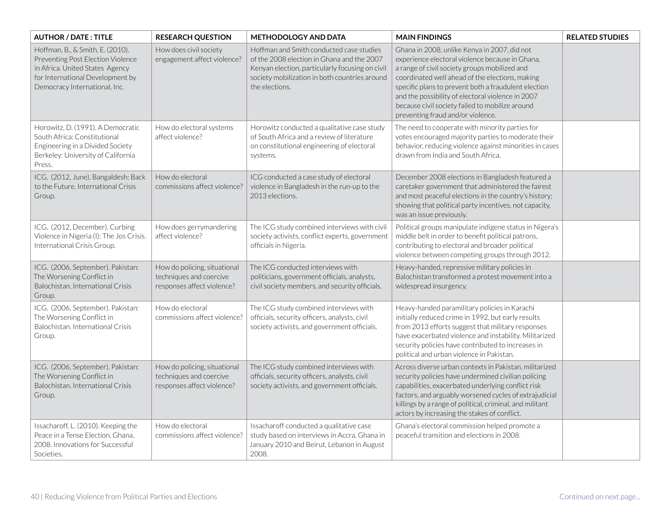| <b>AUTHOR / DATE: TITLE</b>                                                                                                                                                   | <b>RESEARCH QUESTION</b>                                                              | <b>METHODOLOGY AND DATA</b>                                                                                                                                                                                  | <b>MAIN FINDINGS</b>                                                                                                                                                                                                                                                                                                                                                                                     | <b>RELATED STUDIES</b> |
|-------------------------------------------------------------------------------------------------------------------------------------------------------------------------------|---------------------------------------------------------------------------------------|--------------------------------------------------------------------------------------------------------------------------------------------------------------------------------------------------------------|----------------------------------------------------------------------------------------------------------------------------------------------------------------------------------------------------------------------------------------------------------------------------------------------------------------------------------------------------------------------------------------------------------|------------------------|
| Hoffman, B., & Smith, E. (2010).<br>Preventing Post Election Violence<br>in Africa. United States Agency<br>for International Development by<br>Democracy International, Inc. | How does civil society<br>engagement affect violence?                                 | Hoffman and Smith conducted case studies<br>of the 2008 election in Ghana and the 2007<br>Kenyan election, particularly focusing on civil<br>society mobilization in both countries around<br>the elections. | Ghana in 2008, unlike Kenya in 2007, did not<br>experience electoral violence because in Ghana,<br>a range of civil society groups mobilized and<br>coordinated well ahead of the elections, making<br>specific plans to prevent both a fraudulent election<br>and the possibility of electoral violence in 2007<br>because civil society failed to mobilize around<br>preventing fraud and/or violence. |                        |
| Horowitz, D. (1991). A Democratic<br>South Africa: Constitutional<br>Engineering in a Divided Society<br>Berkeley: University of California<br>Press.                         | How do electoral systems<br>affect violence?                                          | Horowitz conducted a qualitative case study<br>of South Africa and a review of literature<br>on constitutional engineering of electoral<br>systems.                                                          | The need to cooperate with minority parties for<br>votes encouraged majority parties to moderate their<br>behavior, reducing violence against minorities in cases<br>drawn from India and South Africa.                                                                                                                                                                                                  |                        |
| ICG. (2012, June). Bangaldesh: Back<br>to the Future. International Crisis<br>Group.                                                                                          | How do electoral<br>commissions affect violence?                                      | ICG conducted a case study of electoral<br>violence in Bangladesh in the run-up to the<br>2013 elections.                                                                                                    | December 2008 elections in Bangladesh featured a<br>caretaker government that administered the fairest<br>and most peaceful elections in the country's history;<br>showing that political party incentives, not capacity,<br>was an issue previously.                                                                                                                                                    |                        |
| ICG. (2012, December). Curbing<br>Violence in Nigeria (I): The Jos Crisis.<br>International Crisis Group.                                                                     | How does gerrymandering<br>affect violence?                                           | The ICG study combined interviews with civil<br>society activists, conflict experts, government<br>officials in Nigeria.                                                                                     | Political groups manipulate indigene status in Nigera's<br>middle belt in order to benefit political patrons,<br>contributing to electoral and broader political<br>violence between competing groups through 2012.                                                                                                                                                                                      |                        |
| ICG. (2006, September). Pakistan:<br>The Worsening Conflict in<br>Balochistan. International Crisis<br>Group.                                                                 | How do policing, situational<br>techniques and coercive<br>responses affect violence? | The ICG conducted interviews with<br>politicians, government officials, analysts,<br>civil society members, and security officials.                                                                          | Heavy-handed, repressive military policies in<br>Balochistan transformed a protest movement into a<br>widespread insurgency.                                                                                                                                                                                                                                                                             |                        |
| ICG. (2006, September). Pakistan:<br>The Worsening Conflict in<br>Balochistan. International Crisis<br>Group.                                                                 | How do electoral<br>commissions affect violence?                                      | The ICG study combined interviews with<br>officials, security officers, analysts, civil<br>society activists, and government officials.                                                                      | Heavy-handed paramilitary policies in Karachi<br>initially reduced crime in 1992, but early results<br>from 2013 efforts suggest that military responses<br>have exacerbated violence and instability. Militarized<br>security policies have contributed to increases in<br>political and urban violence in Pakistan.                                                                                    |                        |
| ICG. (2006, September). Pakistan:<br>The Worsening Conflict in<br>Balochistan. International Crisis<br>Group.                                                                 | How do policing, situational<br>techniques and coercive<br>responses affect violence? | The ICG study combined interviews with<br>officials, security officers, analysts, civil<br>society activists, and government officials.                                                                      | Across diverse urban contexts in Pakistan, militarized<br>security policies have undermined civilian policing<br>capabilities, exacerbated underlying conflict risk<br>factors, and arguably worsened cycles of extrajudicial<br>killings by a range of political, criminal, and militant<br>actors by increasing the stakes of conflict.                                                                |                        |
| Issacharoff, L. (2010). Keeping the<br>Peace in a Tense Election, Ghana,<br>2008. Innovations for Successful<br>Societies.                                                    | How do electoral<br>commissions affect violence?                                      | Issacharoff conducted a qualitative case<br>study based on interviews in Accra, Ghana in<br>January 2010 and Beirut, Lebanon in August<br>2008.                                                              | Ghana's electoral commission helped promote a<br>peaceful transition and elections in 2008.                                                                                                                                                                                                                                                                                                              |                        |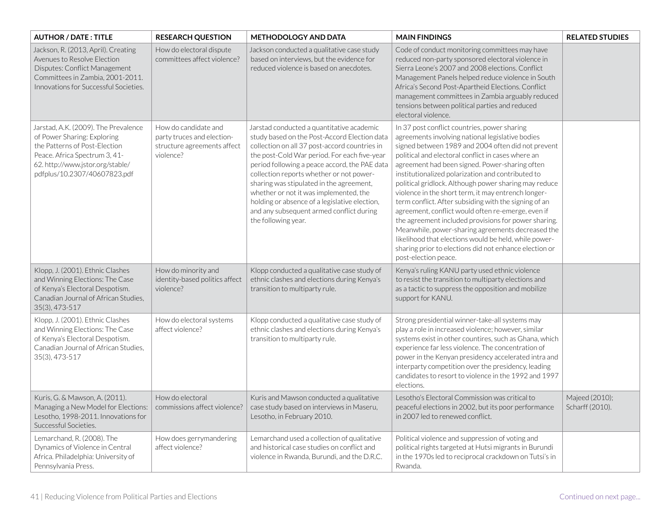| <b>AUTHOR / DATE: TITLE</b>                                                                                                                                                                               | <b>RESEARCH QUESTION</b>                                                                       | <b>METHODOLOGY AND DATA</b>                                                                                                                                                                                                                                                                                                                                                                                                                                                                       | <b>MAIN FINDINGS</b>                                                                                                                                                                                                                                                                                                                                                                                                                                                                                                                                                                                                                                                                                                                                                                                       | <b>RELATED STUDIES</b>            |
|-----------------------------------------------------------------------------------------------------------------------------------------------------------------------------------------------------------|------------------------------------------------------------------------------------------------|---------------------------------------------------------------------------------------------------------------------------------------------------------------------------------------------------------------------------------------------------------------------------------------------------------------------------------------------------------------------------------------------------------------------------------------------------------------------------------------------------|------------------------------------------------------------------------------------------------------------------------------------------------------------------------------------------------------------------------------------------------------------------------------------------------------------------------------------------------------------------------------------------------------------------------------------------------------------------------------------------------------------------------------------------------------------------------------------------------------------------------------------------------------------------------------------------------------------------------------------------------------------------------------------------------------------|-----------------------------------|
| Jackson, R. (2013, April). Creating<br>Avenues to Resolve Election<br>Disputes: Conflict Management<br>Committees in Zambia, 2001-2011.<br>Innovations for Successful Societies.                          | How do electoral dispute<br>committees affect violence?                                        | Jackson conducted a qualitative case study<br>based on interviews, but the evidence for<br>reduced violence is based on anecdotes.                                                                                                                                                                                                                                                                                                                                                                | Code of conduct monitoring committees may have<br>reduced non-party sponsored electoral violence in<br>Sierra Leone's 2007 and 2008 elections. Conflict<br>Management Panels helped reduce violence in South<br>Africa's Second Post-Apartheid Elections. Conflict<br>management committees in Zambia arguably reduced<br>tensions between political parties and reduced<br>electoral violence.                                                                                                                                                                                                                                                                                                                                                                                                            |                                   |
| Jarstad, A.K. (2009). The Prevalence<br>of Power Sharing: Exploring<br>the Patterns of Post-Election<br>Peace. Africa Spectrum 3, 41-<br>62. http://www.jstor.org/stable/<br>pdfplus/10.2307/40607823.pdf | How do candidate and<br>party truces and election-<br>structure agreements affect<br>violence? | Jarstad conducted a quantitative academic<br>study based on the Post-Accord Election data<br>collection on all 37 post-accord countries in<br>the post-Cold War period. For each five-year<br>period following a peace accord, the PAE data<br>collection reports whether or not power-<br>sharing was stipulated in the agreement,<br>whether or not it was implemented, the<br>holding or absence of a legislative election,<br>and any subsequent armed conflict during<br>the following year. | In 37 post conflict countries, power sharing<br>agreements involving national legislative bodies<br>signed between 1989 and 2004 often did not prevent<br>political and electoral conflict in cases where an<br>agreement had been signed. Power-sharing often<br>institutionalized polarization and contributed to<br>political gridlock. Although power sharing may reduce<br>violence in the short term, it may entrench longer-<br>term conflict. After subsiding with the signing of an<br>agreement, conflict would often re-emerge, even if<br>the agreement included provisions for power sharing.<br>Meanwhile, power-sharing agreements decreased the<br>likelihood that elections would be held, while power-<br>sharing prior to elections did not enhance election or<br>post-election peace. |                                   |
| Klopp, J. (2001). Ethnic Clashes<br>and Winning Elections: The Case<br>of Kenya's Electoral Despotism.<br>Canadian Journal of African Studies,<br>35(3), 473-517                                          | How do minority and<br>identity-based politics affect<br>violence?                             | Klopp conducted a qualitative case study of<br>ethnic clashes and elections during Kenya's<br>transition to multiparty rule.                                                                                                                                                                                                                                                                                                                                                                      | Kenya's ruling KANU party used ethnic violence<br>to resist the transition to multiparty elections and<br>as a tactic to suppress the opposition and mobilize<br>support for KANU.                                                                                                                                                                                                                                                                                                                                                                                                                                                                                                                                                                                                                         |                                   |
| Klopp, J. (2001). Ethnic Clashes<br>and Winning Elections: The Case<br>of Kenya's Electoral Despotism.<br>Canadian Journal of African Studies,<br>35(3), 473-517                                          | How do electoral systems<br>affect violence?                                                   | Klopp conducted a qualitative case study of<br>ethnic clashes and elections during Kenya's<br>transition to multiparty rule.                                                                                                                                                                                                                                                                                                                                                                      | Strong presidential winner-take-all systems may<br>play a role in increased violence; however, similar<br>systems exist in other countires, such as Ghana, which<br>experience far less violence. The concentration of<br>power in the Kenyan presidency accelerated intra and<br>interparty competition over the presidency, leading<br>candidates to resort to violence in the 1992 and 1997<br>elections.                                                                                                                                                                                                                                                                                                                                                                                               |                                   |
| Kuris, G. & Mawson, A. (2011).<br>Managing a New Model for Elections:<br>Lesotho, 1998-2011. Innovations for<br>Successful Societies.                                                                     | How do electoral<br>commissions affect violence?                                               | Kuris and Mawson conducted a qualitative<br>case study based on interviews in Maseru,<br>Lesotho, in February 2010.                                                                                                                                                                                                                                                                                                                                                                               | Lesotho's Electoral Commission was critical to<br>peaceful elections in 2002, but its poor performance<br>in 2007 led to renewed conflict.                                                                                                                                                                                                                                                                                                                                                                                                                                                                                                                                                                                                                                                                 | Majeed (2010);<br>Scharff (2010). |
| Lemarchand, R. (2008). The<br>Dynamics of Violence in Central<br>Africa. Philadelphia: University of<br>Pennsylvania Press.                                                                               | How does gerrymandering<br>affect violence?                                                    | Lemarchand used a collection of qualitative<br>and historical case studies on conflict and<br>violence in Rwanda, Burundi, and the D.R.C.                                                                                                                                                                                                                                                                                                                                                         | Political violence and suppression of voting and<br>political rights targeted at Hutsi migrants in Burundi<br>in the 1970s led to reciprocal crackdown on Tutsi's in<br>Rwanda.                                                                                                                                                                                                                                                                                                                                                                                                                                                                                                                                                                                                                            |                                   |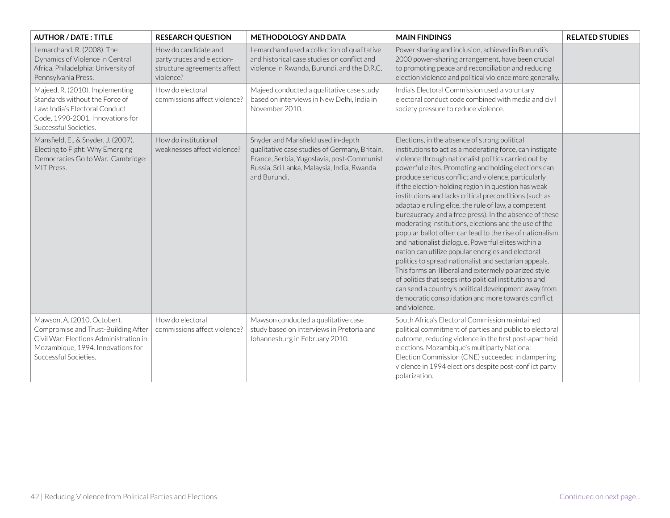| <b>AUTHOR / DATE: TITLE</b>                                                                                                                                                | <b>RESEARCH QUESTION</b>                                                                       | <b>METHODOLOGY AND DATA</b>                                                                                                                                                                     | <b>MAIN FINDINGS</b>                                                                                                                                                                                                                                                                                                                                                                                                                                                                                                                                                                                                                                                                                                                                                                                                                                                                                                                                                                                                                                            | <b>RELATED STUDIES</b> |
|----------------------------------------------------------------------------------------------------------------------------------------------------------------------------|------------------------------------------------------------------------------------------------|-------------------------------------------------------------------------------------------------------------------------------------------------------------------------------------------------|-----------------------------------------------------------------------------------------------------------------------------------------------------------------------------------------------------------------------------------------------------------------------------------------------------------------------------------------------------------------------------------------------------------------------------------------------------------------------------------------------------------------------------------------------------------------------------------------------------------------------------------------------------------------------------------------------------------------------------------------------------------------------------------------------------------------------------------------------------------------------------------------------------------------------------------------------------------------------------------------------------------------------------------------------------------------|------------------------|
| Lemarchand, R. (2008). The<br>Dynamics of Violence in Central<br>Africa. Philadelphia: University of<br>Pennsylvania Press.                                                | How do candidate and<br>party truces and election-<br>structure agreements affect<br>violence? | Lemarchand used a collection of qualitative<br>and historical case studies on conflict and<br>violence in Rwanda, Burundi, and the D.R.C.                                                       | Power sharing and inclusion, achieved in Burundi's<br>2000 power-sharing arrangement, have been crucial<br>to promoting peace and reconciliation and reducing<br>election violence and political violence more generally.                                                                                                                                                                                                                                                                                                                                                                                                                                                                                                                                                                                                                                                                                                                                                                                                                                       |                        |
| Majeed, R. (2010). Implementing<br>Standards without the Force of<br>Law: India's Electoral Conduct<br>Code, 1990-2001. Innovations for<br>Successful Societies.           | How do electoral<br>commissions affect violence?                                               | Majeed conducted a qualitative case study<br>based on interviews in New Delhi, India in<br>November 2010.                                                                                       | India's Electoral Commission used a voluntary<br>electoral conduct code combined with media and civil<br>society pressure to reduce violence.                                                                                                                                                                                                                                                                                                                                                                                                                                                                                                                                                                                                                                                                                                                                                                                                                                                                                                                   |                        |
| Mansfield, E., & Snyder, J. (2007).<br>Electing to Fight: Why Emerging<br>Democracies Go to War. Cambridge:<br>MIT Press.                                                  | How do institutional<br>weaknesses affect violence?                                            | Snyder and Mansfield used in-depth<br>qualitative case studies of Germany, Britain,<br>France, Serbia, Yugoslavia, post-Communist<br>Russia, Sri Lanka, Malaysia, India, Rwanda<br>and Burundi. | Elections, in the absence of strong political<br>institutions to act as a moderating force, can instigate<br>violence through nationalist politics carried out by<br>powerful elites. Promoting and holding elections can<br>produce serious conflict and violence, particularly<br>if the election-holding region in question has weak<br>institutions and lacks critical preconditions (such as<br>adaptable ruling elite, the rule of law, a competent<br>bureaucracy, and a free press). In the absence of these<br>moderating institutions, elections and the use of the<br>popular ballot often can lead to the rise of nationalism<br>and nationalist dialogue. Powerful elites within a<br>nation can utilize popular energies and electoral<br>politics to spread nationalist and sectarian appeals.<br>This forms an illiberal and extermely polarized style<br>of politics that seeps into political institutions and<br>can send a country's political development away from<br>democratic consolidation and more towards conflict<br>and violence. |                        |
| Mawson, A. (2010, October).<br>Compromise and Trust-Building After<br>Civil War: Elections Administration in<br>Mozambique, 1994. Innovations for<br>Successful Societies. | How do electoral<br>commissions affect violence?                                               | Mawson conducted a qualitative case<br>study based on interviews in Pretoria and<br>Johannesburg in February 2010.                                                                              | South Africa's Electoral Commission maintained<br>political commitment of parties and public to electoral<br>outcome, reducing violence in the first post-apartheid<br>elections. Mozambique's multiparty National<br>Election Commission (CNE) succeeded in dampening<br>violence in 1994 elections despite post-conflict party<br>polarization.                                                                                                                                                                                                                                                                                                                                                                                                                                                                                                                                                                                                                                                                                                               |                        |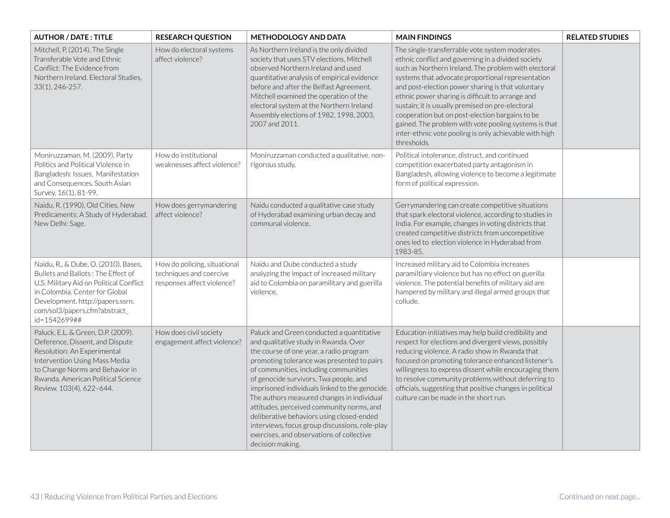| <b>AUTHOR / DATE: TITLE</b>                                                                                                                                                                                                                  | <b>RESEARCH QUESTION</b>                                                              | <b>METHODOLOGY AND DATA</b>                                                                                                                                                                                                                                                                                                                                                                                                                                                                                                                                                 | <b>MAIN FINDINGS</b>                                                                                                                                                                                                                                                                                                                                                                                                                                                                                                                                                | <b>RELATED STUDIES</b> |
|----------------------------------------------------------------------------------------------------------------------------------------------------------------------------------------------------------------------------------------------|---------------------------------------------------------------------------------------|-----------------------------------------------------------------------------------------------------------------------------------------------------------------------------------------------------------------------------------------------------------------------------------------------------------------------------------------------------------------------------------------------------------------------------------------------------------------------------------------------------------------------------------------------------------------------------|---------------------------------------------------------------------------------------------------------------------------------------------------------------------------------------------------------------------------------------------------------------------------------------------------------------------------------------------------------------------------------------------------------------------------------------------------------------------------------------------------------------------------------------------------------------------|------------------------|
| Mitchell, P. (2014). The Single<br>Transferable Vote and Ethnic<br>Conflict: The Evidence from<br>Northern Ireland. Electoral Studies,<br>33(1), 246-257.                                                                                    | How do electoral systems<br>affect violence?                                          | As Northern Ireland is the only divided<br>society that uses STV elections, Mitchell<br>observed Northern Ireland and used<br>quantitative analysis of empirical evidence<br>before and after the Belfast Agreement.<br>Mitchell examined the operation of the<br>electoral system at the Northern Ireland<br>Assembly elections of 1982, 1998, 2003,<br>2007 and 2011.                                                                                                                                                                                                     | The single-transferrable vote system moderates<br>ethnic conflict and governing in a divided society<br>such as Northern Ireland. The problem with electoral<br>systems that advocate proportional representation<br>and post-election power sharing is that voluntary<br>ethnic power sharing is difficult to arrange and<br>sustain; it is usually premised on pre-electoral<br>cooperation but on post-election bargains to be<br>gained. The problem with vote pooling systems is that<br>inter-ethnic vote pooling is only achievable with high<br>thresholds. |                        |
| Moniruzzaman, M. (2009). Party<br>Politics and Political Violence in<br>Bangladesh: Issues, Manifestation<br>and Consequences. South Asian<br>Survey, 16(1), 81-99.                                                                          | How do institutional<br>weaknesses affect violence?                                   | Moniruzzaman conducted a qualitative, non-<br>rigorous study.                                                                                                                                                                                                                                                                                                                                                                                                                                                                                                               | Political intolerance, distruct, and continued<br>competition exacerbated party antagonism in<br>Bangladesh, allowing violence to become a legitimate<br>form of political expression.                                                                                                                                                                                                                                                                                                                                                                              |                        |
| Naidu, R. (1990). Old Cities, New<br>Predicaments: A Study of Hyderabad.<br>New Delhi: Sage.                                                                                                                                                 | How does gerrymandering<br>affect violence?                                           | Naidu conducted a qualitative case study<br>of Hyderabad examining urban decay and<br>communal violence.                                                                                                                                                                                                                                                                                                                                                                                                                                                                    | Gerrymandering can create competitive situations<br>that spark electoral violence, according to studies in<br>India. For example, changes in voting districts that<br>created competitive districts from uncompetitive<br>ones led to election violence in Hyderabad from<br>1983-85.                                                                                                                                                                                                                                                                               |                        |
| Naidu, R., & Dube, O. (2010). Bases,<br>Bullets and Ballots: The Effect of<br>U.S. Military Aid on Political Conflict<br>in Colombia. Center for Global<br>Development. http://papers.ssrn.<br>com/sol3/papers.cfm?abstract_<br>id=1542699## | How do policing, situational<br>techniques and coercive<br>responses affect violence? | Naidu and Dube conducted a study<br>analyzing the impact of increased military<br>aid to Colombia on paramilitary and guerilla<br>violence.                                                                                                                                                                                                                                                                                                                                                                                                                                 | Increased military aid to Colombia increases<br>paramiltiary violence but has no effect on guerilla<br>violence. The potential benefits of military aid are<br>hampered by military and illegal armed groups that<br>collude.                                                                                                                                                                                                                                                                                                                                       |                        |
| Paluck, E.L. & Green, D.P. (2009).<br>Deference, Dissent, and Dispute<br>Resolution: An Experimental<br>Intervention Using Mass Media<br>to Change Norms and Behavior in<br>Rwanda. American Political Science<br>Review. 103(4), 622-644.   | How does civil society<br>engagement affect violence?                                 | Paluck and Green conducted a quantitative<br>and qualitative study in Rwanda. Over<br>the course of one year, a radio program<br>promoting tolerance was presented to pairs<br>of communities, including communities<br>of genocide survivors, Twa people, and<br>imprisoned individuals linked to the genocide.<br>The authors measured changes in individual<br>attitudes, perceived community norms, and<br>deliberative behaviors using closed-ended<br>interviews, focus group discussions, role-play<br>exercises, and observations of collective<br>decision making. | Education initiatives may help build credibility and<br>respect for elections and divergent views, possibly<br>reducing violence. A radio show in Rwanda that<br>focused on promoting tolerance enhanced listener's<br>willingness to express dissent while encouraging them<br>to resolve community problems without deferring to<br>officials, suggesting that positive changes in political<br>culture can be made in the short run.                                                                                                                             |                        |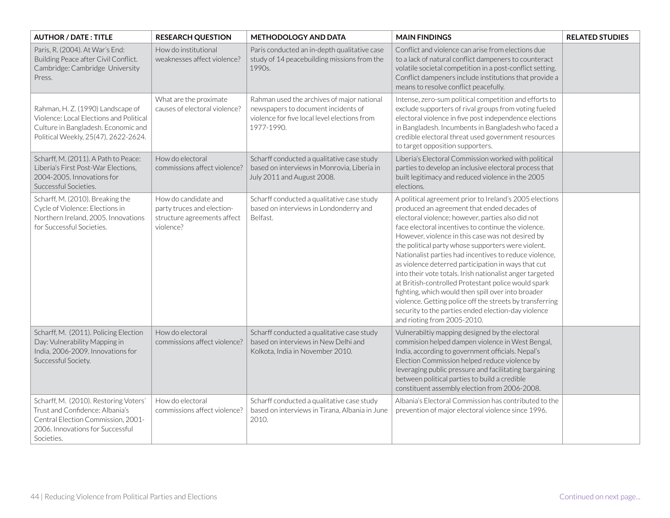| <b>AUTHOR / DATE: TITLE</b>                                                                                                                                      | <b>RESEARCH QUESTION</b>                                                                       | <b>METHODOLOGY AND DATA</b>                                                                                                                     | <b>MAIN FINDINGS</b>                                                                                                                                                                                                                                                                                                                                                                                                                                                                                                                                                                                                                                                                                                                                                      | <b>RELATED STUDIES</b> |
|------------------------------------------------------------------------------------------------------------------------------------------------------------------|------------------------------------------------------------------------------------------------|-------------------------------------------------------------------------------------------------------------------------------------------------|---------------------------------------------------------------------------------------------------------------------------------------------------------------------------------------------------------------------------------------------------------------------------------------------------------------------------------------------------------------------------------------------------------------------------------------------------------------------------------------------------------------------------------------------------------------------------------------------------------------------------------------------------------------------------------------------------------------------------------------------------------------------------|------------------------|
| Paris, R. (2004). At War's End:<br>Building Peace after Civil Conflict.<br>Cambridge: Cambridge University<br>Press.                                             | How do institutional<br>weaknesses affect violence?                                            | Paris conducted an in-depth qualitative case<br>study of 14 peacebuilding missions from the<br>1990s.                                           | Conflict and violence can arise from elections due<br>to a lack of natural conflict dampeners to counteract<br>volatile societal competition in a post-conflict setting.<br>Conflict dampeners include institutions that provide a<br>means to resolve conflict peacefully.                                                                                                                                                                                                                                                                                                                                                                                                                                                                                               |                        |
| Rahman, H. Z. (1990) Landscape of<br>Violence: Local Elections and Political<br>Culture in Bangladesh. Economic and<br>Political Weekly, 25(47), 2622-2624.      | What are the proximate<br>causes of electoral violence?                                        | Rahman used the archives of major national<br>newspapers to document incidents of<br>violence for five local level elections from<br>1977-1990. | Intense, zero-sum political competition and efforts to<br>exclude supporters of rival groups from voting fueled<br>electoral violence in five post independence elections<br>in Bangladesh. Incumbents in Bangladesh who faced a<br>credible electoral threat used government resources<br>to target opposition supporters.                                                                                                                                                                                                                                                                                                                                                                                                                                               |                        |
| Scharff, M. (2011). A Path to Peace:<br>Liberia's First Post-War Elections,<br>2004-2005. Innovations for<br>Successful Societies.                               | How do electoral<br>commissions affect violence?                                               | Scharff conducted a qualitative case study<br>based on interviews in Monrovia, Liberia in<br>July 2011 and August 2008.                         | Liberia's Electoral Commission worked with political<br>parties to develop an inclusive electoral process that<br>built legitimacy and reduced violence in the 2005<br>elections.                                                                                                                                                                                                                                                                                                                                                                                                                                                                                                                                                                                         |                        |
| Scharff, M. (2010). Breaking the<br>Cycle of Violence: Elections in<br>Northern Ireland, 2005. Innovations<br>for Successful Societies.                          | How do candidate and<br>party truces and election-<br>structure agreements affect<br>violence? | Scharff conducted a qualitative case study<br>based on interviews in Londonderry and<br>Belfast.                                                | A political agreement prior to Ireland's 2005 elections<br>produced an agreement that ended decades of<br>electoral violence; however, parties also did not<br>face electoral incentives to continue the violence.<br>However, violence in this case was not desired by<br>the political party whose supporters were violent.<br>Nationalist parties had incentives to reduce violence,<br>as violence deterred participation in ways that cut<br>into their vote totals. Irish nationalist anger targeted<br>at British-controlled Protestant police would spark<br>fighting, which would then spill over into broader<br>violence. Getting police off the streets by transferring<br>security to the parties ended election-day violence<br>and rioting from 2005-2010. |                        |
| Scharff, M. (2011). Policing Election<br>Day: Vulnerability Mapping in<br>India, 2006-2009. Innovations for<br>Successful Society.                               | How do electoral<br>commissions affect violence?                                               | Scharff conducted a qualitative case study<br>based on interviews in New Delhi and<br>Kolkota, India in November 2010.                          | Vulnerabiltiy mapping designed by the electoral<br>commision helped dampen violence in West Bengal,<br>India, according to government officials. Nepal's<br>Election Commission helped reduce violence by<br>leveraging public pressure and facilitating bargaining<br>between political parties to build a credible<br>constituent assembly election from 2006-2008.                                                                                                                                                                                                                                                                                                                                                                                                     |                        |
| Scharff, M. (2010). Restoring Voters'<br>Trust and Confidence: Albania's<br>Central Election Commission, 2001-<br>2006. Innovations for Successful<br>Societies. | How do electoral<br>commissions affect violence?                                               | Scharff conducted a qualitative case study<br>based on interviews in Tirana, Albania in June<br>2010.                                           | Albania's Electoral Commission has contributed to the<br>prevention of major electoral violence since 1996.                                                                                                                                                                                                                                                                                                                                                                                                                                                                                                                                                                                                                                                               |                        |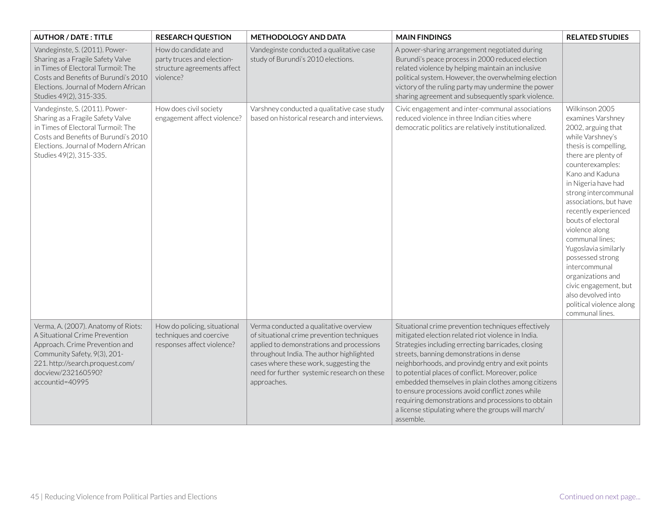| <b>AUTHOR / DATE: TITLE</b>                                                                                                                                                                                          | <b>RESEARCH QUESTION</b>                                                                       | METHODOLOGY AND DATA                                                                                                                                                                                                                                                                  | <b>MAIN FINDINGS</b>                                                                                                                                                                                                                                                                                                                                                                                                                                                                                                                                      | <b>RELATED STUDIES</b>                                                                                                                                                                                                                                                                                                                                                                                                                                                                                           |
|----------------------------------------------------------------------------------------------------------------------------------------------------------------------------------------------------------------------|------------------------------------------------------------------------------------------------|---------------------------------------------------------------------------------------------------------------------------------------------------------------------------------------------------------------------------------------------------------------------------------------|-----------------------------------------------------------------------------------------------------------------------------------------------------------------------------------------------------------------------------------------------------------------------------------------------------------------------------------------------------------------------------------------------------------------------------------------------------------------------------------------------------------------------------------------------------------|------------------------------------------------------------------------------------------------------------------------------------------------------------------------------------------------------------------------------------------------------------------------------------------------------------------------------------------------------------------------------------------------------------------------------------------------------------------------------------------------------------------|
| Vandeginste, S. (2011). Power-<br>Sharing as a Fragile Safety Valve<br>in Times of Electoral Turmoil: The<br>Costs and Benefits of Burundi's 2010<br>Elections. Journal of Modern African<br>Studies 49(2), 315-335. | How do candidate and<br>party truces and election-<br>structure agreements affect<br>violence? | Vandeginste conducted a qualitative case<br>study of Burundi's 2010 elections.                                                                                                                                                                                                        | A power-sharing arrangement negotiated during<br>Burundi's peace process in 2000 reduced election<br>related violence by helping maintain an inclusive<br>political system. However, the overwhelming election<br>victory of the ruling party may undermine the power<br>sharing agreement and subsequently spark violence.                                                                                                                                                                                                                               |                                                                                                                                                                                                                                                                                                                                                                                                                                                                                                                  |
| Vandeginste, S. (2011). Power-<br>Sharing as a Fragile Safety Valve<br>in Times of Electoral Turmoil: The<br>Costs and Benefits of Burundi's 2010<br>Elections. Journal of Modern African<br>Studies 49(2), 315-335. | How does civil society<br>engagement affect violence?                                          | Varshney conducted a qualitative case study<br>based on historical research and interviews.                                                                                                                                                                                           | Civic engagement and inter-communal associations<br>reduced violence in three Indian cities where<br>democratic politics are relatively institutionalized.                                                                                                                                                                                                                                                                                                                                                                                                | Wilkinson 2005<br>examines Varshney<br>2002, arguing that<br>while Varshney's<br>thesis is compelling,<br>there are plenty of<br>counterexamples:<br>Kano and Kaduna<br>in Nigeria have had<br>strong intercommunal<br>associations, but have<br>recently experienced<br>bouts of electoral<br>violence along<br>communal lines:<br>Yugoslavia similarly<br>possessed strong<br>intercommunal<br>organizations and<br>civic engagement, but<br>also devolved into<br>political violence along<br>communal lines. |
| Verma, A. (2007). Anatomy of Riots:<br>A Situational Crime Prevention<br>Approach. Crime Prevention and<br>Community Safety, 9(3), 201-<br>221. http://search.proquest.com/<br>docview/232160590?<br>accountid=40995 | How do policing, situational<br>techniques and coercive<br>responses affect violence?          | Verma conducted a qualitative overview<br>of situational crime prevention techniques<br>applied to demonstrations and processions<br>throughout India. The author highlighted<br>cases where these work, suggesting the<br>need for further systemic research on these<br>approaches. | Situational crime prevention techniques effectively<br>mitigated election related riot violence in India.<br>Strategies including errecting barricades, closing<br>streets, banning demonstrations in dense<br>neighborhoods, and provindg entry and exit points<br>to potential places of conflict. Moreover, police<br>embedded themselves in plain clothes among citizens<br>to ensure processions avoid conflict zones while<br>requiring demonstrations and processions to obtain<br>a license stipulating where the groups will march/<br>assemble. |                                                                                                                                                                                                                                                                                                                                                                                                                                                                                                                  |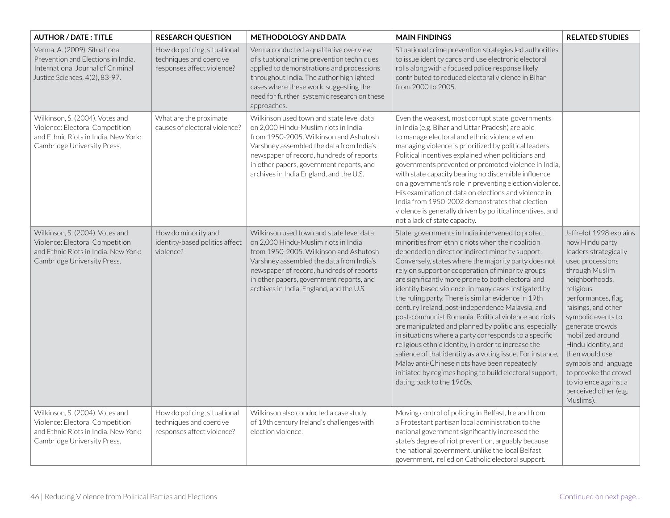| <b>AUTHOR / DATE: TITLE</b>                                                                                                                | <b>RESEARCH QUESTION</b>                                                              | <b>METHODOLOGY AND DATA</b>                                                                                                                                                                                                                                                                                | <b>MAIN FINDINGS</b>                                                                                                                                                                                                                                                                                                                                                                                                                                                                                                                                                                                                                                                                                                                                                                                                                                                                                                                     | <b>RELATED STUDIES</b>                                                                                                                                                                                                                                                                                                                                                                                     |
|--------------------------------------------------------------------------------------------------------------------------------------------|---------------------------------------------------------------------------------------|------------------------------------------------------------------------------------------------------------------------------------------------------------------------------------------------------------------------------------------------------------------------------------------------------------|------------------------------------------------------------------------------------------------------------------------------------------------------------------------------------------------------------------------------------------------------------------------------------------------------------------------------------------------------------------------------------------------------------------------------------------------------------------------------------------------------------------------------------------------------------------------------------------------------------------------------------------------------------------------------------------------------------------------------------------------------------------------------------------------------------------------------------------------------------------------------------------------------------------------------------------|------------------------------------------------------------------------------------------------------------------------------------------------------------------------------------------------------------------------------------------------------------------------------------------------------------------------------------------------------------------------------------------------------------|
| Verma, A. (2009). Situational<br>Prevention and Elections in India.<br>International Journal of Criminal<br>Justice Sciences, 4(2), 83-97. | How do policing, situational<br>techniques and coercive<br>responses affect violence? | Verma conducted a qualitative overview<br>of situational crime prevention techniques<br>applied to demonstrations and processions<br>throughout India. The author highlighted<br>cases where these work, suggesting the<br>need for further systemic research on these<br>approaches.                      | Situational crime prevention strategies led authorities<br>to issue identity cards and use electronic electoral<br>rolls along with a focused police response likely<br>contributed to reduced electoral violence in Bihar<br>from 2000 to 2005.                                                                                                                                                                                                                                                                                                                                                                                                                                                                                                                                                                                                                                                                                         |                                                                                                                                                                                                                                                                                                                                                                                                            |
| Wilkinson, S. (2004). Votes and<br>Violence: Electoral Competition<br>and Ethnic Riots in India. New York:<br>Cambridge University Press.  | What are the proximate<br>causes of electoral violence?                               | Wilkinson used town and state level data<br>on 2,000 Hindu-Muslim riots in India<br>from 1950-2005. Wilkinson and Ashutosh<br>Varshney assembled the data from India's<br>newspaper of record, hundreds of reports<br>in other papers, government reports, and<br>archives in India England, and the U.S.  | Even the weakest, most corrupt state governments<br>in India (e.g. Bihar and Uttar Pradesh) are able<br>to manage electoral and ethnic violence when<br>managing violence is prioritized by political leaders.<br>Political incentives explained when politicians and<br>governments prevented or promoted violence in India,<br>with state capacity bearing no discernible influence<br>on a government's role in preventing election violence.<br>His examination of data on elections and violence in<br>India from 1950-2002 demonstrates that election<br>violence is generally driven by political incentives, and<br>not a lack of state capacity.                                                                                                                                                                                                                                                                                |                                                                                                                                                                                                                                                                                                                                                                                                            |
| Wilkinson, S. (2004). Votes and<br>Violence: Electoral Competition<br>and Ethnic Riots in India. New York:<br>Cambridge University Press.  | How do minority and<br>identity-based politics affect<br>violence?                    | Wilkinson used town and state level data<br>on 2,000 Hindu-Muslim riots in India<br>from 1950-2005. Wilkinson and Ashutosh<br>Varshney assembled the data from India's<br>newspaper of record, hundreds of reports<br>in other papers, government reports, and<br>archives in India, England, and the U.S. | State governments in India intervened to protect<br>minorities from ethnic riots when their coalition<br>depended on direct or indirect minority support.<br>Conversely, states where the majority party does not<br>rely on support or cooperation of minority groups<br>are significantly more prone to both electoral and<br>identity based violence, in many cases instigated by<br>the ruling party. There is similar evidence in 19th<br>century Ireland, post-independence Malaysia, and<br>post-communist Romania. Political violence and riots<br>are manipulated and planned by politicians, especially<br>in situations where a party corresponds to a specific<br>religious ethnic identity, in order to increase the<br>salience of that identity as a voting issue. For instance,<br>Malay anti-Chinese riots have been repeatedly<br>initiated by regimes hoping to build electoral support,<br>dating back to the 1960s. | Jaffrelot 1998 explains<br>how Hindu party<br>leaders strategically<br>used processions<br>through Muslim<br>neighborhoods,<br>religious<br>performances, flag<br>raisings, and other<br>symbolic events to<br>generate crowds<br>mobilized around<br>Hindu identity, and<br>then would use<br>symbols and language<br>to provoke the crowd<br>to violence against a<br>perceived other (e.g.<br>Muslims). |
| Wilkinson, S. (2004). Votes and<br>Violence: Electoral Competition<br>and Ethnic Riots in India. New York:<br>Cambridge University Press.  | How do policing, situational<br>techniques and coercive<br>responses affect violence? | Wilkinson also conducted a case study<br>of 19th century Ireland's challenges with<br>election violence.                                                                                                                                                                                                   | Moving control of policing in Belfast, Ireland from<br>a Protestant partisan local administration to the<br>national government significantly increased the<br>state's degree of riot prevention, arguably because<br>the national government, unlike the local Belfast<br>government, relied on Catholic electoral support.                                                                                                                                                                                                                                                                                                                                                                                                                                                                                                                                                                                                             |                                                                                                                                                                                                                                                                                                                                                                                                            |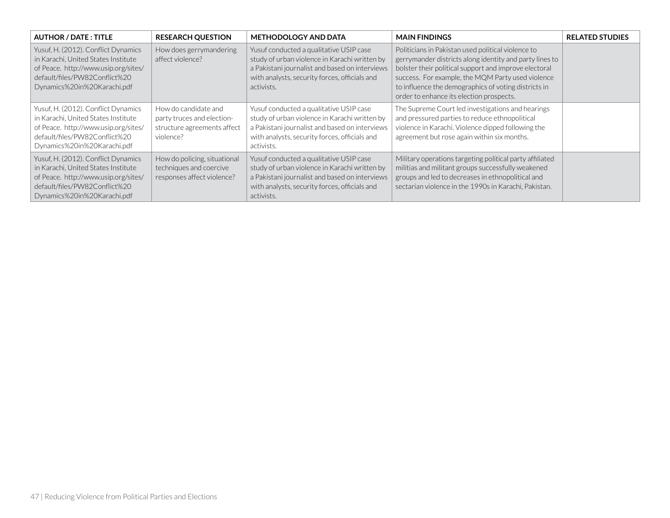| <b>AUTHOR / DATE: TITLE</b>                                                                                                                                                        | <b>RESEARCH QUESTION</b>                                                                       | <b>METHODOLOGY AND DATA</b>                                                                                                                                                                               | <b>MAIN FINDINGS</b>                                                                                                                                                                                                                                                                                                            | <b>RELATED STUDIES</b> |
|------------------------------------------------------------------------------------------------------------------------------------------------------------------------------------|------------------------------------------------------------------------------------------------|-----------------------------------------------------------------------------------------------------------------------------------------------------------------------------------------------------------|---------------------------------------------------------------------------------------------------------------------------------------------------------------------------------------------------------------------------------------------------------------------------------------------------------------------------------|------------------------|
| Yusuf, H. (2012). Conflict Dynamics<br>in Karachi, United States Institute<br>of Peace. http://www.usip.org/sites/<br>default/files/PW82Conflict%20<br>Dynamics%20in%20Karachi.pdf | How does gerrymandering<br>affect violence?                                                    | Yusuf conducted a qualitative USIP case<br>study of urban violence in Karachi written by<br>a Pakistani journalist and based on interviews<br>with analysts, security forces, officials and<br>activists. | Politicians in Pakistan used political violence to<br>gerrymander districts along identity and party lines to<br>bolster their political support and improve electoral<br>success. For example, the MQM Party used violence<br>to influence the demographics of voting districts in<br>order to enhance its election prospects. |                        |
| Yusuf, H. (2012). Conflict Dynamics<br>in Karachi, United States Institute<br>of Peace. http://www.usip.org/sites/<br>default/files/PW82Conflict%20<br>Dynamics%20in%20Karachi.pdf | How do candidate and<br>party truces and election-<br>structure agreements affect<br>violence? | Yusuf conducted a qualitative USIP case<br>study of urban violence in Karachi written by<br>a Pakistani journalist and based on interviews<br>with analysts, security forces, officials and<br>activists. | The Supreme Court led investigations and hearings<br>and pressured parties to reduce ethnopolitical<br>violence in Karachi. Violence dipped following the<br>agreement but rose again within six months.                                                                                                                        |                        |
| Yusuf, H. (2012). Conflict Dynamics<br>in Karachi, United States Institute<br>of Peace. http://www.usip.org/sites/<br>default/files/PW82Conflict%20<br>Dynamics%20in%20Karachi.pdf | How do policing, situational<br>techniques and coercive<br>responses affect violence?          | Yusuf conducted a qualitative USIP case<br>study of urban violence in Karachi written by<br>a Pakistani journalist and based on interviews<br>with analysts, security forces, officials and<br>activists. | Military operations targeting political party affiliated<br>militias and militant groups successfully weakened<br>groups and led to decreases in ethnopolitical and<br>sectarian violence in the 1990s in Karachi, Pakistan.                                                                                                    |                        |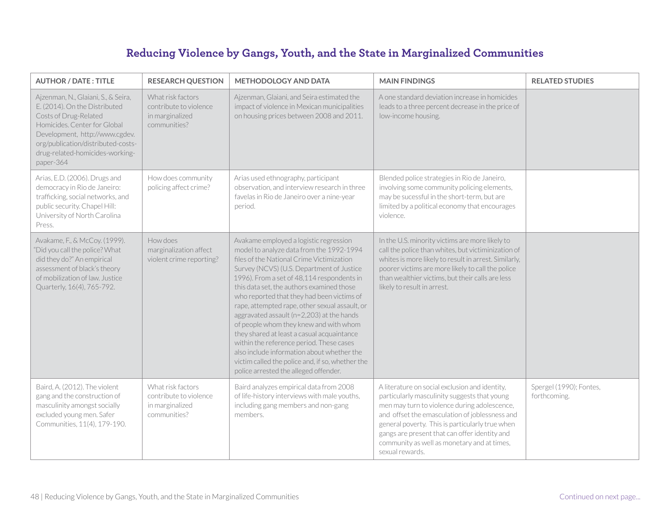## **Reducing Violence by Gangs, Youth, and the State in Marginalized Communities**

| <b>AUTHOR / DATE: TITLE</b>                                                                                                                                                                                                                           | <b>RESEARCH QUESTION</b>                                                       | <b>METHODOLOGY AND DATA</b>                                                                                                                                                                                                                                                                                                                                                                                                                                                                                                                                                                                                                                                                         | <b>MAIN FINDINGS</b>                                                                                                                                                                                                                                                                                                                                                   | <b>RELATED STUDIES</b>                  |
|-------------------------------------------------------------------------------------------------------------------------------------------------------------------------------------------------------------------------------------------------------|--------------------------------------------------------------------------------|-----------------------------------------------------------------------------------------------------------------------------------------------------------------------------------------------------------------------------------------------------------------------------------------------------------------------------------------------------------------------------------------------------------------------------------------------------------------------------------------------------------------------------------------------------------------------------------------------------------------------------------------------------------------------------------------------------|------------------------------------------------------------------------------------------------------------------------------------------------------------------------------------------------------------------------------------------------------------------------------------------------------------------------------------------------------------------------|-----------------------------------------|
| Ajzenman, N., Glaiani, S., & Seira,<br>E. (2014). On the Distributed<br>Costs of Drug-Related<br>Homicides. Center for Global<br>Development, http://www.cgdev.<br>org/publication/distributed-costs-<br>drug-related-homicides-working-<br>paper-364 | What risk factors<br>contribute to violence<br>in marginalized<br>communities? | Ajzenman, Glaiani, and Seira estimated the<br>impact of violence in Mexican municipalities<br>on housing prices between 2008 and 2011.                                                                                                                                                                                                                                                                                                                                                                                                                                                                                                                                                              | A one standard deviation increase in homicides<br>leads to a three percent decrease in the price of<br>low-income housing.                                                                                                                                                                                                                                             |                                         |
| Arias, E.D. (2006). Drugs and<br>democracy in Rio de Janeiro:<br>trafficking, social networks, and<br>public security. Chapel Hill:<br>University of North Carolina<br>Press.                                                                         | How does community<br>policing affect crime?                                   | Arias used ethnography, participant<br>observation, and interview research in three<br>favelas in Rio de Janeiro over a nine-year<br>period.                                                                                                                                                                                                                                                                                                                                                                                                                                                                                                                                                        | Blended police strategies in Rio de Janeiro,<br>involving some community policing elements,<br>may be sucessful in the short-term, but are<br>limited by a political economy that encourages<br>violence.                                                                                                                                                              |                                         |
| Avakame, F., & McCoy. (1999).<br>"Did you call the police? What<br>did they do?" An empirical<br>assessment of black's theory<br>of mobilization of law. Justice<br>Quarterly, 16(4), 765-792.                                                        | How does<br>marginalization affect<br>violent crime reporting?                 | Avakame employed a logistic regression<br>model to analyze data from the 1992-1994<br>files of the National Crime Victimization<br>Survey (NCVS) (U.S. Department of Justice<br>1996). From a set of 48,114 respondents in<br>this data set, the authors examined those<br>who reported that they had been victims of<br>rape, attempted rape, other sexual assault, or<br>aggravated assault (n=2,203) at the hands<br>of people whom they knew and with whom<br>they shared at least a casual acquaintance<br>within the reference period. These cases<br>also include information about whether the<br>victim called the police and, if so, whether the<br>police arrested the alleged offender. | In the U.S. minority victims are more likely to<br>call the police than whites, but victiminization of<br>whites is more likely to result in arrest. Similarly,<br>poorer victims are more likely to call the police<br>than wealthier victims, but their calls are less<br>likely to result in arrest.                                                                |                                         |
| Baird, A. (2012). The violent<br>gang and the construction of<br>masculinity amongst socially<br>excluded young men. Safer<br>Communities, 11(4), 179-190.                                                                                            | What risk factors<br>contribute to violence<br>in marginalized<br>communities? | Baird analyzes empirical data from 2008<br>of life-history interviews with male youths,<br>including gang members and non-gang<br>members.                                                                                                                                                                                                                                                                                                                                                                                                                                                                                                                                                          | A literature on social exclusion and identity,<br>particularly masculinity suggests that young<br>men may turn to violence during adolescence,<br>and offset the emasculation of joblessness and<br>general poverty. This is particularly true when<br>gangs are present that can offer identity and<br>community as well as monetary and at times,<br>sexual rewards. | Spergel (1990); Fontes,<br>forthcoming. |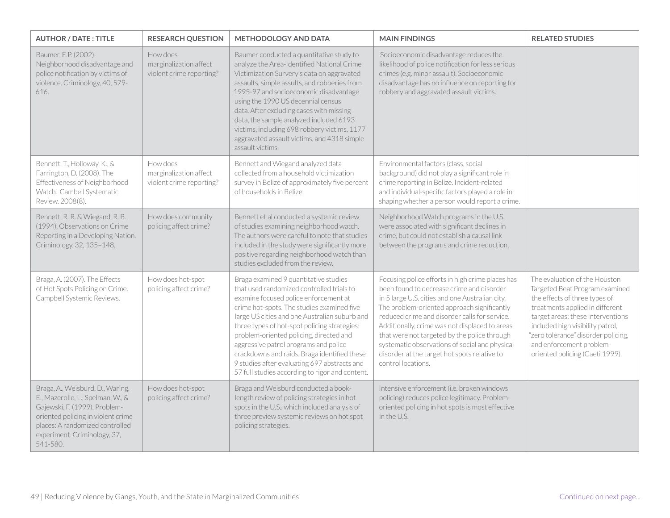| <b>AUTHOR / DATE: TITLE</b>                                                                                                                                                                                                 | <b>RESEARCH QUESTION</b>                                       | <b>METHODOLOGY AND DATA</b>                                                                                                                                                                                                                                                                                                                                                                                                                                                                                       | <b>MAIN FINDINGS</b>                                                                                                                                                                                                                                                                                                                                                                                                                                                       | <b>RELATED STUDIES</b>                                                                                                                                                                                                                                                                                             |
|-----------------------------------------------------------------------------------------------------------------------------------------------------------------------------------------------------------------------------|----------------------------------------------------------------|-------------------------------------------------------------------------------------------------------------------------------------------------------------------------------------------------------------------------------------------------------------------------------------------------------------------------------------------------------------------------------------------------------------------------------------------------------------------------------------------------------------------|----------------------------------------------------------------------------------------------------------------------------------------------------------------------------------------------------------------------------------------------------------------------------------------------------------------------------------------------------------------------------------------------------------------------------------------------------------------------------|--------------------------------------------------------------------------------------------------------------------------------------------------------------------------------------------------------------------------------------------------------------------------------------------------------------------|
| Baumer, E.P. (2002).<br>Neighborhood disadvantage and<br>police notification by victims of<br>violence. Criminology, 40, 579-<br>616.                                                                                       | How does<br>marginalization affect<br>violent crime reporting? | Baumer conducted a quantitative study to<br>analyze the Area-Identified National Crime<br>Victimization Survery's data on aggravated<br>assaults, simple assults, and robberies from<br>1995-97 and socioeconomic disadvantage<br>using the 1990 US decennial census<br>data. After excluding cases with missing<br>data, the sample analyzed included 6193<br>victims, including 698 robbery victims, 1177<br>aggravated assault victims, and 4318 simple<br>assault victims.                                    | Socioeconomic disadvantage reduces the<br>likelihood of police notification for less serious<br>crimes (e.g. minor assault). Socioeconomic<br>disadvantage has no influence on reporting for<br>robbery and aggravated assault victims.                                                                                                                                                                                                                                    |                                                                                                                                                                                                                                                                                                                    |
| Bennett, T., Holloway, K., &<br>Farrington, D. (2008). The<br>Effectiveness of Neighborhood<br>Watch. Cambell Systematic<br>Review. 2008(8).                                                                                | How does<br>marginalization affect<br>violent crime reporting? | Bennett and Wiegand analyzed data<br>collected from a household victimization<br>survey in Belize of approximately five percent<br>of households in Belize.                                                                                                                                                                                                                                                                                                                                                       | Environmental factors (class, social<br>background) did not play a significant role in<br>crime reporting in Belize. Incident-related<br>and individual-specific factors played a role in<br>shaping whether a person would report a crime.                                                                                                                                                                                                                                |                                                                                                                                                                                                                                                                                                                    |
| Bennett, R. R. & Wiegand, R. B.<br>(1994), Observations on Crime<br>Reporting in a Developing Nation.<br>Criminology, 32, 135-148.                                                                                          | How does community<br>policing affect crime?                   | Bennett et al conducted a systemic review<br>of studies examining neighborhood watch.<br>The authors were careful to note that studies<br>included in the study were significantly more<br>positive regarding neighborhood watch than<br>studies excluded from the review.                                                                                                                                                                                                                                        | Neighborhood Watch programs in the U.S.<br>were associated with significant declines in<br>crime, but could not establish a causal link<br>between the programs and crime reduction.                                                                                                                                                                                                                                                                                       |                                                                                                                                                                                                                                                                                                                    |
| Braga, A. (2007). The Effects<br>of Hot Spots Policing on Crime.<br>Campbell Systemic Reviews.                                                                                                                              | How does hot-spot<br>policing affect crime?                    | Braga examined 9 quantitative studies<br>that used randomized controlled trials to<br>examine focused police enforcement at<br>crime hot-spots. The studies examined five<br>large US cities and one Australian suburb and<br>three types of hot-spot policing strategies:<br>problem-oriented policing, directed and<br>aggressive patrol programs and police<br>crackdowns and raids. Braga identified these<br>9 studies after evaluating 697 abstracts and<br>57 full studies according to rigor and content. | Focusing police efforts in high crime places has<br>been found to decrease crime and disorder<br>in 5 large U.S. cities and one Australian city.<br>The problem-oriented approach significantly<br>reduced crime and disorder calls for service.<br>Additionally, crime was not displaced to areas<br>that were not targeted by the police through<br>systematic observations of social and physical<br>disorder at the target hot spots relative to<br>control locations. | The evaluation of the Houston<br>Targeted Beat Program examined<br>the effects of three types of<br>treatments applied in different<br>target areas; these interventions<br>included high visibility patrol,<br>"zero tolerance" disorder policing,<br>and enforcement problem-<br>oriented policing (Caeti 1999). |
| Braga, A., Weisburd, D., Waring,<br>E., Mazerolle, L., Spelman, W., &<br>Gajewski, F. (1999). Problem-<br>oriented policing in violent crime<br>places: A randomized controlled<br>experiment. Criminology, 37,<br>541-580. | How does hot-spot<br>policing affect crime?                    | Braga and Weisburd conducted a book-<br>length review of policing strategies in hot<br>spots in the U.S., which included analysis of<br>three preview systemic reviews on hot spot<br>policing strategies.                                                                                                                                                                                                                                                                                                        | Intensive enforcement (i.e. broken windows<br>policing) reduces police legitimacy. Problem-<br>oriented policing in hot spots is most effective<br>in the U.S.                                                                                                                                                                                                                                                                                                             |                                                                                                                                                                                                                                                                                                                    |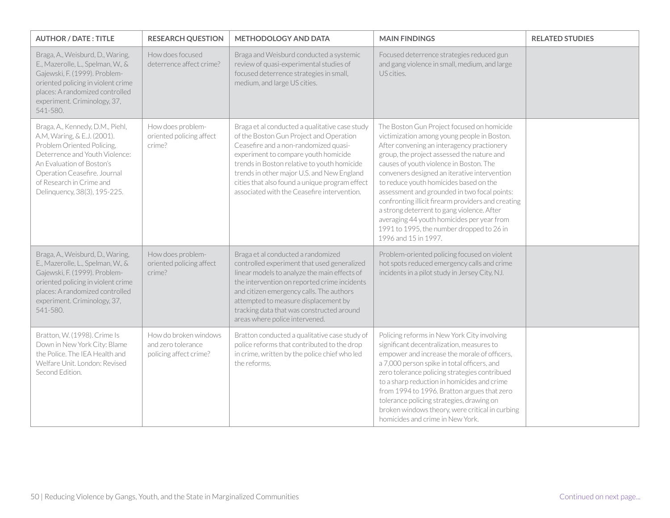| <b>AUTHOR / DATE: TITLE</b>                                                                                                                                                                                                                              | <b>RESEARCH QUESTION</b>                                              | METHODOLOGY AND DATA                                                                                                                                                                                                                                                                                                                                                     | <b>MAIN FINDINGS</b>                                                                                                                                                                                                                                                                                                                                                                                                                                                                                                                                                                              | <b>RELATED STUDIES</b> |
|----------------------------------------------------------------------------------------------------------------------------------------------------------------------------------------------------------------------------------------------------------|-----------------------------------------------------------------------|--------------------------------------------------------------------------------------------------------------------------------------------------------------------------------------------------------------------------------------------------------------------------------------------------------------------------------------------------------------------------|---------------------------------------------------------------------------------------------------------------------------------------------------------------------------------------------------------------------------------------------------------------------------------------------------------------------------------------------------------------------------------------------------------------------------------------------------------------------------------------------------------------------------------------------------------------------------------------------------|------------------------|
| Braga, A., Weisburd, D., Waring,<br>E., Mazerolle, L., Spelman, W., &<br>Gajewski, F. (1999). Problem-<br>oriented policing in violent crime<br>places: A randomized controlled<br>experiment. Criminology, 37,<br>541-580.                              | How does focused<br>deterrence affect crime?                          | Braga and Weisburd conducted a systemic<br>review of quasi-experimental studies of<br>focused deterrence strategies in small,<br>medium, and large US cities.                                                                                                                                                                                                            | Focused deterrence strategies reduced gun<br>and gang violence in small, medium, and large<br>US cities.                                                                                                                                                                                                                                                                                                                                                                                                                                                                                          |                        |
| Braga, A., Kennedy, D.M., Piehl,<br>A.M, Waring, & E.J. (2001).<br>Problem Oriented Policing,<br>Deterrence and Youth Violence:<br>An Evaluation of Boston's<br>Operation Ceasefire, Journal<br>of Research in Crime and<br>Delinquency, 38(3), 195-225. | How does problem-<br>oriented policing affect<br>crime?               | Braga et al conducted a qualitative case study<br>of the Boston Gun Project and Operation<br>Ceasefire and a non-randomized quasi-<br>experiment to compare youth homicide<br>trends in Boston relative to youth homicide<br>trends in other major U.S. and New England<br>cities that also found a unique program effect<br>associated with the Ceasefire intervention. | The Boston Gun Project focused on homicide<br>victimization among young people in Boston.<br>After convening an interagency practionery<br>group, the project assessed the nature and<br>causes of youth violence in Boston. The<br>conveners designed an iterative intervention<br>to reduce youth homicides based on the<br>assessment and grounded in two focal points:<br>confronting illicit firearm providers and creating<br>a strong deterrent to gang violence. After<br>averaging 44 youth homicides per year from<br>1991 to 1995, the number dropped to 26 in<br>1996 and 15 in 1997. |                        |
| Braga, A., Weisburd, D., Waring,<br>E., Mazerolle, L., Spelman, W., &<br>Gajewski, F. (1999). Problem-<br>oriented policing in violent crime<br>places: A randomized controlled<br>experiment. Criminology, 37,<br>541-580.                              | How does problem-<br>oriented policing affect<br>crime?               | Braga et al conducted a randomized<br>controlled experiment that used generalized<br>linear models to analyze the main effects of<br>the intervention on reported crime incidents<br>and citizen emergency calls. The authors<br>attempted to measure displacement by<br>tracking data that was constructed around<br>areas where police intervened.                     | Problem-oriented policing focused on violent<br>hot spots reduced emergency calls and crime<br>incidents in a pilot study in Jersey City, NJ.                                                                                                                                                                                                                                                                                                                                                                                                                                                     |                        |
| Bratton, W. (1998). Crime Is<br>Down in New York City: Blame<br>the Police. The IEA Health and<br>Welfare Unit. London: Revised<br>Second Edition.                                                                                                       | How do broken windows<br>and zero tolerance<br>policing affect crime? | Bratton conducted a qualitative case study of<br>police reforms that contributed to the drop<br>in crime, written by the police chief who led<br>the reforms.                                                                                                                                                                                                            | Policing reforms in New York City involving<br>significant decentralization, measures to<br>empower and increase the morale of officers,<br>a 7,000 person spike in total officers, and<br>zero tolerance policing strategies contribued<br>to a sharp reduction in homicides and crime<br>from 1994 to 1996. Bratton argues that zero<br>tolerance policing strategies, drawing on<br>broken windows theory, were critical in curbing<br>homicides and crime in New York.                                                                                                                        |                        |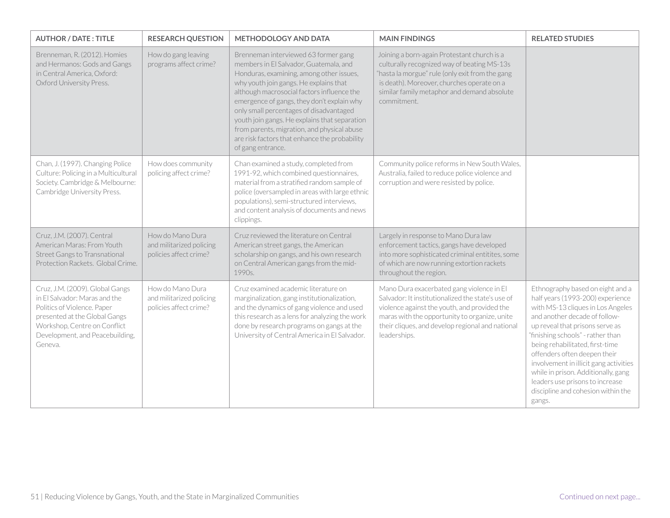| <b>AUTHOR / DATE: TITLE</b>                                                                                                                                                                                    | <b>RESEARCH QUESTION</b>                                               | <b>METHODOLOGY AND DATA</b>                                                                                                                                                                                                                                                                                                                                                                                                                                                       | <b>MAIN FINDINGS</b>                                                                                                                                                                                                                                                | <b>RELATED STUDIES</b>                                                                                                                                                                                                                                                                                                                                                                                                                                    |
|----------------------------------------------------------------------------------------------------------------------------------------------------------------------------------------------------------------|------------------------------------------------------------------------|-----------------------------------------------------------------------------------------------------------------------------------------------------------------------------------------------------------------------------------------------------------------------------------------------------------------------------------------------------------------------------------------------------------------------------------------------------------------------------------|---------------------------------------------------------------------------------------------------------------------------------------------------------------------------------------------------------------------------------------------------------------------|-----------------------------------------------------------------------------------------------------------------------------------------------------------------------------------------------------------------------------------------------------------------------------------------------------------------------------------------------------------------------------------------------------------------------------------------------------------|
| Brenneman, R. (2012). Homies<br>and Hermanos: Gods and Gangs<br>in Central America, Oxford:<br>Oxford University Press.                                                                                        | How do gang leaving<br>programs affect crime?                          | Brenneman interviewed 63 former gang<br>members in El Salvador, Guatemala, and<br>Honduras, examining, among other issues,<br>why youth join gangs. He explains that<br>although macrosocial factors influence the<br>emergence of gangs, they don't explain why<br>only small percentages of disadvantaged<br>youth join gangs. He explains that separation<br>from parents, migration, and physical abuse<br>are risk factors that enhance the probability<br>of gang entrance. | Joining a born-again Protestant church is a<br>culturally recognized way of beating MS-13s<br>"hasta la morgue" rule (only exit from the gang<br>is death). Moreover, churches operate on a<br>similar family metaphor and demand absolute<br>commitment.           |                                                                                                                                                                                                                                                                                                                                                                                                                                                           |
| Chan, J. (1997). Changing Police<br>Culture: Policing in a Multicultural<br>Society. Cambridge & Melbourne:<br>Cambridge University Press.                                                                     | How does community<br>policing affect crime?                           | Chan examined a study, completed from<br>1991-92, which combined questionnaires,<br>material from a stratified random sample of<br>police (oversampled in areas with large ethnic<br>populations), semi-structured interviews,<br>and content analysis of documents and news<br>clippings.                                                                                                                                                                                        | Community police reforms in New South Wales,<br>Australia, failed to reduce police violence and<br>corruption and were resisted by police.                                                                                                                          |                                                                                                                                                                                                                                                                                                                                                                                                                                                           |
| Cruz, J.M. (2007). Central<br>American Maras: From Youth<br><b>Street Gangs to Transnational</b><br>Protection Rackets. Global Crime.                                                                          | How do Mano Dura<br>and militarized policing<br>policies affect crime? | Cruz reviewed the literature on Central<br>American street gangs, the American<br>scholarship on gangs, and his own research<br>on Central American gangs from the mid-<br>1990s.                                                                                                                                                                                                                                                                                                 | Largely in response to Mano Dura law<br>enforcement tactics, gangs have developed<br>into more sophisticated criminal entitites, some<br>of which are now running extortion rackets<br>throughout the region.                                                       |                                                                                                                                                                                                                                                                                                                                                                                                                                                           |
| Cruz, J.M. (2009). Global Gangs<br>in El Salvador: Maras and the<br>Politics of Violence. Paper<br>presented at the Global Gangs<br>Workshop, Centre on Conflict<br>Development, and Peacebuilding,<br>Geneva. | How do Mano Dura<br>and militarized policing<br>policies affect crime? | Cruz examined academic literature on<br>marginalization, gang institutionalization,<br>and the dynamics of gang violence and used<br>this research as a lens for analyzing the work<br>done by research programs on gangs at the<br>University of Central America in El Salvador.                                                                                                                                                                                                 | Mano Dura exacerbated gang violence in El<br>Salvador: It institutionalized the state's use of<br>violence against the youth, and provided the<br>maras with the opportunity to organize, unite<br>their cliques, and develop regional and national<br>leaderships. | Ethnography based on eight and a<br>half years (1993-200) experience<br>with MS-13 cliques in Los Angeles<br>and another decade of follow-<br>up reveal that prisons serve as<br>"finishing schools" - rather than<br>being rehabilitated, first-time<br>offenders often deepen their<br>involvement in illicit gang activities<br>while in prison. Additionally, gang<br>leaders use prisons to increase<br>discipline and cohesion within the<br>gangs. |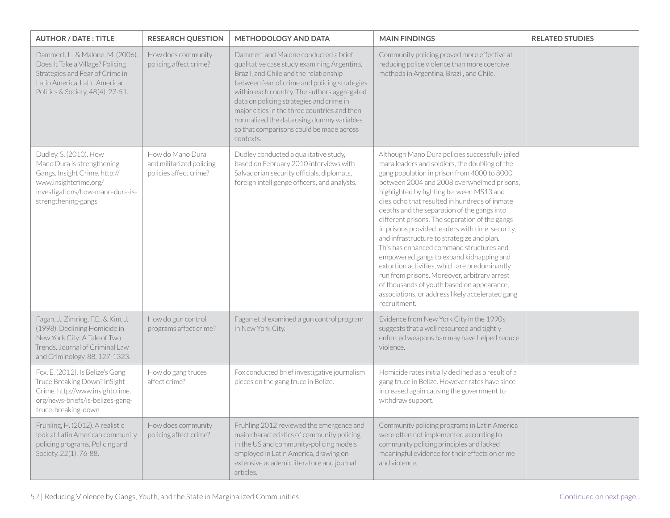| <b>AUTHOR / DATE: TITLE</b>                                                                                                                                                   | <b>RESEARCH QUESTION</b>                                               | <b>METHODOLOGY AND DATA</b>                                                                                                                                                                                                                                                                                                                                                                                                     | <b>MAIN FINDINGS</b>                                                                                                                                                                                                                                                                                                                                                                                                                                                                                                                                                                                                                                                                                                                                                                                      | <b>RELATED STUDIES</b> |
|-------------------------------------------------------------------------------------------------------------------------------------------------------------------------------|------------------------------------------------------------------------|---------------------------------------------------------------------------------------------------------------------------------------------------------------------------------------------------------------------------------------------------------------------------------------------------------------------------------------------------------------------------------------------------------------------------------|-----------------------------------------------------------------------------------------------------------------------------------------------------------------------------------------------------------------------------------------------------------------------------------------------------------------------------------------------------------------------------------------------------------------------------------------------------------------------------------------------------------------------------------------------------------------------------------------------------------------------------------------------------------------------------------------------------------------------------------------------------------------------------------------------------------|------------------------|
| Dammert, L. & Malone, M. (2006).<br>Does It Take a Village? Policing<br>Strategies and Fear of Crime in<br>Latin America. Latin American<br>Politics & Society, 48(4), 27-51. | How does community<br>policing affect crime?                           | Dammert and Malone conducted a brief<br>qualitative case study examining Argentina,<br>Brazil, and Chile and the relationship<br>between fear of crime and policing strategies<br>within each country. The authors aggregated<br>data on policing strategies and crime in<br>major cities in the three countries and then<br>normalized the data using dummy variables<br>so that comparisons could be made across<br>contexts. | Community policing proved more effective at<br>reducing police violence than more coercive<br>methods in Argentina, Brazil, and Chile.                                                                                                                                                                                                                                                                                                                                                                                                                                                                                                                                                                                                                                                                    |                        |
| Dudley, S. (2010). How<br>Mano Dura is strengthening<br>Gangs. Insight Crime. http://<br>www.insightcrime.org/<br>investigations/how-mano-dura-is-<br>strengthening-gangs     | How do Mano Dura<br>and militarized policing<br>policies affect crime? | Dudley conducted a qualitative study,<br>based on February 2010 interviews with<br>Salvadorian security officials, diplomats,<br>foreign intelligenge officers, and analysts.                                                                                                                                                                                                                                                   | Although Mano Dura policies successfully jailed<br>mara leaders and soldiers, the doubling of the<br>gang population in prison from 4000 to 8000<br>between 2004 and 2008 overwhelmed prisons,<br>highlighted by fighting between MS13 and<br>diesiocho that resulted in hundreds of inmate<br>deaths and the separation of the gangs into<br>different prisons. The separation of the gangs<br>in prisons provided leaders with time, security,<br>and infrastructure to strategize and plan.<br>This has enhanced command structures and<br>empowered gangs to expand kidnapping and<br>extortion activities, which are predominantly<br>run from prisons. Moreover, arbitrary arrest<br>of thousands of youth based on appearance,<br>associations, or address likely accelerated gang<br>recruitment. |                        |
| Fagan, J., Zimring, F.E., & Kim, J.<br>(1998). Declining Homicide in<br>New York City: A Tale of Two<br>Trends. Journal of Criminal Law<br>and Criminology, 88, 127-1323.     | How do gun control<br>programs affect crime?                           | Fagan et al examined a gun control program<br>in New York City.                                                                                                                                                                                                                                                                                                                                                                 | Evidence from New York City in the 1990s<br>suggests that a well resourced and tightly<br>enforced weapons ban may have helped reduce<br>violence.                                                                                                                                                                                                                                                                                                                                                                                                                                                                                                                                                                                                                                                        |                        |
| Fox, E. (2012). Is Belize's Gang<br>Truce Breaking Down? InSight<br>Crime. http://www.insightcrime.<br>org/news-briefs/is-belizes-gang-<br>truce-breaking-down                | How do gang truces<br>affect crime?                                    | Fox conducted brief investigative journalism<br>pieces on the gang truce in Belize.                                                                                                                                                                                                                                                                                                                                             | Homicide rates initially declined as a result of a<br>gang truce in Belize. However rates have since<br>increased again causing the government to<br>withdraw support.                                                                                                                                                                                                                                                                                                                                                                                                                                                                                                                                                                                                                                    |                        |
| Frühling, H. (2012). A realistic<br>look at Latin American community<br>policing programs. Policing and<br>Society, 22(1), 76-88.                                             | How does community<br>policing affect crime?                           | Fruhling 2012 reviewed the emergence and<br>main characteristics of community policing<br>in the US and community-policing models<br>employed in Latin America, drawing on<br>extensive academic literature and journal<br>articles.                                                                                                                                                                                            | Community policing programs in Latin America<br>were often not implemented according to<br>community policing principles and lacked<br>meaningful evidence for their effects on crime<br>and violence.                                                                                                                                                                                                                                                                                                                                                                                                                                                                                                                                                                                                    |                        |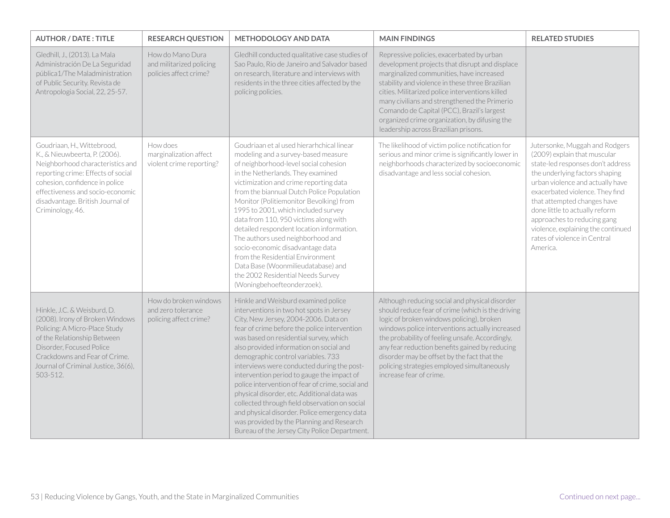| <b>AUTHOR / DATE: TITLE</b>                                                                                                                                                                                                                                         | <b>RESEARCH QUESTION</b>                                               | <b>METHODOLOGY AND DATA</b>                                                                                                                                                                                                                                                                                                                                                                                                                                                                                                                                                                                                                                                                     | <b>MAIN FINDINGS</b>                                                                                                                                                                                                                                                                                                                                                                                                                 | <b>RELATED STUDIES</b>                                                                                                                                                                                                                                                                                                                                                                         |
|---------------------------------------------------------------------------------------------------------------------------------------------------------------------------------------------------------------------------------------------------------------------|------------------------------------------------------------------------|-------------------------------------------------------------------------------------------------------------------------------------------------------------------------------------------------------------------------------------------------------------------------------------------------------------------------------------------------------------------------------------------------------------------------------------------------------------------------------------------------------------------------------------------------------------------------------------------------------------------------------------------------------------------------------------------------|--------------------------------------------------------------------------------------------------------------------------------------------------------------------------------------------------------------------------------------------------------------------------------------------------------------------------------------------------------------------------------------------------------------------------------------|------------------------------------------------------------------------------------------------------------------------------------------------------------------------------------------------------------------------------------------------------------------------------------------------------------------------------------------------------------------------------------------------|
| Gledhill, J., (2013). La Mala<br>Administración De La Seguridad<br>pública1/The Maladministration<br>of Public Security. Revista de<br>Antropologia Social, 22, 25-57.                                                                                              | How do Mano Dura<br>and militarized policing<br>policies affect crime? | Gledhill conducted qualitative case studies of<br>Sao Paulo, Rio de Janeiro and Salvador based<br>on research, literature and interviews with<br>residents in the three cities affected by the<br>policing policies.                                                                                                                                                                                                                                                                                                                                                                                                                                                                            | Repressive policies, exacerbated by urban<br>development projects that disrupt and displace<br>marginalized communities, have increased<br>stability and violence in these three Brazilian<br>cities. Militarized police interventions killed<br>many civilians and strengthened the Primerio<br>Comando de Capital (PCC), Brazil's largest<br>organized crime organization, by difusing the<br>leadership across Brazilian prisons. |                                                                                                                                                                                                                                                                                                                                                                                                |
| Goudriaan, H., Wittebrood,<br>K., & Nieuwbeerta, P. (2006).<br>Neighborhood characteristics and<br>reporting crime: Effects of social<br>cohesion, confidence in police<br>effectiveness and socio-economic<br>disadvantage. British Journal of<br>Criminology, 46. | How does<br>marginalization affect<br>violent crime reporting?         | Goudriaan et al used hierarhchical linear<br>modeling and a survey-based measure<br>of neighborhood-level social cohesion<br>in the Netherlands. They examined<br>victimization and crime reporting data<br>from the biannual Dutch Police Population<br>Monitor (Politiemonitor Bevolking) from<br>1995 to 2001, which included survey<br>data from 110, 950 victims along with<br>detailed respondent location information.<br>The authors used neighborhood and<br>socio-economic disadvantage data<br>from the Residential Environment<br>Data Base (Woonmilieudatabase) and<br>the 2002 Residential Needs Survey<br>(Woningbehoefteonderzoek).                                             | The likelihood of victim police notification for<br>serious and minor crime is significantly lower in<br>neighborhoods characterized by socioeconomic<br>disadvantage and less social cohesion.                                                                                                                                                                                                                                      | Jutersonke, Muggah and Rodgers<br>(2009) explain that muscular<br>state-led responses don't address<br>the underlying factors shaping<br>urban violence and actually have<br>exacerbated violence. They find<br>that attempted changes have<br>done little to actually reform<br>approaches to reducing gang<br>violence, explaining the continued<br>rates of violence in Central<br>America. |
| Hinkle, J.C. & Weisburd, D.<br>(2008). Irony of Broken Windows<br>Policing: A Micro-Place Study<br>of the Relationship Between<br>Disorder, Focused Police<br>Crackdowns and Fear of Crime.<br>Journal of Criminal Justice, 36(6),<br>503-512.                      | How do broken windows<br>and zero tolerance<br>policing affect crime?  | Hinkle and Weisburd examined police<br>interventions in two hot spots in Jersey<br>City, New Jersey, 2004-2006. Data on<br>fear of crime before the police intervention<br>was based on residential survey, which<br>also provided information on social and<br>demographic control variables. 733<br>interviews were conducted during the post-<br>intervention period to gauge the impact of<br>police intervention of fear of crime, social and<br>physical disorder, etc. Additional data was<br>collected through field observation on social<br>and physical disorder. Police emergency data<br>was provided by the Planning and Research<br>Bureau of the Jersey City Police Department. | Although reducing social and physical disorder<br>should reduce fear of crime (which is the driving<br>logic of broken windows policing), broken<br>windows police interventions actually increased<br>the probability of feeling unsafe. Accordingly,<br>any fear reduction benefits gained by reducing<br>disorder may be offset by the fact that the<br>policing strategies employed simultaneously<br>increase fear of crime.    |                                                                                                                                                                                                                                                                                                                                                                                                |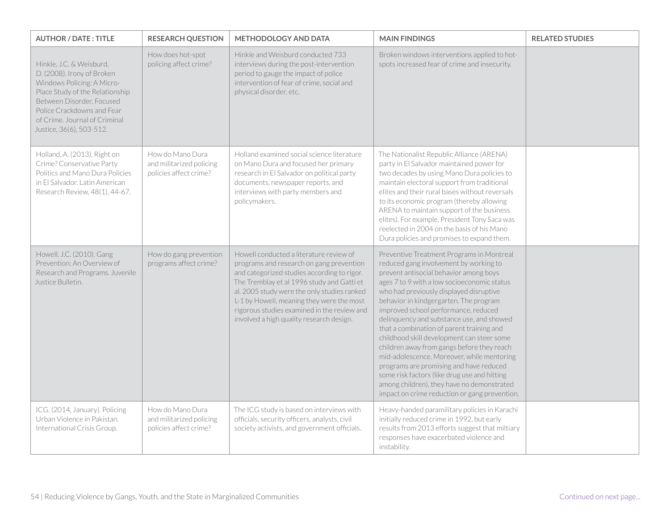| <b>AUTHOR / DATE: TITLE</b>                                                                                                                                                                                                                     | <b>RESEARCH QUESTION</b>                                               | <b>METHODOLOGY AND DATA</b>                                                                                                                                                                                                                                                                                                                                             | <b>MAIN FINDINGS</b>                                                                                                                                                                                                                                                                                                                                                                                                                                                                                                                                                                                                                                                                                                                    | <b>RELATED STUDIES</b> |
|-------------------------------------------------------------------------------------------------------------------------------------------------------------------------------------------------------------------------------------------------|------------------------------------------------------------------------|-------------------------------------------------------------------------------------------------------------------------------------------------------------------------------------------------------------------------------------------------------------------------------------------------------------------------------------------------------------------------|-----------------------------------------------------------------------------------------------------------------------------------------------------------------------------------------------------------------------------------------------------------------------------------------------------------------------------------------------------------------------------------------------------------------------------------------------------------------------------------------------------------------------------------------------------------------------------------------------------------------------------------------------------------------------------------------------------------------------------------------|------------------------|
| Hinkle, J.C. & Weisburd,<br>D. (2008). Irony of Broken<br>Windows Policing: A Micro-<br>Place Study of the Relationship<br>Between Disorder, Focused<br>Police Crackdowns and Fear<br>of Crime. Journal of Criminal<br>Justice, 36(6), 503-512. | How does hot-spot<br>policing affect crime?                            | Hinkle and Weisburd conducted 733<br>interviews during the post-intervention<br>period to gauge the impact of police<br>intervention of fear of crime, social and<br>physical disorder, etc.                                                                                                                                                                            | Broken windows interventions applied to hot-<br>spots increased fear of crime and insecurity.                                                                                                                                                                                                                                                                                                                                                                                                                                                                                                                                                                                                                                           |                        |
| Holland, A. (2013). Right on<br>Crime? Conservative Party<br>Politics and Mano Dura Policies<br>in El Salvador. Latin American<br>Research Review, 48(1), 44-67.                                                                                | How do Mano Dura<br>and militarized policing<br>policies affect crime? | Holland examined social science literature<br>on Mano Dura and focused her primary<br>research in El Salvador on political party<br>documents, newspaper reports, and<br>interviews with party members and<br>policymakers.                                                                                                                                             | The Nationalist Republic Alliance (ARENA)<br>party in El Salvador maintained power for<br>two decades by using Mano Dura policies to<br>maintain electoral support from traditional<br>elites and their rural bases without reversals<br>to its economic program (thereby allowing<br>ARENA to maintain support of the business<br>elites). For example, President Tony Saca was<br>reelected in 2004 on the basis of his Mano<br>Dura policies and promises to expand them.                                                                                                                                                                                                                                                            |                        |
| Howell, J.C. (2010). Gang<br>Prevention: An Overview of<br>Research and Programs. Juvenile<br>Justice Bulletin.                                                                                                                                 | How do gang prevention<br>programs affect crime?                       | Howell conducted a literature review of<br>programs and research on gang prevention<br>and categorized studies according to rigor.<br>The Tremblay et al 1996 study and Gatti et<br>al. 2005 study were the only studies ranked<br>L-1 by Howell, meaning they were the most<br>rigorous studies examined in the review and<br>involved a high quality research design. | Preventive Treatment Programs in Montreal<br>reduced gang involvement by working to<br>prevent antisocial behavior among boys<br>ages 7 to 9 with a low socioeconomic status<br>who had previously displayed disruptive<br>behavior in kindgergarten. The program<br>improved school performance, reduced<br>delinquency and substance use, and showed<br>that a combination of parent training and<br>childhood skill development can steer some<br>children away from gangs before they reach<br>mid-adolescence. Moreover, while mentoring<br>programs are promising and have reduced<br>some risk factors (like drug use and hitting<br>among children), they have no demonstrated<br>impact on crime reduction or gang prevention. |                        |
| ICG. (2014, January). Policing<br>Urban Violence in Pakistan.<br>International Crisis Group.                                                                                                                                                    | How do Mano Dura<br>and militarized policing<br>policies affect crime? | The ICG study is based on interviews with<br>officials, security officers, analysts, civil<br>society activists, and government officials.                                                                                                                                                                                                                              | Heavy-handed paramilitary policies in Karachi<br>initially reduced crime in 1992, but early<br>results from 2013 efforts suggest that miltiary<br>responses have exacerbated violence and<br>instability.                                                                                                                                                                                                                                                                                                                                                                                                                                                                                                                               |                        |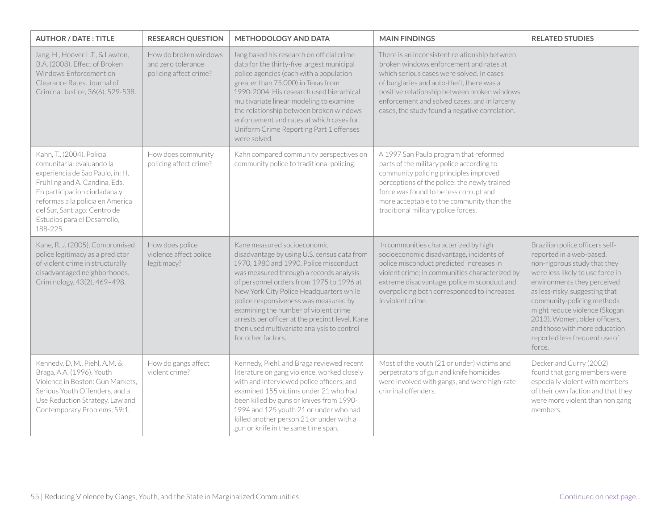| <b>AUTHOR / DATE: TITLE</b>                                                                                                                                                                                                                                                 | <b>RESEARCH QUESTION</b>                                              | <b>METHODOLOGY AND DATA</b>                                                                                                                                                                                                                                                                                                                                                                                                                                     | <b>MAIN FINDINGS</b>                                                                                                                                                                                                                                                                                                                 | <b>RELATED STUDIES</b>                                                                                                                                                                                                                                                                                                                                                       |
|-----------------------------------------------------------------------------------------------------------------------------------------------------------------------------------------------------------------------------------------------------------------------------|-----------------------------------------------------------------------|-----------------------------------------------------------------------------------------------------------------------------------------------------------------------------------------------------------------------------------------------------------------------------------------------------------------------------------------------------------------------------------------------------------------------------------------------------------------|--------------------------------------------------------------------------------------------------------------------------------------------------------------------------------------------------------------------------------------------------------------------------------------------------------------------------------------|------------------------------------------------------------------------------------------------------------------------------------------------------------------------------------------------------------------------------------------------------------------------------------------------------------------------------------------------------------------------------|
| Jang, H., Hoover L.T., & Lawton,<br>B.A. (2008). Effect of Broken<br>Windows Enforcement on<br>Clearance Rates. Journal of<br>Criminal Justice, 36(6), 529-538.                                                                                                             | How do broken windows<br>and zero tolerance<br>policing affect crime? | Jang based his research on official crime<br>data for the thirty-five largest municipal<br>police agencies (each with a population<br>greater than 75,000) in Texas from<br>1990-2004. His research used hierarhical<br>multivariate linear modeling to examine<br>the relationship between broken windows<br>enforcement and rates at which cases for<br>Uniform Crime Reporting Part 1 offenses<br>were solved.                                               | There is an inconsistent relationship between<br>broken windows enforcement and rates at<br>which serious cases were solved. In cases<br>of burglaries and auto-theft, there was a<br>positive relationship between broken windows<br>enforcement and solved cases; and in larceny<br>cases, the study found a negative correlation. |                                                                                                                                                                                                                                                                                                                                                                              |
| Kahn, T., (2004). Policia<br>comunitaria: evaluando la<br>experiencia de Sao Paulo, in: H.<br>Frühling and A. Candina, Eds.<br>En participacion ciudadana y<br>reformas a la policia en America<br>del Sur, Santiago: Centro de<br>Estudios para el Desarrollo,<br>188-225. | How does community<br>policing affect crime?                          | Kahn compared community perspectives on<br>community police to traditional policing.                                                                                                                                                                                                                                                                                                                                                                            | A 1997 San Paulo program that reformed<br>parts of the military police according to<br>community policing principles improved<br>perceptions of the police: the newly trained<br>force was found to be less corrupt and<br>more acceptable to the community than the<br>traditional military police forces.                          |                                                                                                                                                                                                                                                                                                                                                                              |
| Kane, R. J. (2005). Compromised<br>police legitimacy as a predictor<br>of violent crime in structurally<br>disadvantaged neighborhoods.<br>Criminology, 43(2), 469-498.                                                                                                     | How does police<br>violence affect police<br>legitimacy?              | Kane measured socioeconomic<br>disadvantage by using U.S. census data from<br>1970, 1980 and 1990. Police misconduct<br>was measured through a records analysis<br>of personnel orders from 1975 to 1996 at<br>New York City Police Headquarters while<br>police responsiveness was measured by<br>examining the number of violent crime<br>arrests per officer at the precinct level. Kane<br>then used multivariate analysis to control<br>for other factors. | In communities characterized by high<br>socioeconomic disadvantage, incidents of<br>police misconduct predicted increases in<br>violent crime; in communities characterized by<br>extreme disadvantage, police misconduct and<br>overpolicing both corresponded to increases<br>in violent crime.                                    | Brazilian police officers self-<br>reported in a web-based,<br>non-rigorous study that they<br>were less likely to use force in<br>environments they perceived<br>as less-risky, suggesting that<br>community-policing methods<br>might reduce violence (Skogan<br>2013). Women, older officers,<br>and those with more education<br>reported less frequent use of<br>force. |
| Kennedy, D. M., Piehl, A.M. &<br>Braga, A.A. (1996). Youth<br>Violence in Boston: Gun Markets,<br>Serious Youth Offenders, and a<br>Use Reduction Strategy. Law and<br>Contemporary Problems, 59:1.                                                                         | How do gangs affect<br>violent crime?                                 | Kennedy, Piehl, and Braga reviewed recent<br>literature on gang violence, worked closely<br>with and interviewed police officers, and<br>examined 155 victims under 21 who had<br>been killed by guns or knives from 1990-<br>1994 and 125 youth 21 or under who had<br>killed another person 21 or under with a<br>gun or knife in the same time span.                                                                                                         | Most of the youth (21 or under) victims and<br>perpetrators of gun and knife homicides<br>were involved with gangs, and were high-rate<br>criminal offenders.                                                                                                                                                                        | Decker and Curry (2002)<br>found that gang members were<br>especially violent with members<br>of their own faction and that they<br>were more violent than non gang<br>members.                                                                                                                                                                                              |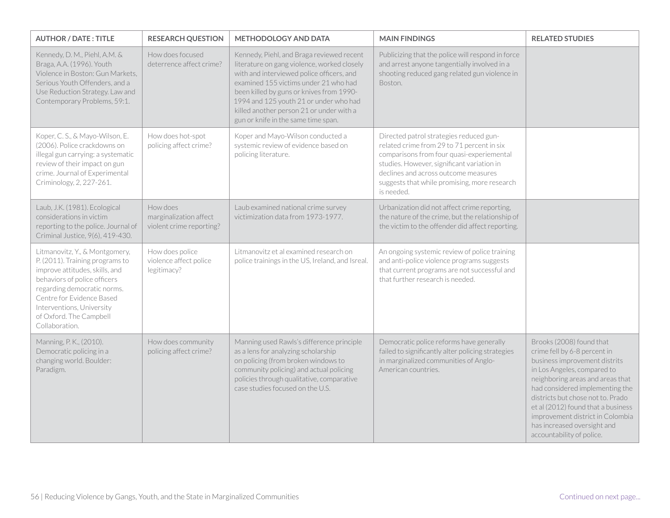| <b>AUTHOR / DATE: TITLE</b>                                                                                                                                                                                                                                               | <b>RESEARCH QUESTION</b>                                       | <b>METHODOLOGY AND DATA</b>                                                                                                                                                                                                                                                                                                                             | <b>MAIN FINDINGS</b>                                                                                                                                                                                                                                                                   | <b>RELATED STUDIES</b>                                                                                                                                                                                                                                                                                                                                                     |
|---------------------------------------------------------------------------------------------------------------------------------------------------------------------------------------------------------------------------------------------------------------------------|----------------------------------------------------------------|---------------------------------------------------------------------------------------------------------------------------------------------------------------------------------------------------------------------------------------------------------------------------------------------------------------------------------------------------------|----------------------------------------------------------------------------------------------------------------------------------------------------------------------------------------------------------------------------------------------------------------------------------------|----------------------------------------------------------------------------------------------------------------------------------------------------------------------------------------------------------------------------------------------------------------------------------------------------------------------------------------------------------------------------|
| Kennedy, D. M., Piehl, A.M. &<br>Braga, A.A. (1996). Youth<br>Violence in Boston: Gun Markets,<br>Serious Youth Offenders, and a<br>Use Reduction Strategy. Law and<br>Contemporary Problems, 59:1.                                                                       | How does focused<br>deterrence affect crime?                   | Kennedy, Piehl, and Braga reviewed recent<br>literature on gang violence, worked closely<br>with and interviewed police officers, and<br>examined 155 victims under 21 who had<br>been killed by guns or knives from 1990-<br>1994 and 125 youth 21 or under who had<br>killed another person 21 or under with a<br>gun or knife in the same time span. | Publicizing that the police will respond in force<br>and arrest anyone tangentially involved in a<br>shooting reduced gang related gun violence in<br>Boston.                                                                                                                          |                                                                                                                                                                                                                                                                                                                                                                            |
| Koper, C. S., & Mayo-Wilson, E.<br>(2006). Police crackdowns on<br>illegal gun carrying: a systematic<br>review of their impact on gun<br>crime. Journal of Experimental<br>Criminology, 2, 227-261.                                                                      | How does hot-spot<br>policing affect crime?                    | Koper and Mayo-Wilson conducted a<br>systemic review of evidence based on<br>policing literature.                                                                                                                                                                                                                                                       | Directed patrol strategies reduced gun-<br>related crime from 29 to 71 percent in six<br>comparisons from four quasi-experiemental<br>studies. However, significant variation in<br>declines and across outcome measures<br>suggests that while promising, more research<br>is needed. |                                                                                                                                                                                                                                                                                                                                                                            |
| Laub, J.K. (1981). Ecological<br>considerations in victim<br>reporting to the police. Journal of<br>Criminal Justice, 9(6), 419-430.                                                                                                                                      | How does<br>marginalization affect<br>violent crime reporting? | Laub examined national crime survey<br>victimization data from 1973-1977.                                                                                                                                                                                                                                                                               | Urbanization did not affect crime reporting,<br>the nature of the crime, but the relationship of<br>the victim to the offender did affect reporting.                                                                                                                                   |                                                                                                                                                                                                                                                                                                                                                                            |
| Litmanovitz, Y., & Montgomery,<br>P. (2011). Training programs to<br>improve attitudes, skills, and<br>behaviors of police officers<br>regarding democratic norms.<br>Centre for Evidence Based<br>Interventions, University<br>of Oxford. The Campbell<br>Collaboration. | How does police<br>violence affect police<br>legitimacy?       | Litmanovitz et al examined research on<br>police trainings in the US, Ireland, and Isreal.                                                                                                                                                                                                                                                              | An ongoing systemic review of police training<br>and anti-police violence programs suggests<br>that current programs are not successful and<br>that further research is needed.                                                                                                        |                                                                                                                                                                                                                                                                                                                                                                            |
| Manning, P. K., (2010).<br>Democratic policing in a<br>changing world. Boulder:<br>Paradigm.                                                                                                                                                                              | How does community<br>policing affect crime?                   | Manning used Rawls's difference principle<br>as a lens for analyzing scholarship<br>on policing (from broken windows to<br>community policing) and actual policing<br>policies through qualitative, comparative<br>case studies focused on the U.S.                                                                                                     | Democratic police reforms have generally<br>failed to significantly alter policing strategies<br>in marginalized communities of Anglo-<br>American countries.                                                                                                                          | Brooks (2008) found that<br>crime fell by 6-8 percent in<br>business improvement distrits<br>in Los Angeles, compared to<br>neighboring areas and areas that<br>had considered implementing the<br>districts but chose not to. Prado<br>et al (2012) found that a business<br>improvement district in Colombia<br>has increased oversight and<br>accountability of police. |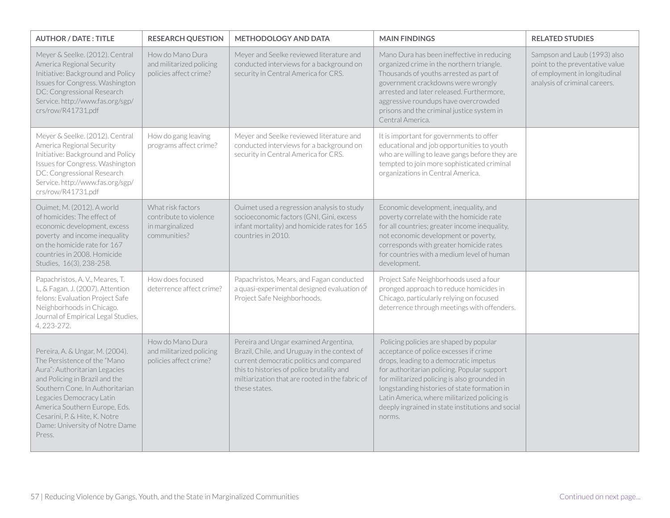| <b>AUTHOR / DATE: TITLE</b>                                                                                                                                                                                                                                                                                     | <b>RESEARCH QUESTION</b>                                                       | <b>METHODOLOGY AND DATA</b>                                                                                                                                                                                                                        | <b>MAIN FINDINGS</b>                                                                                                                                                                                                                                                                                                                                                                      | <b>RELATED STUDIES</b>                                                                                                            |
|-----------------------------------------------------------------------------------------------------------------------------------------------------------------------------------------------------------------------------------------------------------------------------------------------------------------|--------------------------------------------------------------------------------|----------------------------------------------------------------------------------------------------------------------------------------------------------------------------------------------------------------------------------------------------|-------------------------------------------------------------------------------------------------------------------------------------------------------------------------------------------------------------------------------------------------------------------------------------------------------------------------------------------------------------------------------------------|-----------------------------------------------------------------------------------------------------------------------------------|
| Meyer & Seelke. (2012). Central<br>America Regional Security<br>Initiative: Background and Policy<br>Issues for Congress. Washington<br>DC: Congressional Research<br>Service.http://www.fas.org/sgp/<br>crs/row/R41731.pdf                                                                                     | How do Mano Dura<br>and militarized policing<br>policies affect crime?         | Meyer and Seelke reviewed literature and<br>conducted interviews for a background on<br>security in Central America for CRS.                                                                                                                       | Mano Dura has been ineffective in reducing<br>organized crime in the northern triangle.<br>Thousands of youths arrested as part of<br>government crackdowns were wrongly<br>arrested and later released. Furthermore,<br>aggressive roundups have overcrowded<br>prisons and the criminal justice system in<br>Central America.                                                           | Sampson and Laub (1993) also<br>point to the preventative value<br>of employment in longitudinal<br>analysis of criminal careers. |
| Meyer & Seelke. (2012). Central<br>America Regional Security<br>Initiative: Background and Policy<br>Issues for Congress. Washington<br>DC: Congressional Research<br>Service.http://www.fas.org/sgp/<br>crs/row/R41731.pdf                                                                                     | How do gang leaving<br>programs affect crime?                                  | Meyer and Seelke reviewed literature and<br>conducted interviews for a background on<br>security in Central America for CRS.                                                                                                                       | It is important for governments to offer<br>educational and job opportunities to youth<br>who are willing to leave gangs before they are<br>tempted to join more sophisticated criminal<br>organizations in Central America.                                                                                                                                                              |                                                                                                                                   |
| Ouimet, M. (2012). A world<br>of homicides: The effect of<br>economic development, excess<br>poverty and income inequality<br>on the homicide rate for 167<br>countries in 2008. Homicide<br>Studies, 16(3), 238-258.                                                                                           | What risk factors<br>contribute to violence<br>in marginalized<br>communities? | Ouimet used a regression analysis to study<br>socioeconomic factors (GNI, Gini, excess<br>infant mortality) and homicide rates for 165<br>countries in 2010.                                                                                       | Economic development, inequality, and<br>poverty correlate with the homicide rate<br>for all countries; greater income inequality,<br>not economic development or poverty,<br>corresponds with greater homicide rates<br>for countries with a medium level of human<br>development.                                                                                                       |                                                                                                                                   |
| Papachristos, A.V., Meares, T.<br>L, & Fagan, J. (2007). Attention<br>felons: Evaluation Project Safe<br>Neighborhoods in Chicago.<br>Journal of Empirical Legal Studies,<br>4, 223-272.                                                                                                                        | How does focused<br>deterrence affect crime?                                   | Papachristos, Mears, and Fagan conducted<br>a quasi-experimental designed evaluation of<br>Project Safe Neighborhoods.                                                                                                                             | Project Safe Neighborhoods used a four<br>pronged approach to reduce homicides in<br>Chicago, particularly relying on focused<br>deterrence through meetings with offenders.                                                                                                                                                                                                              |                                                                                                                                   |
| Pereira, A. & Ungar, M. (2004).<br>The Persistence of the "Mano<br>Aura": Authoritarian Legacies<br>and Policing in Brazil and the<br>Southern Cone. In Authoritarian<br>Legacies Democracy Latin<br>America Southern Europe, Eds.<br>Cesarini, P. & Hite, K. Notre<br>Dame: University of Notre Dame<br>Press. | How do Mano Dura<br>and militarized policing<br>policies affect crime?         | Pereira and Ungar examined Argentina,<br>Brazil, Chile, and Uruguay in the context of<br>current democratic politics and compared<br>this to histories of police brutality and<br>miltiarization that are rooted in the fabric of<br>these states. | Policing policies are shaped by popular<br>acceptance of police excesses if crime<br>drops, leading to a democratic impetus<br>for authoritarian policing. Popular support<br>for militarized policing is also grounded in<br>longstanding histories of state formation in<br>Latin America, where militarized policing is<br>deeply ingrained in state institutions and social<br>norms. |                                                                                                                                   |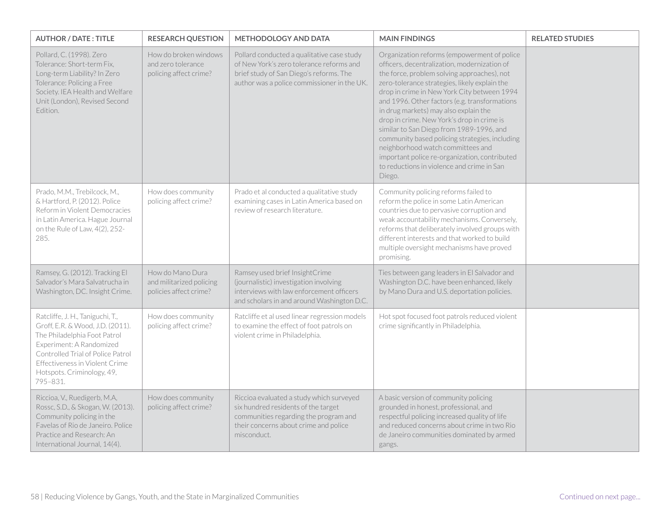| <b>AUTHOR / DATE: TITLE</b>                                                                                                                                                                                                                       | <b>RESEARCH QUESTION</b>                                               | <b>METHODOLOGY AND DATA</b>                                                                                                                                                      | <b>MAIN FINDINGS</b>                                                                                                                                                                                                                                                                                                                                                                                                                                                                                                                                                                                                           | <b>RELATED STUDIES</b> |
|---------------------------------------------------------------------------------------------------------------------------------------------------------------------------------------------------------------------------------------------------|------------------------------------------------------------------------|----------------------------------------------------------------------------------------------------------------------------------------------------------------------------------|--------------------------------------------------------------------------------------------------------------------------------------------------------------------------------------------------------------------------------------------------------------------------------------------------------------------------------------------------------------------------------------------------------------------------------------------------------------------------------------------------------------------------------------------------------------------------------------------------------------------------------|------------------------|
| Pollard, C. (1998). Zero<br>Tolerance: Short-term Fix,<br>Long-term Liability? In Zero<br>Tolerance: Policing a Free<br>Society. IEA Health and Welfare<br>Unit (London), Revised Second<br>Edition.                                              | How do broken windows<br>and zero tolerance<br>policing affect crime?  | Pollard conducted a qualitative case study<br>of New York's zero tolerance reforms and<br>brief study of San Diego's reforms. The<br>author was a police commissioner in the UK. | Organization reforms (empowerment of police<br>officers, decentralization, modernization of<br>the force, problem solving approaches), not<br>zero-tolerance strategies, likely explain the<br>drop in crime in New York City between 1994<br>and 1996. Other factors (e.g. transformations<br>in drug markets) may also explain the<br>drop in crime. New York's drop in crime is<br>similar to San Diego from 1989-1996, and<br>community based policing strategies, including<br>neighborhood watch committees and<br>important police re-organization, contributed<br>to reductions in violence and crime in San<br>Diego. |                        |
| Prado, M.M., Trebilcock, M.,<br>& Hartford, P. (2012). Police<br>Reform in Violent Democracies<br>in Latin America. Hague Journal<br>on the Rule of Law, 4(2), 252-<br>285.                                                                       | How does community<br>policing affect crime?                           | Prado et al conducted a qualitative study<br>examining cases in Latin America based on<br>review of research literature.                                                         | Community policing reforms failed to<br>reform the police in some Latin American<br>countries due to pervasive corruption and<br>weak accountability mechanisms. Conversely,<br>reforms that deliberately involved groups with<br>different interests and that worked to build<br>multiple oversight mechanisms have proved<br>promising.                                                                                                                                                                                                                                                                                      |                        |
| Ramsey, G. (2012). Tracking El<br>Salvador's Mara Salvatrucha in<br>Washington, DC. Insight Crime.                                                                                                                                                | How do Mano Dura<br>and militarized policing<br>policies affect crime? | Ramsey used brief InsightCrime<br>(journalistic) investigation involving<br>interviews with law enforcement officers<br>and scholars in and around Washington D.C.               | Ties between gang leaders in El Salvador and<br>Washington D.C. have been enhanced, likely<br>by Mano Dura and U.S. deportation policies.                                                                                                                                                                                                                                                                                                                                                                                                                                                                                      |                        |
| Ratcliffe, J. H., Taniguchi, T.,<br>Groff, E.R. & Wood, J.D. (2011).<br>The Philadelphia Foot Patrol<br>Experiment: A Randomized<br>Controlled Trial of Police Patrol<br>Effectiveness in Violent Crime<br>Hotspots. Criminology, 49,<br>795-831. | How does community<br>policing affect crime?                           | Ratcliffe et al used linear regression models<br>to examine the effect of foot patrols on<br>violent crime in Philadelphia.                                                      | Hot spot focused foot patrols reduced violent<br>crime significantly in Philadelphia.                                                                                                                                                                                                                                                                                                                                                                                                                                                                                                                                          |                        |
| Riccioa, V., Ruedigerb, M.A,<br>Rossc, S.D., & Skogan, W. (2013).<br>Community policing in the<br>Favelas of Rio de Janeiro. Police<br>Practice and Research: An<br>International Journal, 14(4).                                                 | How does community<br>policing affect crime?                           | Riccioa evaluated a study which surveyed<br>six hundred residents of the target<br>communities regarding the program and<br>their concerns about crime and police<br>misconduct. | A basic version of community policing<br>grounded in honest, professional, and<br>respectful policing increased quality of life<br>and reduced concerns about crime in two Rio<br>de Janeiro communities dominated by armed<br>gangs.                                                                                                                                                                                                                                                                                                                                                                                          |                        |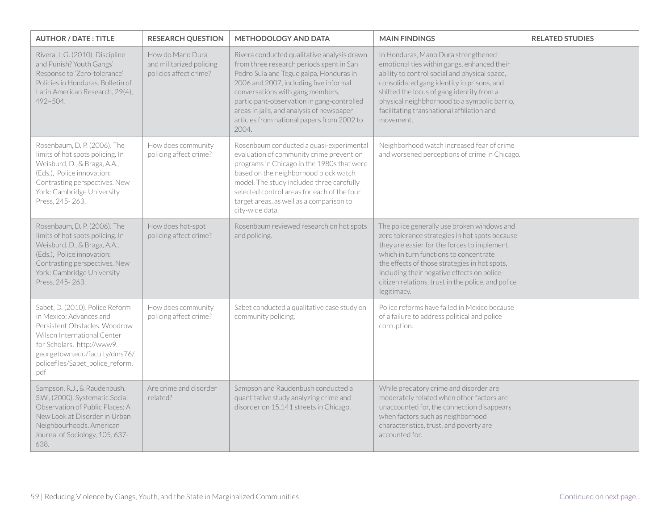| <b>AUTHOR / DATE: TITLE</b>                                                                                                                                                                                                          | <b>RESEARCH QUESTION</b>                                               | <b>METHODOLOGY AND DATA</b>                                                                                                                                                                                                                                                                                                                                        | <b>MAIN FINDINGS</b>                                                                                                                                                                                                                                                                                                                                         | <b>RELATED STUDIES</b> |
|--------------------------------------------------------------------------------------------------------------------------------------------------------------------------------------------------------------------------------------|------------------------------------------------------------------------|--------------------------------------------------------------------------------------------------------------------------------------------------------------------------------------------------------------------------------------------------------------------------------------------------------------------------------------------------------------------|--------------------------------------------------------------------------------------------------------------------------------------------------------------------------------------------------------------------------------------------------------------------------------------------------------------------------------------------------------------|------------------------|
| Rivera, L.G. (2010). Discipline<br>and Punish? Youth Gangs'<br>Response to 'Zero-tolerance'<br>Policies in Honduras. Bulletin of<br>Latin American Research, 29(4),<br>492-504.                                                      | How do Mano Dura<br>and militarized policing<br>policies affect crime? | Rivera conducted qualitative analysis drawn<br>from three research periods spent in San<br>Pedro Sula and Tegucigalpa, Honduras in<br>2006 and 2007, including five informal<br>conversations with gang members,<br>participant-observation in gang-controlled<br>areas in jails, and analysis of newspaper<br>articles from national papers from 2002 to<br>2004. | In Honduras, Mano Dura strengthened<br>emotional ties within gangs, enhanced their<br>ability to control social and physical space,<br>consolidated gang identity in prisons, and<br>shifted the locus of gang identity from a<br>physical neighbhorhood to a symbolic barrio,<br>facilitating transnational affiliation and<br>movement.                    |                        |
| Rosenbaum, D. P. (2006). The<br>limits of hot spots policing. In<br>Weisburd, D., & Braga, A.A.,<br>(Eds.), Police innovation:<br>Contrasting perspectives. New<br>York: Cambridge University<br>Press, 245-263.                     | How does community<br>policing affect crime?                           | Rosenbaum conducted a quasi-experimental<br>evaluation of community crime prevention<br>programs in Chicago in the 1980s that were<br>based on the neighborhood block watch<br>model. The study included three carefully<br>selected control areas for each of the four<br>target areas, as well as a comparison to<br>city-wide data.                             | Neighborhood watch increased fear of crime<br>and worsened perceptions of crime in Chicago.                                                                                                                                                                                                                                                                  |                        |
| Rosenbaum, D. P. (2006). The<br>limits of hot spots policing. In<br>Weisburd, D., & Braga, A.A.,<br>(Eds.), Police innovation:<br>Contrasting perspectives. New<br>York: Cambridge University<br>Press, 245-263.                     | How does hot-spot<br>policing affect crime?                            | Rosenbaum reviewed research on hot spots<br>and policing.                                                                                                                                                                                                                                                                                                          | The police generally use broken windows and<br>zero tolerance strategies in hot spots because<br>they are easier for the forces to implement,<br>which in turn functions to concentrate<br>the effects of those strategies in hot spots,<br>including their negative effects on police-<br>citizen relations, trust in the police, and police<br>legitimacy. |                        |
| Sabet, D. (2010). Police Reform<br>in Mexico: Advances and<br>Persistent Obstacles. Woodrow<br>Wilson International Center<br>for Scholars. http://www9.<br>georgetown.edu/faculty/dms76/<br>policefiles/Sabet_police_reform.<br>pdf | How does community<br>policing affect crime?                           | Sabet conducted a qualitative case study on<br>community policing.                                                                                                                                                                                                                                                                                                 | Police reforms have failed in Mexico because<br>of a failure to address political and police<br>corruption.                                                                                                                                                                                                                                                  |                        |
| Sampson, R.J., & Raudenbush,<br>S.W., (2000). Systematic Social<br>Observation of Public Places: A<br>New Look at Disorder in Urban<br>Neighbourhoods. American<br>Journal of Sociology, 105, 637-<br>638.                           | Are crime and disorder<br>related?                                     | Sampson and Raudenbush conducted a<br>quantitative study analyzing crime and<br>disorder on 15,141 streets in Chicago.                                                                                                                                                                                                                                             | While predatory crime and disorder are<br>moderately related when other factors are<br>unaccounted for, the connection disappears<br>when factors such as neighborhood<br>characteristics, trust, and poverty are<br>accounted for.                                                                                                                          |                        |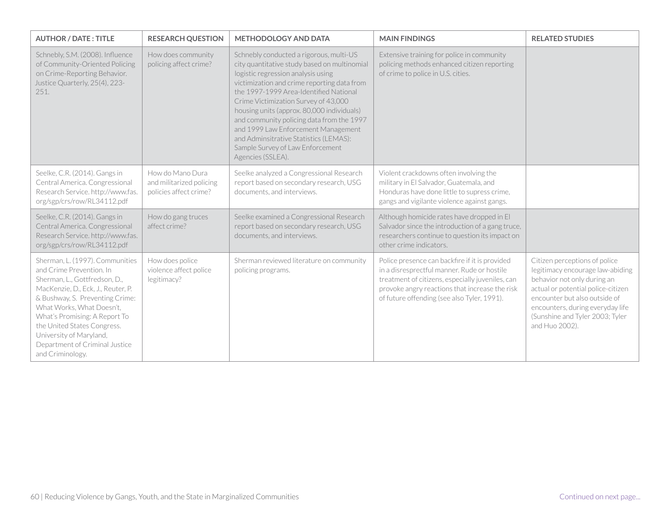| <b>AUTHOR / DATE: TITLE</b>                                                                                                                                                                                                                                                                                                                         | <b>RESEARCH QUESTION</b>                                               | <b>METHODOLOGY AND DATA</b>                                                                                                                                                                                                                                                                                                                                                                                                                                                                         | <b>MAIN FINDINGS</b>                                                                                                                                                                                                                               | <b>RELATED STUDIES</b>                                                                                                                                                                                                                                           |
|-----------------------------------------------------------------------------------------------------------------------------------------------------------------------------------------------------------------------------------------------------------------------------------------------------------------------------------------------------|------------------------------------------------------------------------|-----------------------------------------------------------------------------------------------------------------------------------------------------------------------------------------------------------------------------------------------------------------------------------------------------------------------------------------------------------------------------------------------------------------------------------------------------------------------------------------------------|----------------------------------------------------------------------------------------------------------------------------------------------------------------------------------------------------------------------------------------------------|------------------------------------------------------------------------------------------------------------------------------------------------------------------------------------------------------------------------------------------------------------------|
| Schnebly, S.M. (2008). Influence<br>of Community-Oriented Policing<br>on Crime-Reporting Behavior.<br>Justice Quarterly, 25(4), 223-<br>251.                                                                                                                                                                                                        | How does community<br>policing affect crime?                           | Schnebly conducted a rigorous, multi-US<br>city quantitative study based on multinomial<br>logistic regression analysis using<br>victimization and crime reporting data from<br>the 1997-1999 Area-Identified National<br>Crime Victimization Survey of 43,000<br>housing units (approx. 80,000 individuals)<br>and community policing data from the 1997<br>and 1999 Law Enforcement Management<br>and Adminsitrative Statistics (LEMAS):<br>Sample Survey of Law Enforcement<br>Agencies (SSLEA). | Extensive training for police in community<br>policing methods enhanced citizen reporting<br>of crime to police in U.S. cities.                                                                                                                    |                                                                                                                                                                                                                                                                  |
| Seelke, C.R. (2014). Gangs in<br>Central America. Congressional<br>Research Service. http://www.fas.<br>org/sgp/crs/row/RL34112.pdf                                                                                                                                                                                                                 | How do Mano Dura<br>and militarized policing<br>policies affect crime? | Seelke analyzed a Congressional Research<br>report based on secondary research, USG<br>documents, and interviews.                                                                                                                                                                                                                                                                                                                                                                                   | Violent crackdowns often involving the<br>military in El Salvador, Guatemala, and<br>Honduras have done little to supress crime,<br>gangs and vigilante violence against gangs.                                                                    |                                                                                                                                                                                                                                                                  |
| Seelke, C.R. (2014). Gangs in<br>Central America. Congressional<br>Research Service. http://www.fas.<br>org/sgp/crs/row/RL34112.pdf                                                                                                                                                                                                                 | How do gang truces<br>affect crime?                                    | Seelke examined a Congressional Research<br>report based on secondary research, USG<br>documents, and interviews.                                                                                                                                                                                                                                                                                                                                                                                   | Although homicide rates have dropped in El<br>Salvador since the introduction of a gang truce,<br>researchers continue to question its impact on<br>other crime indicators.                                                                        |                                                                                                                                                                                                                                                                  |
| Sherman, L. (1997). Communities<br>and Crime Prevention. In<br>Sherman, L., Gottfredson, D.,<br>MacKenzie, D., Eck. J., Reuter, P.<br>& Bushway, S. Preventing Crime:<br>What Works, What Doesn't,<br>What's Promising: A Report To<br>the United States Congress.<br>University of Maryland,<br>Department of Criminal Justice<br>and Criminology. | How does police<br>violence affect police<br>legitimacy?               | Sherman reviewed literature on community<br>policing programs.                                                                                                                                                                                                                                                                                                                                                                                                                                      | Police presence can backfire if it is provided<br>in a disresprectful manner. Rude or hostile<br>treatment of citizens, especially juveniles, can<br>provoke angry reactions that increase the risk<br>of future offending (see also Tyler, 1991). | Citizen perceptions of police<br>legitimacy encourage law-abiding<br>behavior not only during an<br>actual or potential police-citizen<br>encounter but also outside of<br>encounters, during everyday life<br>(Sunshine and Tyler 2003; Tyler<br>and Huo 2002). |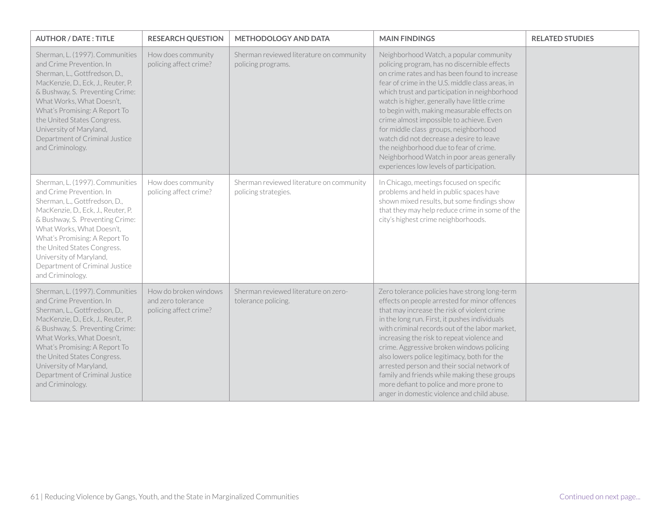| <b>AUTHOR / DATE: TITLE</b>                                                                                                                                                                                                                                                                                                                         | <b>RESEARCH QUESTION</b>                                              | <b>METHODOLOGY AND DATA</b>                                      | <b>MAIN FINDINGS</b>                                                                                                                                                                                                                                                                                                                                                                                                                                                                                                                                                                                              | <b>RELATED STUDIES</b> |
|-----------------------------------------------------------------------------------------------------------------------------------------------------------------------------------------------------------------------------------------------------------------------------------------------------------------------------------------------------|-----------------------------------------------------------------------|------------------------------------------------------------------|-------------------------------------------------------------------------------------------------------------------------------------------------------------------------------------------------------------------------------------------------------------------------------------------------------------------------------------------------------------------------------------------------------------------------------------------------------------------------------------------------------------------------------------------------------------------------------------------------------------------|------------------------|
| Sherman, L. (1997). Communities<br>and Crime Prevention. In<br>Sherman, L., Gottfredson, D.,<br>MacKenzie, D., Eck, J., Reuter, P.<br>& Bushway, S. Preventing Crime:<br>What Works, What Doesn't,<br>What's Promising: A Report To<br>the United States Congress.<br>University of Maryland,<br>Department of Criminal Justice<br>and Criminology. | How does community<br>policing affect crime?                          | Sherman reviewed literature on community<br>policing programs.   | Neighborhood Watch, a popular community<br>policing program, has no discernible effects<br>on crime rates and has been found to increase<br>fear of crime in the U.S. middle class areas, in<br>which trust and participation in neighborhood<br>watch is higher, generally have little crime<br>to begin with, making measurable effects on<br>crime almost impossible to achieve. Even<br>for middle class groups, neighborhood<br>watch did not decrease a desire to leave<br>the neighborhood due to fear of crime.<br>Neighborhood Watch in poor areas generally<br>experiences low levels of participation. |                        |
| Sherman, L. (1997). Communities<br>and Crime Prevention. In<br>Sherman, L., Gottfredson, D.,<br>MacKenzie, D., Eck, J., Reuter, P.<br>& Bushway, S. Preventing Crime:<br>What Works, What Doesn't,<br>What's Promising: A Report To<br>the United States Congress.<br>University of Maryland,<br>Department of Criminal Justice<br>and Criminology. | How does community<br>policing affect crime?                          | Sherman reviewed literature on community<br>policing strategies. | In Chicago, meetings focused on specific<br>problems and held in public spaces have<br>shown mixed results, but some findings show<br>that they may help reduce crime in some of the<br>city's highest crime neighborhoods.                                                                                                                                                                                                                                                                                                                                                                                       |                        |
| Sherman, L. (1997). Communities<br>and Crime Prevention. In<br>Sherman, L., Gottfredson, D.,<br>MacKenzie, D., Eck, J., Reuter, P.<br>& Bushway, S. Preventing Crime:<br>What Works, What Doesn't.<br>What's Promising: A Report To<br>the United States Congress.<br>University of Maryland,<br>Department of Criminal Justice<br>and Criminology. | How do broken windows<br>and zero tolerance<br>policing affect crime? | Sherman reviewed literature on zero-<br>tolerance policing.      | Zero tolerance policies have strong long-term<br>effects on people arrested for minor offences<br>that may increase the risk of violent crime<br>in the long run. First, it pushes individuals<br>with criminal records out of the labor market,<br>increasing the risk to repeat violence and<br>crime. Aggressive broken windows policing<br>also lowers police legitimacy, both for the<br>arrested person and their social network of<br>family and friends while making these groups<br>more defiant to police and more prone to<br>anger in domestic violence and child abuse.                              |                        |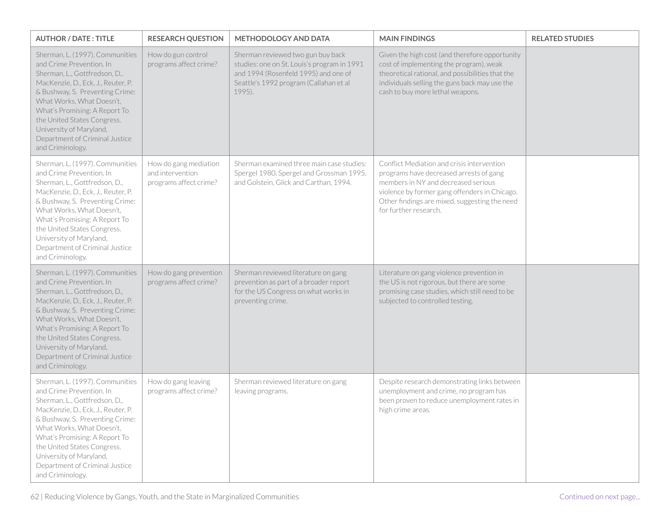| <b>AUTHOR / DATE: TITLE</b>                                                                                                                                                                                                                                                                                                                         | <b>RESEARCH QUESTION</b>                                            | <b>METHODOLOGY AND DATA</b>                                                                                                                                                  | <b>MAIN FINDINGS</b>                                                                                                                                                                                                                                    | <b>RELATED STUDIES</b> |
|-----------------------------------------------------------------------------------------------------------------------------------------------------------------------------------------------------------------------------------------------------------------------------------------------------------------------------------------------------|---------------------------------------------------------------------|------------------------------------------------------------------------------------------------------------------------------------------------------------------------------|---------------------------------------------------------------------------------------------------------------------------------------------------------------------------------------------------------------------------------------------------------|------------------------|
| Sherman, L. (1997). Communities<br>and Crime Prevention. In<br>Sherman, L., Gottfredson, D.,<br>MacKenzie, D., Eck, J., Reuter, P.<br>& Bushway, S. Preventing Crime:<br>What Works, What Doesn't,<br>What's Promising: A Report To<br>the United States Congress.<br>University of Maryland,<br>Department of Criminal Justice<br>and Criminology. | How do gun control<br>programs affect crime?                        | Sherman reviewed two gun buy back<br>studies: one on St. Louis's program in 1991<br>and 1994 (Rosenfeld 1995) and one of<br>Seattle's 1992 program (Callahan et al<br>1995). | Given the high cost (and therefore opportunity<br>cost of implementing the program), weak<br>theoretical rational, and possibilities that the<br>individuals selling the guns back may use the<br>cash to buy more lethal weapons.                      |                        |
| Sherman, L. (1997). Communities<br>and Crime Prevention. In<br>Sherman, L., Gottfredson, D.,<br>MacKenzie, D., Eck, J., Reuter, P.<br>& Bushway, S. Preventing Crime:<br>What Works, What Doesn't,<br>What's Promising: A Report To<br>the United States Congress.<br>University of Maryland,<br>Department of Criminal Justice<br>and Criminology. | How do gang mediation<br>and intervention<br>programs affect crime? | Sherman examined three main case studies:<br>Spergel 1980, Spergel and Grossman 1995,<br>and Golstein, Glick and Carthan, 1994.                                              | Conflict Mediation and crisis intervention<br>programs have decreased arrests of gang<br>members in NY and decreased serious<br>violence by former gang offenders in Chicago.<br>Other findings are mixed, suggesting the need<br>for further research. |                        |
| Sherman, L. (1997). Communities<br>and Crime Prevention. In<br>Sherman, L., Gottfredson, D.,<br>MacKenzie, D., Eck, J., Reuter, P.<br>& Bushway, S. Preventing Crime:<br>What Works, What Doesn't,<br>What's Promising: A Report To<br>the United States Congress.<br>University of Maryland,<br>Department of Criminal Justice<br>and Criminology. | How do gang prevention<br>programs affect crime?                    | Sherman reviewed literature on gang<br>prevention as part of a broader report<br>for the US Congress on what works in<br>preventing crime.                                   | Literature on gang violence prevention in<br>the US is not rigorous, but there are some<br>promising case studies, which still need to be<br>subjected to controlled testing.                                                                           |                        |
| Sherman, L. (1997). Communities<br>and Crime Prevention. In<br>Sherman, L., Gottfredson, D.,<br>MacKenzie, D., Eck, J., Reuter, P.<br>& Bushway, S. Preventing Crime:<br>What Works, What Doesn't.<br>What's Promising: A Report To<br>the United States Congress.<br>University of Maryland,<br>Department of Criminal Justice<br>and Criminology. | How do gang leaving<br>programs affect crime?                       | Sherman reviewed literature on gang<br>leaving programs.                                                                                                                     | Despite research demonstrating links between<br>unemployment and crime, no program has<br>been proven to reduce unemployment rates in<br>high crime areas.                                                                                              |                        |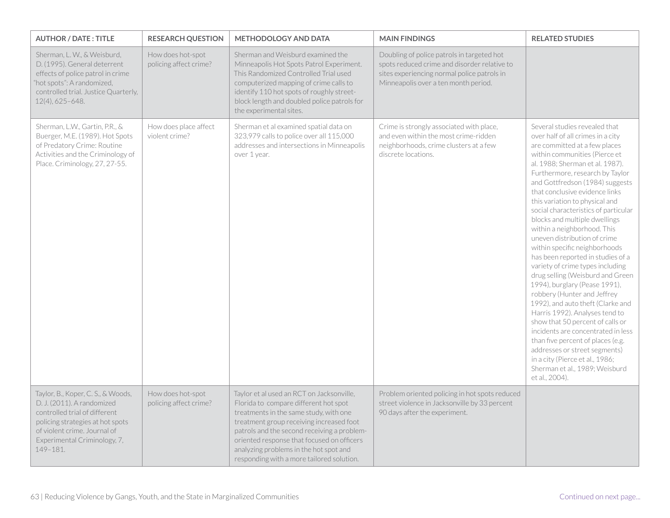| <b>AUTHOR / DATE: TITLE</b>                                                                                                                                                                                       | <b>RESEARCH QUESTION</b>                    | <b>METHODOLOGY AND DATA</b>                                                                                                                                                                                                                                                                                                                                  | <b>MAIN FINDINGS</b>                                                                                                                                                              | <b>RELATED STUDIES</b>                                                                                                                                                                                                                                                                                                                                                                                                                                                                                                                                                                                                                                                                                                                                                                                                                                                                                                                                                                |
|-------------------------------------------------------------------------------------------------------------------------------------------------------------------------------------------------------------------|---------------------------------------------|--------------------------------------------------------------------------------------------------------------------------------------------------------------------------------------------------------------------------------------------------------------------------------------------------------------------------------------------------------------|-----------------------------------------------------------------------------------------------------------------------------------------------------------------------------------|---------------------------------------------------------------------------------------------------------------------------------------------------------------------------------------------------------------------------------------------------------------------------------------------------------------------------------------------------------------------------------------------------------------------------------------------------------------------------------------------------------------------------------------------------------------------------------------------------------------------------------------------------------------------------------------------------------------------------------------------------------------------------------------------------------------------------------------------------------------------------------------------------------------------------------------------------------------------------------------|
| Sherman, L. W., & Weisburd,<br>D. (1995). General deterrent<br>effects of police patrol in crime<br>'hot spots": A randomized,<br>controlled trial. Justice Quarterly,<br>$12(4), 625 - 648.$                     | How does hot-spot<br>policing affect crime? | Sherman and Weisburd examined the<br>Minneapolis Hot Spots Patrol Experiment.<br>This Randomized Controlled Trial used<br>computerized mapping of crime calls to<br>identify 110 hot spots of roughly street-<br>block length and doubled police patrols for<br>the experimental sites.                                                                      | Doubling of police patrols in targeted hot<br>spots reduced crime and disorder relative to<br>sites experiencing normal police patrols in<br>Minneapolis over a ten month period. |                                                                                                                                                                                                                                                                                                                                                                                                                                                                                                                                                                                                                                                                                                                                                                                                                                                                                                                                                                                       |
| Sherman, L.W., Gartin, P.R., &<br>Buerger, M.E. (1989). Hot Spots<br>of Predatory Crime: Routine<br>Activities and the Criminology of<br>Place. Criminology, 27, 27-55.                                           | How does place affect<br>violent crime?     | Sherman et al examined spatial data on<br>323,979 calls to police over all 115,000<br>addresses and intersections in Minneapolis<br>over 1 year.                                                                                                                                                                                                             | Crime is strongly associated with place,<br>and even within the most crime-ridden<br>neighborhoods, crime clusters at a few<br>discrete locations.                                | Several studies revealed that<br>over half of all crimes in a city<br>are committed at a few places<br>within communities (Pierce et<br>al. 1988: Sherman et al. 1987).<br>Furthermore, research by Taylor<br>and Gottfredson (1984) suggests<br>that conclusive evidence links<br>this variation to physical and<br>social characteristics of particular<br>blocks and multiple dwellings<br>within a neighborhood. This<br>uneven distribution of crime<br>within specific neighborhoods<br>has been reported in studies of a<br>variety of crime types including<br>drug selling (Weisburd and Green<br>1994), burglary (Pease 1991),<br>robbery (Hunter and Jeffrey<br>1992), and auto theft (Clarke and<br>Harris 1992). Analyses tend to<br>show that 50 percent of calls or<br>incidents are concentrated in less<br>than five percent of places (e.g.<br>addresses or street segments)<br>in a city (Pierce et al., 1986;<br>Sherman et al., 1989; Weisburd<br>et al., 2004). |
| Taylor, B., Koper, C. S., & Woods,<br>D. J. (2011). A randomized<br>controlled trial of different<br>policing strategies at hot spots<br>of violent crime. Journal of<br>Experimental Criminology, 7,<br>149-181. | How does hot-spot<br>policing affect crime? | Taylor et al used an RCT on Jacksonville,<br>Florida to compare different hot spot<br>treatments in the same study, with one<br>treatment group receiving increased foot<br>patrols and the second receiving a problem-<br>oriented response that focused on officers<br>analyzing problems in the hot spot and<br>responding with a more tailored solution. | Problem oriented policing in hot spots reduced<br>street violence in Jacksonville by 33 percent<br>90 days after the experiment.                                                  |                                                                                                                                                                                                                                                                                                                                                                                                                                                                                                                                                                                                                                                                                                                                                                                                                                                                                                                                                                                       |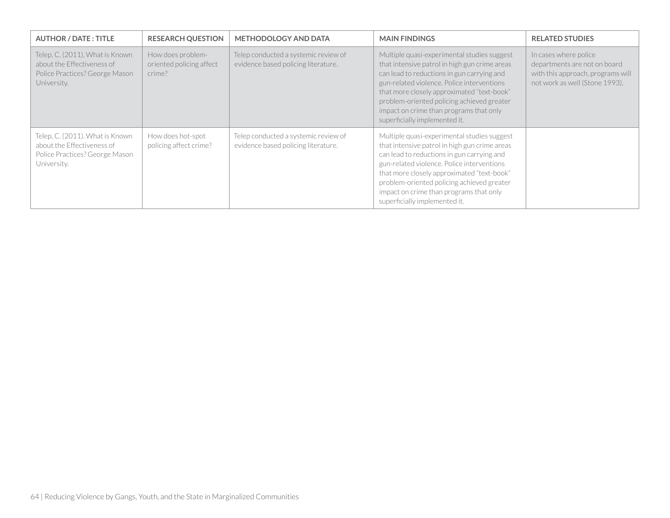| <b>AUTHOR / DATE: TITLE</b>                                                                                    | <b>RESEARCH QUESTION</b>                                | <b>METHODOLOGY AND DATA</b>                                                 | <b>MAIN FINDINGS</b>                                                                                                                                                                                                                                                                                                                                             | <b>RELATED STUDIES</b>                                                                                                       |
|----------------------------------------------------------------------------------------------------------------|---------------------------------------------------------|-----------------------------------------------------------------------------|------------------------------------------------------------------------------------------------------------------------------------------------------------------------------------------------------------------------------------------------------------------------------------------------------------------------------------------------------------------|------------------------------------------------------------------------------------------------------------------------------|
| Telep, C. (2011). What is Known<br>about the Effectiveness of<br>Police Practices? George Mason<br>University. | How does problem-<br>oriented policing affect<br>crime? | Telep conducted a systemic review of<br>evidence based policing literature. | Multiple quasi-experimental studies suggest<br>that intensive patrol in high gun crime areas<br>can lead to reductions in gun carrying and<br>gun-related violence. Police interventions<br>that more closely approximated "text-book"<br>problem-oriented policing achieved greater<br>impact on crime than programs that only<br>superficially implemented it. | In cases where police<br>departments are not on board<br>with this approach, programs will<br>not work as well (Stone 1993). |
| Telep, C. (2011). What is Known<br>about the Effectiveness of<br>Police Practices? George Mason<br>University. | How does hot-spot<br>policing affect crime?             | Telep conducted a systemic review of<br>evidence based policing literature. | Multiple quasi-experimental studies suggest<br>that intensive patrol in high gun crime areas<br>can lead to reductions in gun carrying and<br>gun-related violence. Police interventions<br>that more closely approximated "text-book"<br>problem-oriented policing achieved greater<br>impact on crime than programs that only<br>superficially implemented it. |                                                                                                                              |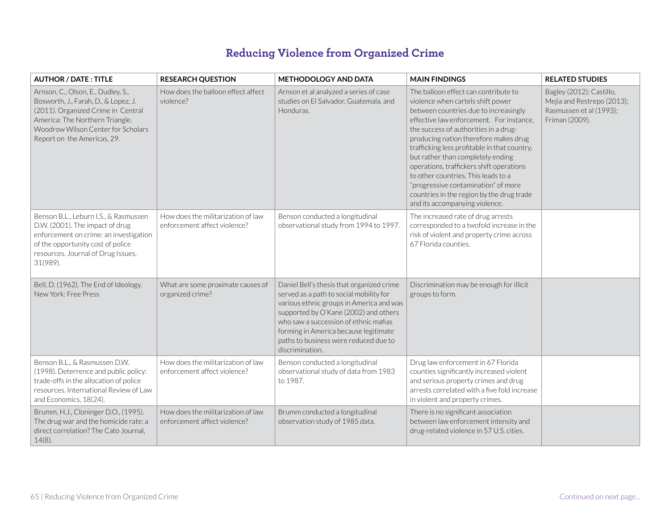## **Reducing Violence from Organized Crime**

| <b>AUTHOR / DATE: TITLE</b>                                                                                                                                                                                              | <b>RESEARCH QUESTION</b>                                           | <b>METHODOLOGY AND DATA</b>                                                                                                                                                                                                                                                                                             | <b>MAIN FINDINGS</b>                                                                                                                                                                                                                                                                                                                                                                                                                                                                                                                           | <b>RELATED STUDIES</b>                                                                              |
|--------------------------------------------------------------------------------------------------------------------------------------------------------------------------------------------------------------------------|--------------------------------------------------------------------|-------------------------------------------------------------------------------------------------------------------------------------------------------------------------------------------------------------------------------------------------------------------------------------------------------------------------|------------------------------------------------------------------------------------------------------------------------------------------------------------------------------------------------------------------------------------------------------------------------------------------------------------------------------------------------------------------------------------------------------------------------------------------------------------------------------------------------------------------------------------------------|-----------------------------------------------------------------------------------------------------|
| Arnson, C., Olson, E., Dudley, S.,<br>Bosworth, J., Farah, D., & Lopez, J.<br>(2011). Organized Crime in Central<br>America: The Northern Triangle.<br>Woodrow Wilson Center for Scholars<br>Report on the Americas, 29. | How does the balloon effect affect<br>violence?                    | Arnson et al analyzed a series of case<br>studies on El Salvador, Guatemala, and<br>Honduras.                                                                                                                                                                                                                           | The balloon effect can contribute to<br>violence when cartels shift power<br>between countries due to increasingly<br>effective law enforcement. For instance,<br>the success of authorities in a drug-<br>producing nation therefore makes drug<br>trafficking less profitable in that country,<br>but rather than completely ending<br>operations, traffickers shift operations<br>to other countries. This leads to a<br>"progressive contamination" of more<br>countries in the region by the drug trade<br>and its accompanying violence. | Bagley (2012); Castillo,<br>Mejia and Restrepo (2013);<br>Rasmussen et al (1993);<br>Friman (2009). |
| Benson B.L., Leburn I.S., & Rasmussen<br>D.W. (2001). The impact of drug<br>enforcement on crime: an investigation<br>of the opportunity cost of police<br>resources. Journal of Drug Issues,<br>31(989).                | How does the militarization of law<br>enforcement affect violence? | Benson conducted a longitudinal<br>observational study from 1994 to 1997.                                                                                                                                                                                                                                               | The increased rate of drug arrests<br>corresponded to a twofold increase in the<br>risk of violent and property crime across<br>67 Florida counties.                                                                                                                                                                                                                                                                                                                                                                                           |                                                                                                     |
| Bell, D. (1962). The End of Ideology.<br>New York: Free Press                                                                                                                                                            | What are some proximate causes of<br>organized crime?              | Daniel Bell's thesis that organized crime<br>served as a path to social mobility for<br>various ethnic groups in America and was<br>supported by O'Kane (2002) and others<br>who saw a succession of ethnic mafias<br>forming in America because legitimate<br>paths to business were reduced due to<br>discrimination. | Discrimination may be enough for illicit<br>groups to form.                                                                                                                                                                                                                                                                                                                                                                                                                                                                                    |                                                                                                     |
| Benson B.L., & Rasmussen D.W.<br>(1998). Deterrence and public policy:<br>trade-offs in the allocation of police<br>resources. International Review of Law<br>and Economics, 18(24).                                     | How does the militarization of law<br>enforcement affect violence? | Benson conducted a longitudinal<br>observational study of data from 1983<br>to 1987.                                                                                                                                                                                                                                    | Drug law enforcement in 67 Florida<br>counties significantly increased violent<br>and serious property crimes and drug<br>arrests correlated with a five fold increase<br>in violent and property crimes.                                                                                                                                                                                                                                                                                                                                      |                                                                                                     |
| Brumm, H.J., Cloninger D.O., (1995).<br>The drug war and the homicide rate: a<br>direct correlation? The Cato Journal,<br>$14(8)$ .                                                                                      | How does the militarization of law<br>enforcement affect violence? | Brumm conducted a longitudinal<br>observation study of 1985 data.                                                                                                                                                                                                                                                       | There is no significant association<br>between law enforcement intensity and<br>drug-related violence in 57 U.S. cities.                                                                                                                                                                                                                                                                                                                                                                                                                       |                                                                                                     |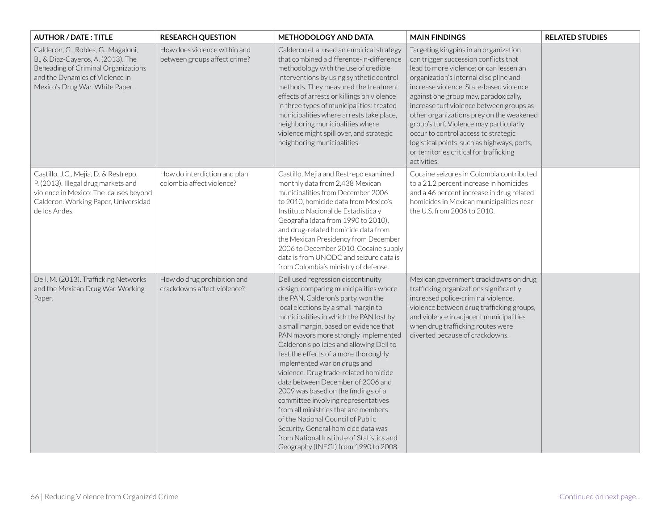| <b>AUTHOR / DATE: TITLE</b>                                                                                                                                                            | <b>RESEARCH QUESTION</b>                                     | <b>METHODOLOGY AND DATA</b>                                                                                                                                                                                                                                                                                                                                                                                                                                                                                                                                                                                                                                                                                                                                                       | <b>MAIN FINDINGS</b>                                                                                                                                                                                                                                                                                                                                                                                                                                                                                                                        | <b>RELATED STUDIES</b> |
|----------------------------------------------------------------------------------------------------------------------------------------------------------------------------------------|--------------------------------------------------------------|-----------------------------------------------------------------------------------------------------------------------------------------------------------------------------------------------------------------------------------------------------------------------------------------------------------------------------------------------------------------------------------------------------------------------------------------------------------------------------------------------------------------------------------------------------------------------------------------------------------------------------------------------------------------------------------------------------------------------------------------------------------------------------------|---------------------------------------------------------------------------------------------------------------------------------------------------------------------------------------------------------------------------------------------------------------------------------------------------------------------------------------------------------------------------------------------------------------------------------------------------------------------------------------------------------------------------------------------|------------------------|
| Calderon, G., Robles, G., Magaloni,<br>B., & Diaz-Cayeros, A. (2013). The<br>Beheading of Criminal Organizations<br>and the Dynamics of Violence in<br>Mexico's Drug War. White Paper. | How does violence within and<br>between groups affect crime? | Calderon et al used an empirical strategy<br>that combined a difference-in-difference<br>methodology with the use of credible<br>interventions by using synthetic control<br>methods. They measured the treatment<br>effects of arrests or killings on violence<br>in three types of municipalities: treated<br>municipalities where arrests take place,<br>neighboring municipalities where<br>violence might spill over, and strategic<br>neighboring municipalities.                                                                                                                                                                                                                                                                                                           | Targeting kingpins in an organization<br>can trigger succession conflicts that<br>lead to more violence; or can lessen an<br>organization's internal discipline and<br>increase violence. State-based violence<br>against one group may, paradoxically,<br>increase turf violence between groups as<br>other organizations prey on the weakened<br>group's turf. Violence may particularly<br>occur to control access to strategic<br>logistical points, such as highways, ports,<br>or territories critical for trafficking<br>activities. |                        |
| Castillo, J.C., Mejia, D. & Restrepo,<br>P. (2013). Illegal drug markets and<br>violence in Mexico: The causes beyond<br>Calderon. Working Paper, Universidad<br>de los Andes.         | How do interdiction and plan<br>colombia affect violence?    | Castillo, Mejia and Restrepo examined<br>monthly data from 2,438 Mexican<br>municipalities from December 2006<br>to 2010, homicide data from Mexico's<br>Instituto Nacional de Estadistica y<br>Geografia (data from 1990 to 2010),<br>and drug-related homicide data from<br>the Mexican Presidency from December<br>2006 to December 2010. Cocaine supply<br>data is from UNODC and seizure data is<br>from Colombia's ministry of defense.                                                                                                                                                                                                                                                                                                                                     | Cocaine seizures in Colombia contributed<br>to a 21.2 percent increase in homicides<br>and a 46 percent increase in drug related<br>homicides in Mexican municipalities near<br>the U.S. from 2006 to 2010.                                                                                                                                                                                                                                                                                                                                 |                        |
| Dell, M. (2013). Trafficking Networks<br>and the Mexican Drug War. Working<br>Paper.                                                                                                   | How do drug prohibition and<br>crackdowns affect violence?   | Dell used regression discontinuity<br>design, comparing municipalities where<br>the PAN, Calderon's party, won the<br>local elections by a small margin to<br>municipalities in which the PAN lost by<br>a small margin, based on evidence that<br>PAN mayors more strongly implemented<br>Calderon's policies and allowing Dell to<br>test the effects of a more thoroughly<br>implemented war on drugs and<br>violence. Drug trade-related homicide<br>data between December of 2006 and<br>2009 was based on the findings of a<br>committee involving representatives<br>from all ministries that are members<br>of the National Council of Public<br>Security. General homicide data was<br>from National Institute of Statistics and<br>Geography (INEGI) from 1990 to 2008. | Mexican government crackdowns on drug<br>trafficking organizations significantly<br>increased police-criminal violence,<br>violence between drug trafficking groups,<br>and violence in adjacent municipalities<br>when drug trafficking routes were<br>diverted because of crackdowns.                                                                                                                                                                                                                                                     |                        |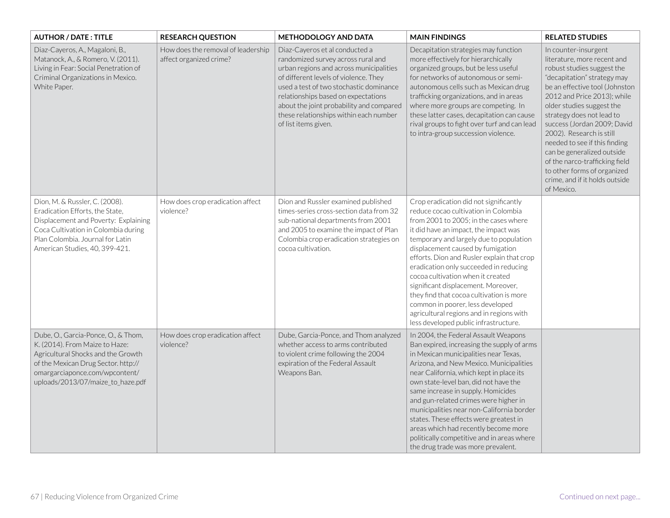| <b>AUTHOR / DATE: TITLE</b>                                                                                                                                                                                               | <b>RESEARCH QUESTION</b>                                      | <b>METHODOLOGY AND DATA</b>                                                                                                                                                                                                                                                                                                                              | <b>MAIN FINDINGS</b>                                                                                                                                                                                                                                                                                                                                                                                                                                                                                                                                                                      | <b>RELATED STUDIES</b>                                                                                                                                                                                                                                                                                                                                                                                                                                                                 |
|---------------------------------------------------------------------------------------------------------------------------------------------------------------------------------------------------------------------------|---------------------------------------------------------------|----------------------------------------------------------------------------------------------------------------------------------------------------------------------------------------------------------------------------------------------------------------------------------------------------------------------------------------------------------|-------------------------------------------------------------------------------------------------------------------------------------------------------------------------------------------------------------------------------------------------------------------------------------------------------------------------------------------------------------------------------------------------------------------------------------------------------------------------------------------------------------------------------------------------------------------------------------------|----------------------------------------------------------------------------------------------------------------------------------------------------------------------------------------------------------------------------------------------------------------------------------------------------------------------------------------------------------------------------------------------------------------------------------------------------------------------------------------|
| Diaz-Cayeros, A., Magaloni, B.,<br>Matanock, A., & Romero, V. (2011).<br>Living in Fear: Social Penetration of<br>Criminal Organizations in Mexico.<br>White Paper.                                                       | How does the removal of leadership<br>affect organized crime? | Diaz-Cayeros et al conducted a<br>randomized survey across rural and<br>urban regions and across municipalities<br>of different levels of violence. They<br>used a test of two stochastic dominance<br>relationships based on expectations<br>about the joint probability and compared<br>these relationships within each number<br>of list items given. | Decapitation strategies may function<br>more effectively for hierarchically<br>organized groups, but be less useful<br>for networks of autonomous or semi-<br>autonomous cells such as Mexican drug<br>trafficking organizations, and in areas<br>where more groups are competing. In<br>these latter cases, decapitation can cause<br>rival groups to fight over turf and can lead<br>to intra-group succession violence.                                                                                                                                                                | In counter-insurgent<br>literature, more recent and<br>robust studies suggest the<br>"decapitation" strategy may<br>be an effective tool (Johnston<br>2012 and Price 2013); while<br>older studies suggest the<br>strategy does not lead to<br>success (Jordan 2009; David<br>2002). Research is still<br>needed to see if this finding<br>can be generalized outside<br>of the narco-trafficking field<br>to other forms of organized<br>crime, and if it holds outside<br>of Mexico. |
| Dion, M. & Russler, C. (2008).<br>Eradication Efforts, the State,<br>Displacement and Poverty: Explaining<br>Coca Cultivation in Colombia during<br>Plan Colombia. Journal for Latin<br>American Studies, 40, 399-421.    | How does crop eradication affect<br>violence?                 | Dion and Russler examined published<br>times-series cross-section data from 32<br>sub-national departments from 2001<br>and 2005 to examine the impact of Plan<br>Colombia crop eradication strategies on<br>cocoa cultivation.                                                                                                                          | Crop eradication did not significantly<br>reduce cocao cultivation in Colombia<br>from 2001 to 2005; in the cases where<br>it did have an impact, the impact was<br>temporary and largely due to population<br>displacement caused by fumigation<br>efforts. Dion and Rusler explain that crop<br>eradication only succeeded in reducing<br>cocoa cultivation when it created<br>significant displacement. Moreover,<br>they find that cocoa cultivation is more<br>common in poorer, less developed<br>agricultural regions and in regions with<br>less developed public infrastructure. |                                                                                                                                                                                                                                                                                                                                                                                                                                                                                        |
| Dube, O., Garcia-Ponce, O., & Thom,<br>K. (2014). From Maize to Haze:<br>Agricultural Shocks and the Growth<br>of the Mexican Drug Sector. http://<br>omargarciaponce.com/wpcontent/<br>uploads/2013/07/maize_to_haze.pdf | How does crop eradication affect<br>violence?                 | Dube, Garcia-Ponce, and Thom analyzed<br>whether access to arms contributed<br>to violent crime following the 2004<br>expiration of the Federal Assault<br>Weapons Ban.                                                                                                                                                                                  | In 2004, the Federal Assault Weapons<br>Ban expired, increasing the supply of arms<br>in Mexican municipalities near Texas,<br>Arizona, and New Mexico. Municipalities<br>near California, which kept in place its<br>own state-level ban, did not have the<br>same increase in supply. Homicides<br>and gun-related crimes were higher in<br>municipalities near non-California border<br>states. These effects were greatest in<br>areas which had recently become more<br>politically competitive and in areas where<br>the drug trade was more prevalent.                             |                                                                                                                                                                                                                                                                                                                                                                                                                                                                                        |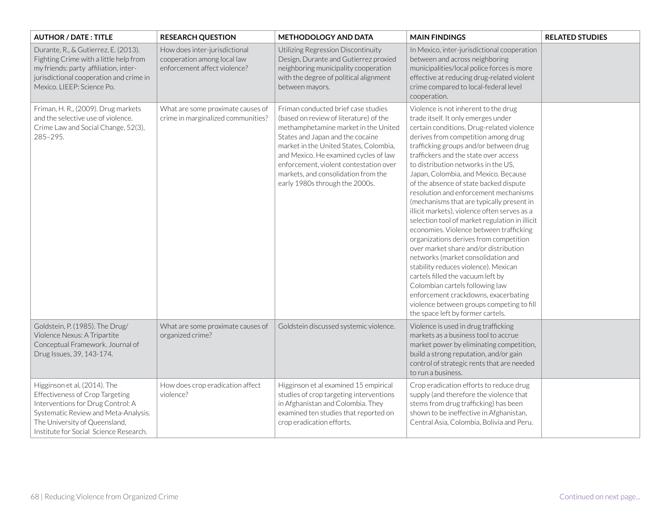| <b>AUTHOR / DATE: TITLE</b>                                                                                                                                                                                             | <b>RESEARCH QUESTION</b>                                                                     | <b>METHODOLOGY AND DATA</b>                                                                                                                                                                                                                                                                                                                                     | <b>MAIN FINDINGS</b>                                                                                                                                                                                                                                                                                                                                                                                                                                                                                                                                                                                                                                                                                                                                                                                                                                                                                                                                                              | <b>RELATED STUDIES</b> |
|-------------------------------------------------------------------------------------------------------------------------------------------------------------------------------------------------------------------------|----------------------------------------------------------------------------------------------|-----------------------------------------------------------------------------------------------------------------------------------------------------------------------------------------------------------------------------------------------------------------------------------------------------------------------------------------------------------------|-----------------------------------------------------------------------------------------------------------------------------------------------------------------------------------------------------------------------------------------------------------------------------------------------------------------------------------------------------------------------------------------------------------------------------------------------------------------------------------------------------------------------------------------------------------------------------------------------------------------------------------------------------------------------------------------------------------------------------------------------------------------------------------------------------------------------------------------------------------------------------------------------------------------------------------------------------------------------------------|------------------------|
| Durante, R., & Gutierrez, E. (2013).<br>Fighting Crime with a little help from<br>my friends: party affiliation, inter-<br>jurisdictional cooperation and crime in<br>Mexico. LIEEP: Science Po.                        | How does inter-jurisdictional<br>cooperation among local law<br>enforcement affect violence? | Utilizing Regression Discontinuity<br>Design, Durante and Gutierrez proxied<br>neighboring municipality cooperation<br>with the degree of political alignment<br>between mayors.                                                                                                                                                                                | In Mexico, inter-jurisdictional cooperation<br>between and across neighboring<br>municipalities/local police forces is more<br>effective at reducing drug-related violent<br>crime compared to local-federal level<br>cooperation.                                                                                                                                                                                                                                                                                                                                                                                                                                                                                                                                                                                                                                                                                                                                                |                        |
| Friman, H. R., (2009). Drug markets<br>and the selective use of violence.<br>Crime Law and Social Change, 52(3),<br>$285 - 295.$                                                                                        | What are some proximate causes of<br>crime in marginalized communities?                      | Friman conducted brief case studies<br>(based on review of literature) of the<br>methamphetamine market in the United<br>States and Japan and the cocaine<br>market in the United States, Colombia,<br>and Mexico. He examined cycles of law<br>enforcement, violent contestation over<br>markets, and consolidation from the<br>early 1980s through the 2000s. | Violence is not inherent to the drug<br>trade itself. It only emerges under<br>certain conditions. Drug-related violence<br>derives from competition among drug<br>trafficking groups and/or between drug<br>traffickers and the state over access<br>to distribution networks in the US.<br>Japan, Colombia, and Mexico. Because<br>of the absence of state backed dispute<br>resolution and enforcement mechanisms<br>(mechanisms that are typically present in<br>illicit markets), violence often serves as a<br>selection tool of market regulation in illicit<br>economies. Violence between trafficking<br>organizations derives from competition<br>over market share and/or distribution<br>networks (market consolidation and<br>stability reduces violence). Mexican<br>cartels filled the vacuum left by<br>Colombian cartels following law<br>enforcement crackdowns, exacerbating<br>violence between groups competing to fill<br>the space left by former cartels. |                        |
| Goldstein, P. (1985). The Drug/<br>Violence Nexus: A Tripartite<br>Conceptual Framework. Journal of<br>Drug Issues, 39, 143-174.                                                                                        | What are some proximate causes of<br>organized crime?                                        | Goldstein discussed systemic violence.                                                                                                                                                                                                                                                                                                                          | Violence is used in drug trafficking<br>markets as a business tool to accrue<br>market power by eliminating competition,<br>build a strong reputation, and/or gain<br>control of strategic rents that are needed<br>to run a business.                                                                                                                                                                                                                                                                                                                                                                                                                                                                                                                                                                                                                                                                                                                                            |                        |
| Higginson et al, (2014). The<br>Effectiveness of Crop Targeting<br>Interventions for Drug Control: A<br>Systematic Review and Meta-Analysis.<br>The University of Queensland,<br>Institute for Social Science Research. | How does crop eradication affect<br>violence?                                                | Higginson et al examined 15 empirical<br>studies of crop targeting interventions<br>in Afghanistan and Colombia. They<br>examined ten studies that reported on<br>crop eradication efforts.                                                                                                                                                                     | Crop eradication efforts to reduce drug<br>supply (and therefore the violence that<br>stems from drug trafficking) has been<br>shown to be ineffective in Afghanistan,<br>Central Asia, Colombia, Bolivia and Peru.                                                                                                                                                                                                                                                                                                                                                                                                                                                                                                                                                                                                                                                                                                                                                               |                        |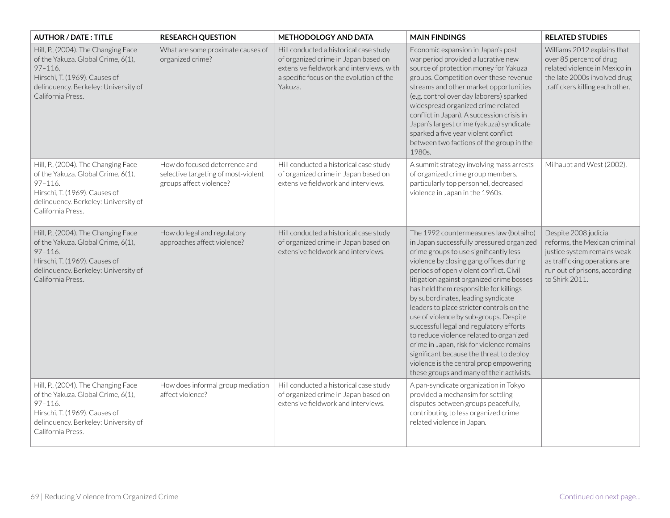| <b>AUTHOR / DATE: TITLE</b>                                                                                                                                                            | <b>RESEARCH QUESTION</b>                                                                        | <b>METHODOLOGY AND DATA</b>                                                                                                                                                       | <b>MAIN FINDINGS</b>                                                                                                                                                                                                                                                                                                                                                                                                                                                                                                                                                                                                                                                                                           | <b>RELATED STUDIES</b>                                                                                                                                                    |
|----------------------------------------------------------------------------------------------------------------------------------------------------------------------------------------|-------------------------------------------------------------------------------------------------|-----------------------------------------------------------------------------------------------------------------------------------------------------------------------------------|----------------------------------------------------------------------------------------------------------------------------------------------------------------------------------------------------------------------------------------------------------------------------------------------------------------------------------------------------------------------------------------------------------------------------------------------------------------------------------------------------------------------------------------------------------------------------------------------------------------------------------------------------------------------------------------------------------------|---------------------------------------------------------------------------------------------------------------------------------------------------------------------------|
| Hill, P., (2004). The Changing Face<br>of the Yakuza. Global Crime, 6(1),<br>$97 - 116.$<br>Hirschi, T. (1969). Causes of<br>delinquency. Berkeley: University of<br>California Press. | What are some proximate causes of<br>organized crime?                                           | Hill conducted a historical case study<br>of organized crime in Japan based on<br>extensive fieldwork and interviews, with<br>a specific focus on the evolution of the<br>Yakuza. | Economic expansion in Japan's post<br>war period provided a lucrative new<br>source of protection money for Yakuza<br>groups. Competition over these revenue<br>streams and other market opportunities<br>(e.g. control over day laborers) sparked<br>widespread organized crime related<br>conflict in Japan). A succession crisis in<br>Japan's largest crime (yakuza) syndicate<br>sparked a five year violent conflict<br>between two factions of the group in the<br>1980s.                                                                                                                                                                                                                               | Williams 2012 explains that<br>over 85 percent of drug<br>related violence in Mexico in<br>the late 2000s involved drug<br>traffickers killing each other.                |
| Hill, P., (2004). The Changing Face<br>of the Yakuza. Global Crime, 6(1),<br>$97 - 116.$<br>Hirschi, T. (1969). Causes of<br>delinquency. Berkeley: University of<br>California Press. | How do focused deterrence and<br>selective targeting of most-violent<br>groups affect violence? | Hill conducted a historical case study<br>of organized crime in Japan based on<br>extensive fieldwork and interviews.                                                             | A summit strategy involving mass arrests<br>of organized crime group members,<br>particularly top personnel, decreased<br>violence in Japan in the 1960s.                                                                                                                                                                                                                                                                                                                                                                                                                                                                                                                                                      | Milhaupt and West (2002).                                                                                                                                                 |
| Hill, P., (2004). The Changing Face<br>of the Yakuza. Global Crime, 6(1),<br>$97 - 116.$<br>Hirschi, T. (1969). Causes of<br>delinquency. Berkeley: University of<br>California Press. | How do legal and regulatory<br>approaches affect violence?                                      | Hill conducted a historical case study<br>of organized crime in Japan based on<br>extensive fieldwork and interviews.                                                             | The 1992 countermeasures law (botaiho)<br>in Japan successfully pressured organized<br>crime groups to use significantly less<br>violence by closing gang offices during<br>periods of open violent conflict. Civil<br>litigation against organized crime bosses<br>has held them responsible for killings<br>by subordinates, leading syndicate<br>leaders to place stricter controls on the<br>use of violence by sub-groups. Despite<br>successful legal and regulatory efforts<br>to reduce violence related to organized<br>crime in Japan, risk for violence remains<br>significant because the threat to deploy<br>violence is the central prop empowering<br>these groups and many of their activists. | Despite 2008 judicial<br>reforms, the Mexican criminal<br>justice system remains weak<br>as trafficking operations are<br>run out of prisons, according<br>to Shirk 2011. |
| Hill, P., (2004). The Changing Face<br>of the Yakuza. Global Crime, 6(1),<br>$97 - 116.$<br>Hirschi, T. (1969). Causes of<br>delinquency. Berkeley: University of<br>California Press. | How does informal group mediation<br>affect violence?                                           | Hill conducted a historical case study<br>of organized crime in Japan based on<br>extensive fieldwork and interviews.                                                             | A pan-syndicate organization in Tokyo<br>provided a mechansim for settling<br>disputes between groups peacefully,<br>contributing to less organized crime<br>related violence in Japan.                                                                                                                                                                                                                                                                                                                                                                                                                                                                                                                        |                                                                                                                                                                           |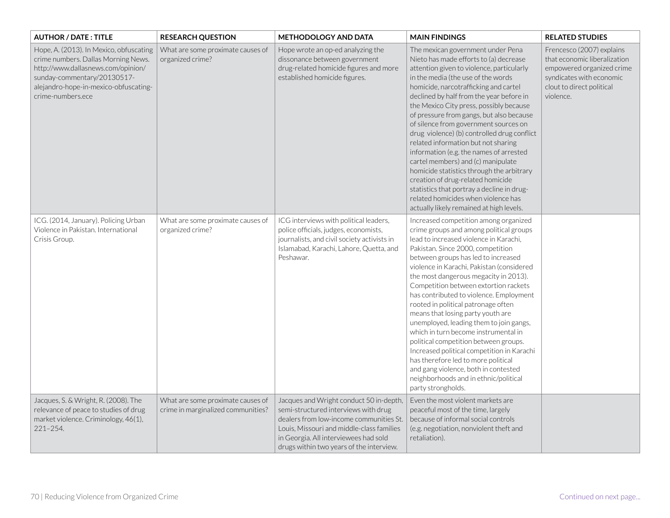| <b>AUTHOR / DATE: TITLE</b>                                                                                                                                                                                       | <b>RESEARCH QUESTION</b>                                                | <b>METHODOLOGY AND DATA</b>                                                                                                                                                                                                                                  | <b>MAIN FINDINGS</b>                                                                                                                                                                                                                                                                                                                                                                                                                                                                                                                                                                                                                                                                                                                                                                 | <b>RELATED STUDIES</b>                                                                                                                                       |
|-------------------------------------------------------------------------------------------------------------------------------------------------------------------------------------------------------------------|-------------------------------------------------------------------------|--------------------------------------------------------------------------------------------------------------------------------------------------------------------------------------------------------------------------------------------------------------|--------------------------------------------------------------------------------------------------------------------------------------------------------------------------------------------------------------------------------------------------------------------------------------------------------------------------------------------------------------------------------------------------------------------------------------------------------------------------------------------------------------------------------------------------------------------------------------------------------------------------------------------------------------------------------------------------------------------------------------------------------------------------------------|--------------------------------------------------------------------------------------------------------------------------------------------------------------|
| Hope, A. (2013). In Mexico, obfuscating<br>crime numbers. Dallas Morning News.<br>http://www.dallasnews.com/opinion/<br>sunday-commentary/20130517-<br>alejandro-hope-in-mexico-obfuscating-<br>crime-numbers.ece | What are some proximate causes of<br>organized crime?                   | Hope wrote an op-ed analyzing the<br>dissonance between government<br>drug-related homicide figures and more<br>established homicide figures.                                                                                                                | The mexican government under Pena<br>Nieto has made efforts to (a) decrease<br>attention given to violence, particularly<br>in the media (the use of the words<br>homicide, narcotrafficking and cartel<br>declined by half from the year before in<br>the Mexico City press, possibly because<br>of pressure from gangs, but also because<br>of silence from government sources on<br>drug violence) (b) controlled drug conflict<br>related information but not sharing<br>information (e.g. the names of arrested<br>cartel members) and (c) manipulate<br>homicide statistics through the arbitrary<br>creation of drug-related homicide<br>statistics that portray a decline in drug-<br>related homicides when violence has<br>actually likely remained at high levels.        | Frencesco (2007) explains<br>that economic liberalization<br>empowered organized crime<br>syndicates with economic<br>clout to direct political<br>violence. |
| ICG. (2014, January). Policing Urban<br>Violence in Pakistan, International<br>Crisis Group.                                                                                                                      | What are some proximate causes of<br>organized crime?                   | ICG interviews with political leaders,<br>police officials, judges, economists,<br>journalists, and civil society activists in<br>Islamabad, Karachi, Lahore, Quetta, and<br>Peshawar.                                                                       | Increased competition among organized<br>crime groups and among political groups<br>lead to increased violence in Karachi,<br>Pakistan. Since 2000, competition<br>between groups has led to increased<br>violence in Karachi, Pakistan (considered<br>the most dangerous megacity in 2013).<br>Competition between extortion rackets<br>has contributed to violence. Employment<br>rooted in political patronage often<br>means that losing party youth are<br>unemployed, leading them to join gangs,<br>which in turn become instrumental in<br>political competition between groups.<br>Increased political competition in Karachi<br>has therefore led to more political<br>and gang violence, both in contested<br>neighborhoods and in ethnic/political<br>party strongholds. |                                                                                                                                                              |
| Jacques, S. & Wright, R. (2008). The<br>relevance of peace to studies of drug<br>market violence. Criminology, 46(1),<br>$221 - 254.$                                                                             | What are some proximate causes of<br>crime in marginalized communities? | Jacques and Wright conduct 50 in-depth,<br>semi-structured interviews with drug<br>dealers from low-income communities St.<br>Louis, Missouri and middle-class families<br>in Georgia. All interviewees had sold<br>drugs within two years of the interview. | Even the most violent markets are<br>peaceful most of the time, largely<br>because of informal social controls<br>(e.g. negotiation, nonviolent theft and<br>retaliation).                                                                                                                                                                                                                                                                                                                                                                                                                                                                                                                                                                                                           |                                                                                                                                                              |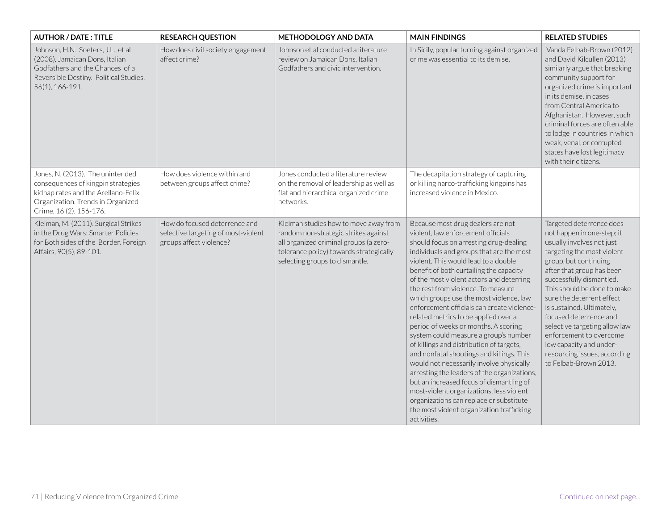| <b>AUTHOR / DATE: TITLE</b>                                                                                                                                                   | <b>RESEARCH QUESTION</b>                                                                        | <b>METHODOLOGY AND DATA</b>                                                                                                                                                                          | <b>MAIN FINDINGS</b>                                                                                                                                                                                                                                                                                                                                                                                                                                                                                                                                                                                                                                                                                                                                                                                                                                                                                                                    | <b>RELATED STUDIES</b>                                                                                                                                                                                                                                                                                                                                                                                                                                                 |
|-------------------------------------------------------------------------------------------------------------------------------------------------------------------------------|-------------------------------------------------------------------------------------------------|------------------------------------------------------------------------------------------------------------------------------------------------------------------------------------------------------|-----------------------------------------------------------------------------------------------------------------------------------------------------------------------------------------------------------------------------------------------------------------------------------------------------------------------------------------------------------------------------------------------------------------------------------------------------------------------------------------------------------------------------------------------------------------------------------------------------------------------------------------------------------------------------------------------------------------------------------------------------------------------------------------------------------------------------------------------------------------------------------------------------------------------------------------|------------------------------------------------------------------------------------------------------------------------------------------------------------------------------------------------------------------------------------------------------------------------------------------------------------------------------------------------------------------------------------------------------------------------------------------------------------------------|
| Johnson, H.N., Soeters, J.L., et al<br>(2008). Jamaican Dons, Italian<br>Godfathers and the Chances of a<br>Reversible Destiny. Political Studies,<br>56(1), 166-191.         | How does civil society engagement<br>affect crime?                                              | Johnson et al conducted a literature<br>review on Jamaican Dons, Italian<br>Godfathers and civic intervention.                                                                                       | In Sicily, popular turning against organized<br>crime was essential to its demise.                                                                                                                                                                                                                                                                                                                                                                                                                                                                                                                                                                                                                                                                                                                                                                                                                                                      | Vanda Felbab-Brown (2012)<br>and David Kilcullen (2013)<br>similarly argue that breaking<br>community support for<br>organized crime is important<br>in its demise, in cases<br>from Central America to<br>Afghanistan. However, such<br>criminal forces are often able<br>to lodge in countries in which<br>weak, venal, or corrupted<br>states have lost legitimacy<br>with their citizens.                                                                          |
| Jones, N. (2013). The unintended<br>consequences of kingpin strategies<br>kidnap rates and the Arellano-Felix<br>Organization. Trends in Organized<br>Crime, 16 (2), 156-176. | How does violence within and<br>between groups affect crime?                                    | Jones conducted a literature review<br>on the removal of leadership as well as<br>flat and hierarchical organized crime<br>networks.                                                                 | The decapitation strategy of capturing<br>or killing narco-trafficking kingpins has<br>increased violence in Mexico.                                                                                                                                                                                                                                                                                                                                                                                                                                                                                                                                                                                                                                                                                                                                                                                                                    |                                                                                                                                                                                                                                                                                                                                                                                                                                                                        |
| Kleiman, M. (2011). Surgical Strikes<br>in the Drug Wars: Smarter Policies<br>for Both sides of the Border. Foreign<br>Affairs, 90(5), 89-101.                                | How do focused deterrence and<br>selective targeting of most-violent<br>groups affect violence? | Kleiman studies how to move away from<br>random non-strategic strikes against<br>all organized criminal groups (a zero-<br>tolerance policy) towards strategically<br>selecting groups to dismantle. | Because most drug dealers are not<br>violent, law enforcement officials<br>should focus on arresting drug-dealing<br>individuals and groups that are the most<br>violent. This would lead to a double<br>benefit of both curtailing the capacity<br>of the most violent actors and deterring<br>the rest from violence. To measure<br>which groups use the most violence, law<br>enforcement officials can create violence-<br>related metrics to be applied over a<br>period of weeks or months. A scoring<br>system could measure a group's number<br>of killings and distribution of targets,<br>and nonfatal shootings and killings. This<br>would not necessarily involve physically<br>arresting the leaders of the organizations,<br>but an increased focus of dismantling of<br>most-violent organizations, less violent<br>organizations can replace or substitute<br>the most violent organization trafficking<br>activities. | Targeted deterrence does<br>not happen in one-step; it<br>usually involves not just<br>targeting the most violent<br>group, but continuing<br>after that group has been<br>successfully dismantled.<br>This should be done to make<br>sure the deterrent effect<br>is sustained. Ultimately,<br>focused deterrence and<br>selective targeting allow law<br>enforcement to overcome<br>low capacity and under-<br>resourcing issues, according<br>to Felbab-Brown 2013. |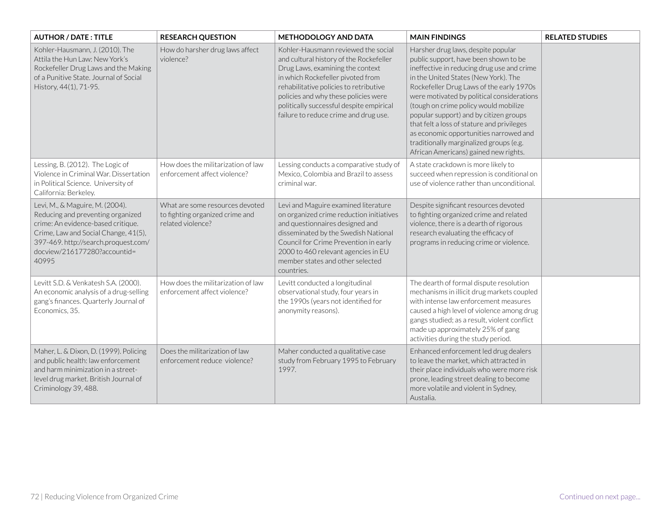| <b>AUTHOR / DATE: TITLE</b>                                                                                                                                                                                                         | <b>RESEARCH QUESTION</b>                                                                | <b>METHODOLOGY AND DATA</b>                                                                                                                                                                                                                                                                                                    | <b>MAIN FINDINGS</b>                                                                                                                                                                                                                                                                                                                                                                                                                                                                                                       | <b>RELATED STUDIES</b> |
|-------------------------------------------------------------------------------------------------------------------------------------------------------------------------------------------------------------------------------------|-----------------------------------------------------------------------------------------|--------------------------------------------------------------------------------------------------------------------------------------------------------------------------------------------------------------------------------------------------------------------------------------------------------------------------------|----------------------------------------------------------------------------------------------------------------------------------------------------------------------------------------------------------------------------------------------------------------------------------------------------------------------------------------------------------------------------------------------------------------------------------------------------------------------------------------------------------------------------|------------------------|
| Kohler-Hausmann, J. (2010). The<br>Attila the Hun Law: New York's<br>Rockefeller Drug Laws and the Making<br>of a Punitive State. Journal of Social<br>History, 44(1), 71-95.                                                       | How do harsher drug laws affect<br>violence?                                            | Kohler-Hausmann reviewed the social<br>and cultural history of the Rockefeller<br>Drug Laws, examining the context<br>in which Rockefeller pivoted from<br>rehabilitative policies to retributive<br>policies and why these policies were<br>politically successful despite empirical<br>failure to reduce crime and drug use. | Harsher drug laws, despite popular<br>public support, have been shown to be<br>ineffective in reducing drug use and crime<br>in the United States (New York). The<br>Rockefeller Drug Laws of the early 1970s<br>were motivated by political considerations<br>(tough on crime policy would mobilize<br>popular support) and by citizen groups<br>that felt a loss of stature and privileges<br>as economic opportunities narrowed and<br>traditionally marginalized groups (e.g.<br>African Americans) gained new rights. |                        |
| Lessing, B. (2012). The Logic of<br>Violence in Criminal War. Dissertation<br>in Political Science. University of<br>California: Berkeley.                                                                                          | How does the militarization of law<br>enforcement affect violence?                      | Lessing conducts a comparative study of<br>Mexico, Colombia and Brazil to assess<br>criminal war.                                                                                                                                                                                                                              | A state crackdown is more likely to<br>succeed when repression is conditional on<br>use of violence rather than unconditional.                                                                                                                                                                                                                                                                                                                                                                                             |                        |
| Levi, M., & Maguire, M. (2004).<br>Reducing and preventing organized<br>crime: An evidence-based critique.<br>Crime, Law and Social Change, 41(5),<br>397-469. http://search.proquest.com/<br>docview/216177280?accountid=<br>40995 | What are some resources devoted<br>to fighting organized crime and<br>related violence? | Levi and Maguire examined literature<br>on organized crime reduction initiatives<br>and questionnaires designed and<br>disseminated by the Swedish National<br>Council for Crime Prevention in early<br>2000 to 460 relevant agencies in EU<br>member states and other selected<br>countries.                                  | Despite significant resources devoted<br>to fighting organized crime and related<br>violence, there is a dearth of rigorous<br>research evaluating the efficacy of<br>programs in reducing crime or violence.                                                                                                                                                                                                                                                                                                              |                        |
| Levitt S.D. & Venkatesh S.A. (2000).<br>An economic analysis of a drug-selling<br>gang's finances. Quarterly Journal of<br>Economics, 35.                                                                                           | How does the militarization of law<br>enforcement affect violence?                      | Levitt conducted a longitudinal<br>observational study, four years in<br>the 1990s (years not identified for<br>anonymity reasons).                                                                                                                                                                                            | The dearth of formal dispute resolution<br>mechanisms in illicit drug markets coupled<br>with intense law enforcement measures<br>caused a high level of violence among drug<br>gangs studied; as a result, violent conflict<br>made up approximately 25% of gang<br>activities during the study period.                                                                                                                                                                                                                   |                        |
| Maher, L. & Dixon, D. (1999). Policing<br>and public health: law enforcement<br>and harm minimization in a street-<br>level drug market. British Journal of<br>Criminology 39, 488.                                                 | Does the militarization of law<br>enforcement reduce violence?                          | Maher conducted a qualitative case<br>study from February 1995 to February<br>1997.                                                                                                                                                                                                                                            | Enhanced enforcement led drug dealers<br>to leave the market, which attracted in<br>their place individuals who were more risk<br>prone, leading street dealing to become<br>more volatile and violent in Sydney,<br>Austalia.                                                                                                                                                                                                                                                                                             |                        |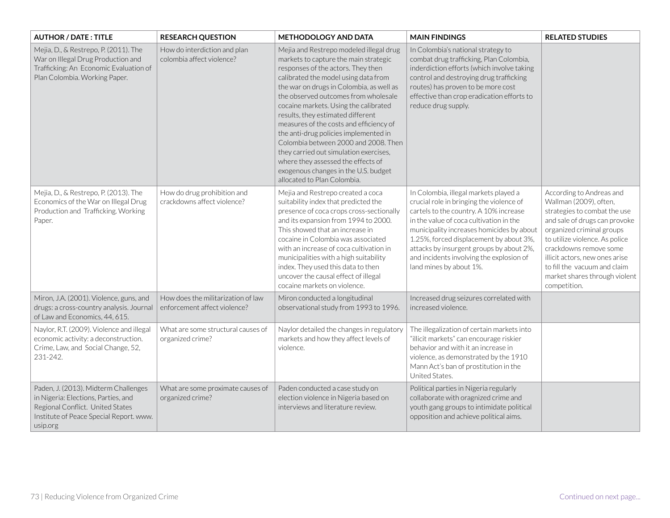| <b>AUTHOR / DATE: TITLE</b>                                                                                                                                            | <b>RESEARCH QUESTION</b>                                           | <b>METHODOLOGY AND DATA</b>                                                                                                                                                                                                                                                                                                                                                                                                                                                                                                                                                                                         | <b>MAIN FINDINGS</b>                                                                                                                                                                                                                                                                                                                                                              | <b>RELATED STUDIES</b>                                                                                                                                                                                                                                                                                                          |
|------------------------------------------------------------------------------------------------------------------------------------------------------------------------|--------------------------------------------------------------------|---------------------------------------------------------------------------------------------------------------------------------------------------------------------------------------------------------------------------------------------------------------------------------------------------------------------------------------------------------------------------------------------------------------------------------------------------------------------------------------------------------------------------------------------------------------------------------------------------------------------|-----------------------------------------------------------------------------------------------------------------------------------------------------------------------------------------------------------------------------------------------------------------------------------------------------------------------------------------------------------------------------------|---------------------------------------------------------------------------------------------------------------------------------------------------------------------------------------------------------------------------------------------------------------------------------------------------------------------------------|
| Mejia, D., & Restrepo, P. (2011). The<br>War on Illegal Drug Production and<br>Trafficking: An Economic Evaluation of<br>Plan Colombia. Working Paper.                 | How do interdiction and plan<br>colombia affect violence?          | Mejia and Restrepo modeled illegal drug<br>markets to capture the main strategic<br>responses of the actors. They then<br>calibrated the model using data from<br>the war on drugs in Colombia, as well as<br>the observed outcomes from wholesale<br>cocaine markets. Using the calibrated<br>results, they estimated different<br>measures of the costs and efficiency of<br>the anti-drug policies implemented in<br>Colombia between 2000 and 2008. Then<br>they carried out simulation exercises,<br>where they assessed the effects of<br>exogenous changes in the U.S. budget<br>allocated to Plan Colombia. | In Colombia's national strategy to<br>combat drug trafficking, Plan Colombia,<br>inderdiction efforts (which involve taking<br>control and destroying drug trafficking<br>routes) has proven to be more cost<br>effective than crop eradication efforts to<br>reduce drug supply.                                                                                                 |                                                                                                                                                                                                                                                                                                                                 |
| Mejia, D., & Restrepo, P. (2013). The<br>Economics of the War on Illegal Drug<br>Production and Trafficking. Working<br>Paper.                                         | How do drug prohibition and<br>crackdowns affect violence?         | Mejia and Restrepo created a coca<br>suitability index that predicted the<br>presence of coca crops cross-sectionally<br>and its expansion from 1994 to 2000.<br>This showed that an increase in<br>cocaine in Colombia was associated<br>with an increase of coca cultivation in<br>municipalities with a high suitability<br>index. They used this data to then<br>uncover the causal effect of illegal<br>cocaine markets on violence.                                                                                                                                                                           | In Colombia, illegal markets played a<br>crucial role in bringing the violence of<br>cartels to the country. A 10% increase<br>in the value of coca cultivation in the<br>municipality increases homicides by about<br>1.25%, forced displacement by about 3%,<br>attacks by insurgent groups by about 2%,<br>and incidents involving the explosion of<br>land mines by about 1%. | According to Andreas and<br>Wallman (2009), often,<br>strategies to combat the use<br>and sale of drugs can provoke<br>organized criminal groups<br>to utilize violence. As police<br>crackdowns remove some<br>illicit actors, new ones arise<br>to fill the vacuum and claim<br>market shares through violent<br>competition. |
| Miron, J.A. (2001). Violence, guns, and<br>drugs: a cross-country analysis. Journal<br>of Law and Economics, 44, 615.                                                  | How does the militarization of law<br>enforcement affect violence? | Miron conducted a longitudinal<br>observational study from 1993 to 1996.                                                                                                                                                                                                                                                                                                                                                                                                                                                                                                                                            | Increased drug seizures correlated with<br>increased violence.                                                                                                                                                                                                                                                                                                                    |                                                                                                                                                                                                                                                                                                                                 |
| Naylor, R.T. (2009). Violence and illegal<br>economic activity: a deconstruction.<br>Crime, Law, and Social Change, 52,<br>231-242.                                    | What are some structural causes of<br>organized crime?             | Naylor detailed the changes in regulatory<br>markets and how they affect levels of<br>violence.                                                                                                                                                                                                                                                                                                                                                                                                                                                                                                                     | The illegalization of certain markets into<br>"illicit markets" can encourage riskier<br>behavior and with it an increase in<br>violence, as demonstrated by the 1910<br>Mann Act's ban of prostitution in the<br>United States.                                                                                                                                                  |                                                                                                                                                                                                                                                                                                                                 |
| Paden, J. (2013). Midterm Challenges<br>in Nigeria: Elections, Parties, and<br>Regional Conflict. United States<br>Institute of Peace Special Report. www.<br>usip.org | What are some proximate causes of<br>organized crime?              | Paden conducted a case study on<br>election violence in Nigeria based on<br>interviews and literature review.                                                                                                                                                                                                                                                                                                                                                                                                                                                                                                       | Political parties in Nigeria regularly<br>collaborate with oragnized crime and<br>youth gang groups to intimidate political<br>opposition and achieve political aims.                                                                                                                                                                                                             |                                                                                                                                                                                                                                                                                                                                 |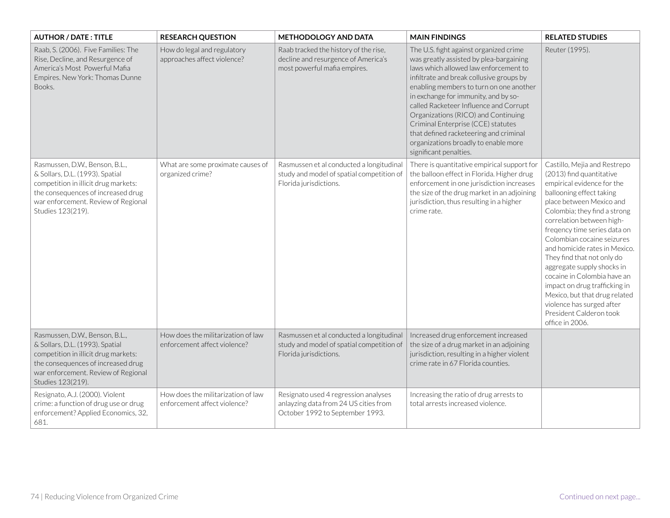| <b>AUTHOR / DATE: TITLE</b>                                                                                                                                                                                 | <b>RESEARCH QUESTION</b>                                           | <b>METHODOLOGY AND DATA</b>                                                                                      | <b>MAIN FINDINGS</b>                                                                                                                                                                                                                                                                                                                                                                                                                                                                         | <b>RELATED STUDIES</b>                                                                                                                                                                                                                                                                                                                                                                                                                                                                                                                             |
|-------------------------------------------------------------------------------------------------------------------------------------------------------------------------------------------------------------|--------------------------------------------------------------------|------------------------------------------------------------------------------------------------------------------|----------------------------------------------------------------------------------------------------------------------------------------------------------------------------------------------------------------------------------------------------------------------------------------------------------------------------------------------------------------------------------------------------------------------------------------------------------------------------------------------|----------------------------------------------------------------------------------------------------------------------------------------------------------------------------------------------------------------------------------------------------------------------------------------------------------------------------------------------------------------------------------------------------------------------------------------------------------------------------------------------------------------------------------------------------|
| Raab, S. (2006). Five Families: The<br>Rise, Decline, and Resurgence of<br>America's Most Powerful Mafia<br>Empires. New York: Thomas Dunne<br>Books.                                                       | How do legal and regulatory<br>approaches affect violence?         | Raab tracked the history of the rise,<br>decline and resurgence of America's<br>most powerful mafia empires.     | The U.S. fight against organized crime<br>was greatly assisted by plea-bargaining<br>laws which allowed law enforcement to<br>infiltrate and break collusive groups by<br>enabling members to turn on one another<br>in exchange for immunity, and by so-<br>called Racketeer Influence and Corrupt<br>Organizations (RICO) and Continuing<br>Criminal Enterprise (CCE) statutes<br>that defined racketeering and criminal<br>organizations broadly to enable more<br>significant penalties. | Reuter (1995).                                                                                                                                                                                                                                                                                                                                                                                                                                                                                                                                     |
| Rasmussen, D.W., Benson, B.L.,<br>& Sollars, D.L. (1993). Spatial<br>competition in illicit drug markets:<br>the consequences of increased drug<br>war enforcement. Review of Regional<br>Studies 123(219). | What are some proximate causes of<br>organized crime?              | Rasmussen et al conducted a longitudinal<br>study and model of spatial competition of<br>Florida jurisdictions.  | There is quantitative empirical support for<br>the balloon effect in Florida. Higher drug<br>enforcement in one jurisdiction increases<br>the size of the drug market in an adjoining<br>jurisdiction, thus resulting in a higher<br>crime rate.                                                                                                                                                                                                                                             | Castillo, Mejia and Restrepo<br>(2013) find quantitative<br>empirical evidence for the<br>ballooning effect taking<br>place between Mexico and<br>Colombia; they find a strong<br>correlation between high-<br>freqency time series data on<br>Colombian cocaine seizures<br>and homicide rates in Mexico.<br>They find that not only do<br>aggregate supply shocks in<br>cocaine in Colombia have an<br>impact on drug trafficking in<br>Mexico, but that drug related<br>violence has surged after<br>President Calderon took<br>office in 2006. |
| Rasmussen, D.W., Benson, B.L.,<br>& Sollars, D.L. (1993). Spatial<br>competition in illicit drug markets:<br>the consequences of increased drug<br>war enforcement. Review of Regional<br>Studies 123(219). | How does the militarization of law<br>enforcement affect violence? | Rasmussen et al conducted a longitudinal<br>study and model of spatial competition of<br>Florida jurisdictions.  | Increased drug enforcement increased<br>the size of a drug market in an adjoining<br>jurisdiction, resulting in a higher violent<br>crime rate in 67 Florida counties.                                                                                                                                                                                                                                                                                                                       |                                                                                                                                                                                                                                                                                                                                                                                                                                                                                                                                                    |
| Resignato, A.J. (2000). Violent<br>crime: a function of drug use or drug<br>enforcement? Applied Economics, 32,<br>681.                                                                                     | How does the militarization of law<br>enforcement affect violence? | Resignato used 4 regression analyses<br>anlayzing data from 24 US cities from<br>October 1992 to September 1993. | Increasing the ratio of drug arrests to<br>total arrests increased violence.                                                                                                                                                                                                                                                                                                                                                                                                                 |                                                                                                                                                                                                                                                                                                                                                                                                                                                                                                                                                    |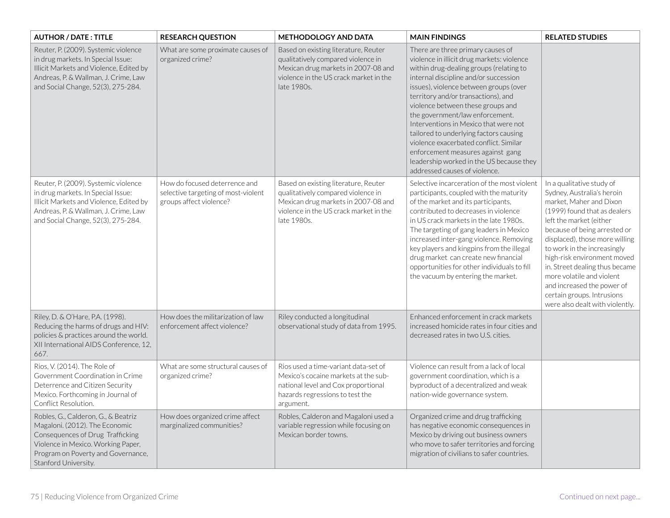| <b>AUTHOR / DATE: TITLE</b>                                                                                                                                                                                   | <b>RESEARCH QUESTION</b>                                                                        | <b>METHODOLOGY AND DATA</b>                                                                                                                                                | <b>MAIN FINDINGS</b>                                                                                                                                                                                                                                                                                                                                                                                                                                                                                                                                                        | <b>RELATED STUDIES</b>                                                                                                                                                                                                                                                                                                                                                                                                                      |
|---------------------------------------------------------------------------------------------------------------------------------------------------------------------------------------------------------------|-------------------------------------------------------------------------------------------------|----------------------------------------------------------------------------------------------------------------------------------------------------------------------------|-----------------------------------------------------------------------------------------------------------------------------------------------------------------------------------------------------------------------------------------------------------------------------------------------------------------------------------------------------------------------------------------------------------------------------------------------------------------------------------------------------------------------------------------------------------------------------|---------------------------------------------------------------------------------------------------------------------------------------------------------------------------------------------------------------------------------------------------------------------------------------------------------------------------------------------------------------------------------------------------------------------------------------------|
| Reuter, P. (2009). Systemic violence<br>in drug markets. In Special Issue:<br>Illicit Markets and Violence, Edited by<br>Andreas, P. & Wallman, J. Crime, Law<br>and Social Change, 52(3), 275-284.           | What are some proximate causes of<br>organized crime?                                           | Based on existing literature, Reuter<br>qualitatively compared violence in<br>Mexican drug markets in 2007-08 and<br>violence in the US crack market in the<br>late 1980s. | There are three primary causes of<br>violence in illicit drug markets: violence<br>within drug-dealing groups (relating to<br>internal discipline and/or succession<br>issues), violence between groups (over<br>territory and/or transactions), and<br>violence between these groups and<br>the government/law enforcement.<br>Interventions in Mexico that were not<br>tailored to underlying factors causing<br>violence exacerbated conflict. Similar<br>enforcement measures against gang<br>leadership worked in the US because they<br>addressed causes of violence. |                                                                                                                                                                                                                                                                                                                                                                                                                                             |
| Reuter, P. (2009). Systemic violence<br>in drug markets. In Special Issue:<br>Illicit Markets and Violence, Edited by<br>Andreas, P. & Wallman, J. Crime, Law<br>and Social Change, 52(3), 275-284.           | How do focused deterrence and<br>selective targeting of most-violent<br>groups affect violence? | Based on existing literature, Reuter<br>qualitatively compared violence in<br>Mexican drug markets in 2007-08 and<br>violence in the US crack market in the<br>late 1980s. | Selective incarceration of the most violent<br>participants, coupled with the maturity<br>of the market and its participants,<br>contributed to decreases in violence<br>in US crack markets in the late 1980s.<br>The targeting of gang leaders in Mexico<br>increased inter-gang violence. Removing<br>key players and kingpins from the illegal<br>drug market can create new financial<br>opportunities for other individuals to fill<br>the vacuum by entering the market.                                                                                             | In a qualitative study of<br>Sydney, Australia's heroin<br>market, Maher and Dixon<br>(1999) found that as dealers<br>left the market (either<br>because of being arrested or<br>displaced), those more willing<br>to work in the increasingly<br>high-risk environment moved<br>in. Street dealing thus became<br>more volatile and violent<br>and increased the power of<br>certain groups. Intrusions<br>were also dealt with violently. |
| Riley, D. & O'Hare, P.A. (1998).<br>Reducing the harms of drugs and HIV:<br>policies & practices around the world.<br>XII International AIDS Conference, 12,<br>667.                                          | How does the militarization of law<br>enforcement affect violence?                              | Riley conducted a longitudinal<br>observational study of data from 1995.                                                                                                   | Enhanced enforcement in crack markets<br>increased homicide rates in four cities and<br>decreased rates in two U.S. cities.                                                                                                                                                                                                                                                                                                                                                                                                                                                 |                                                                                                                                                                                                                                                                                                                                                                                                                                             |
| Rios, V. (2014). The Role of<br>Government Coordination in Crime<br>Deterrence and Citizen Security<br>Mexico. Forthcoming in Journal of<br>Conflict Resolution.                                              | What are some structural causes of<br>organized crime?                                          | Rios used a time-variant data-set of<br>Mexico's cocaine markets at the sub-<br>national level and Cox proportional<br>hazards regressions to test the<br>argument.        | Violence can result from a lack of local<br>government coordination, which is a<br>byproduct of a decentralized and weak<br>nation-wide governance system.                                                                                                                                                                                                                                                                                                                                                                                                                  |                                                                                                                                                                                                                                                                                                                                                                                                                                             |
| Robles, G., Calderon, G., & Beatriz<br>Magaloni. (2012). The Economic<br>Consequences of Drug Trafficking<br>Violence in Mexico. Working Paper,<br>Program on Poverty and Governance,<br>Stanford University. | How does organized crime affect<br>marginalized communities?                                    | Robles, Calderon and Magaloni used a<br>variable regression while focusing on<br>Mexican border towns.                                                                     | Organized crime and drug trafficking<br>has negative economic consequences in<br>Mexico by driving out business owners<br>who move to safer territories and forcing<br>migration of civilians to safer countries.                                                                                                                                                                                                                                                                                                                                                           |                                                                                                                                                                                                                                                                                                                                                                                                                                             |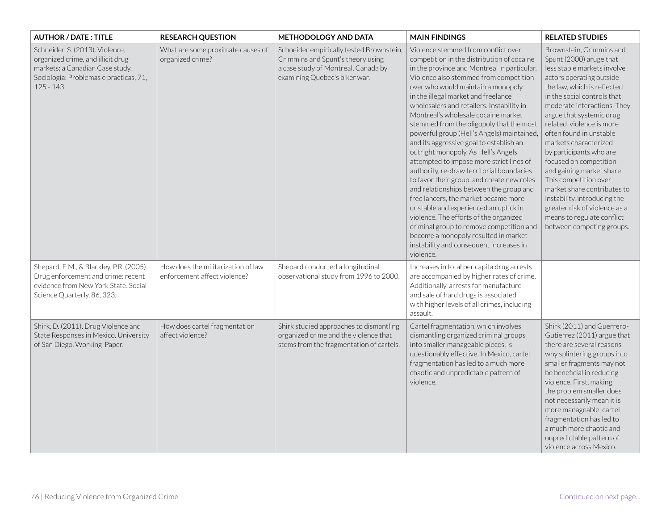| <b>AUTHOR / DATE: TITLE</b>                                                                                                                                       | <b>RESEARCH QUESTION</b>                                           | <b>METHODOLOGY AND DATA</b>                                                                                                                           | <b>MAIN FINDINGS</b>                                                                                                                                                                                                                                                                                                                                                                                                                                                                                                                                                                                                                                                                                                                                                                                                                                                                                                                                                             | <b>RELATED STUDIES</b>                                                                                                                                                                                                                                                                                                                                                                                                                                                                                                                                                                        |
|-------------------------------------------------------------------------------------------------------------------------------------------------------------------|--------------------------------------------------------------------|-------------------------------------------------------------------------------------------------------------------------------------------------------|----------------------------------------------------------------------------------------------------------------------------------------------------------------------------------------------------------------------------------------------------------------------------------------------------------------------------------------------------------------------------------------------------------------------------------------------------------------------------------------------------------------------------------------------------------------------------------------------------------------------------------------------------------------------------------------------------------------------------------------------------------------------------------------------------------------------------------------------------------------------------------------------------------------------------------------------------------------------------------|-----------------------------------------------------------------------------------------------------------------------------------------------------------------------------------------------------------------------------------------------------------------------------------------------------------------------------------------------------------------------------------------------------------------------------------------------------------------------------------------------------------------------------------------------------------------------------------------------|
| Schneider, S. (2013). Violence,<br>organized crime, and illicit drug<br>markets: a Canadian Case study.<br>Sociologia: Problemas e practicas, 71,<br>$125 - 143.$ | What are some proximate causes of<br>organized crime?              | Schneider empirically tested Brownstein,<br>Crimmins and Spunt's theory using<br>a case study of Montreal, Canada by<br>examining Quebec's biker war. | Violence stemmed from conflict over<br>competition in the distribution of cocaine<br>in the province and Montreal in particular.<br>Violence also stemmed from competition<br>over who would maintain a monopoly<br>in the illegal market and freelance<br>wholesalers and retailers. Instability in<br>Montreal's wholesale cocaine market<br>stemmed from the oligopoly that the most<br>powerful group (Hell's Angels) maintained,<br>and its aggressive goal to establish an<br>outright monopoly. As Hell's Angels<br>attempted to impose more strict lines of<br>authority, re-draw territorial boundaries<br>to favor their group, and create new roles<br>and relationships between the group and<br>free lancers, the market became more<br>unstable and experienced an uptick in<br>violence. The efforts of the organized<br>criminal group to remove competition and<br>become a monopoly resulted in market<br>instability and consequent increases in<br>violence. | Brownstein, Crimmins and<br>Spunt (2000) aruge that<br>less stable markets involve<br>actors operating outside<br>the law, which is reflected<br>in the social controls that<br>moderate interactions. They<br>argue that systemic drug<br>related violence is more<br>often found in unstable<br>markets characterized<br>by participants who are<br>focused on competition<br>and gaining market share.<br>This competition over<br>market share contributes to<br>instability, introducing the<br>greater risk of violence as a<br>means to regulate conflict<br>between competing groups. |
| Shepard, E.M., & Blackley, P.R. (2005).<br>Drug enforcement and crime: recent<br>evidence from New York State. Social<br>Science Quarterly, 86, 323.              | How does the militarization of law<br>enforcement affect violence? | Shepard conducted a longitudinal<br>observational study from 1996 to 2000.                                                                            | Increases in total per capita drug arrests<br>are accompanied by higher rates of crime.<br>Additionally, arrests for manufacture<br>and sale of hard drugs is associated<br>with higher levels of all crimes, including<br>assault.                                                                                                                                                                                                                                                                                                                                                                                                                                                                                                                                                                                                                                                                                                                                              |                                                                                                                                                                                                                                                                                                                                                                                                                                                                                                                                                                                               |
| Shirk, D. (2011). Drug Violence and<br>State Responses in Mexico. University<br>of San Diego. Working Paper.                                                      | How does cartel fragmentation<br>affect violence?                  | Shirk studied approaches to dismantling<br>organized crime and the violence that<br>stems from the fragmentation of cartels.                          | Cartel fragmentation, which involves<br>dismantling organized criminal groups<br>into smaller manageable pieces, is<br>questionably effective. In Mexico, cartel<br>fragmentation has led to a much more<br>chaotic and unpredictable pattern of<br>violence.                                                                                                                                                                                                                                                                                                                                                                                                                                                                                                                                                                                                                                                                                                                    | Shirk (2011) and Guerrero-<br>Gutierrez (2011) argue that<br>there are several reasons<br>why splintering groups into<br>smaller fragments may not<br>be beneficial in reducing<br>violence. First, making<br>the problem smaller does<br>not necessarily mean it is<br>more manageable; cartel<br>fragmentation has led to<br>a much more chaotic and<br>unpredictable pattern of<br>violence across Mexico.                                                                                                                                                                                 |